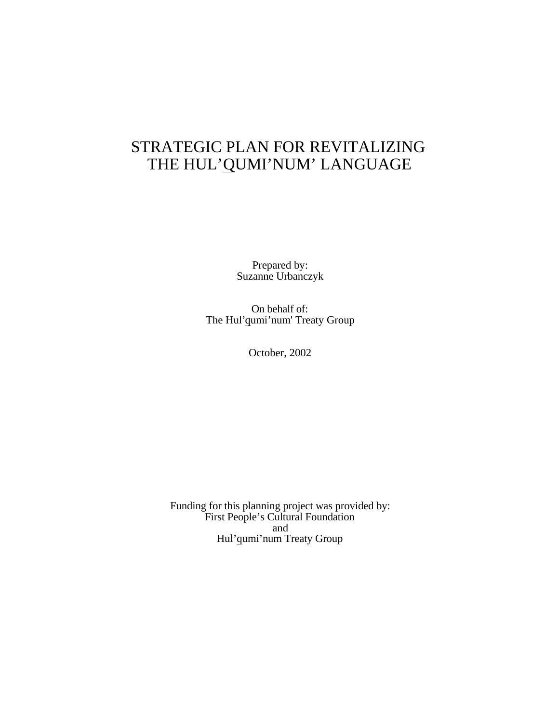## STRATEGIC PLAN FOR REVITALIZING THE HUL'QUMI'NUM' LANGUAGE

Prepared by: Suzanne Urbanczyk

On behalf of: The Hul'qumi'num' Treaty Group

October, 2002

Funding for this planning project was provided by: First People's Cultural Foundation and Hul'qumi'num Treaty Group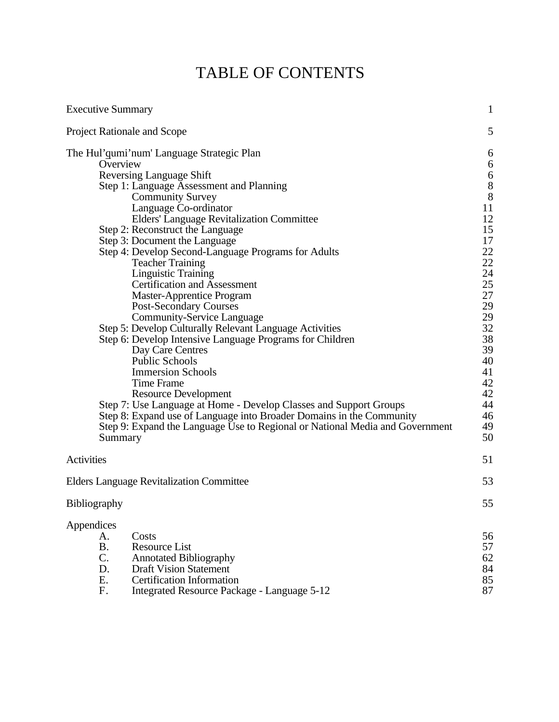# TABLE OF CONTENTS

| <b>Executive Summary</b>                                                                                                                                                                                                                                                                                                                                                                                                                                                                                                                                                                                                                                                                                                                                                                                                                                                                                                                                                                                                                                                       | $\mathbf{1}$                                                                                                                                                                                                                   |
|--------------------------------------------------------------------------------------------------------------------------------------------------------------------------------------------------------------------------------------------------------------------------------------------------------------------------------------------------------------------------------------------------------------------------------------------------------------------------------------------------------------------------------------------------------------------------------------------------------------------------------------------------------------------------------------------------------------------------------------------------------------------------------------------------------------------------------------------------------------------------------------------------------------------------------------------------------------------------------------------------------------------------------------------------------------------------------|--------------------------------------------------------------------------------------------------------------------------------------------------------------------------------------------------------------------------------|
| <b>Project Rationale and Scope</b>                                                                                                                                                                                                                                                                                                                                                                                                                                                                                                                                                                                                                                                                                                                                                                                                                                                                                                                                                                                                                                             | 5                                                                                                                                                                                                                              |
| The Hul'qumi'num' Language Strategic Plan<br>Overview<br><b>Reversing Language Shift</b><br>Step 1: Language Assessment and Planning<br><b>Community Survey</b><br>Language Co-ordinator<br><b>Elders' Language Revitalization Committee</b><br>Step 2: Reconstruct the Language<br>Step 3: Document the Language<br>Step 4: Develop Second-Language Programs for Adults<br><b>Teacher Training</b><br><b>Linguistic Training</b><br><b>Certification and Assessment</b><br><b>Master-Apprentice Program</b><br><b>Post-Secondary Courses</b><br><b>Community-Service Language</b><br>Step 5: Develop Culturally Relevant Language Activities<br>Step 6: Develop Intensive Language Programs for Children<br>Day Care Centres<br><b>Public Schools</b><br><b>Immersion Schools</b><br><b>Time Frame</b><br><b>Resource Development</b><br>Step 7: Use Language at Home - Develop Classes and Support Groups<br>Step 8: Expand use of Language into Broader Domains in the Community<br>Step 9: Expand the Language Use to Regional or National Media and Government<br>Summary | 6<br>6<br>$\begin{array}{c} 6 \\ 8 \\ 8 \end{array}$<br>11<br>$\frac{12}{15}$<br>$\begin{array}{c} 17 \\ 22 \\ 22 \end{array}$<br>24<br>25<br>27<br>29<br>29<br>32<br>38<br>39<br>40<br>41<br>42<br>42<br>44<br>46<br>49<br>50 |
| Activities                                                                                                                                                                                                                                                                                                                                                                                                                                                                                                                                                                                                                                                                                                                                                                                                                                                                                                                                                                                                                                                                     | 51                                                                                                                                                                                                                             |
| <b>Elders Language Revitalization Committee</b>                                                                                                                                                                                                                                                                                                                                                                                                                                                                                                                                                                                                                                                                                                                                                                                                                                                                                                                                                                                                                                | 53                                                                                                                                                                                                                             |
| Bibliography                                                                                                                                                                                                                                                                                                                                                                                                                                                                                                                                                                                                                                                                                                                                                                                                                                                                                                                                                                                                                                                                   | 55                                                                                                                                                                                                                             |
| Appendices<br>Costs<br>A.<br><b>B.</b><br><b>Resource List</b><br>C.<br><b>Annotated Bibliography</b><br>D.<br><b>Draft Vision Statement</b><br>Ε.<br><b>Certification Information</b><br>F.<br>Integrated Resource Package - Language 5-12                                                                                                                                                                                                                                                                                                                                                                                                                                                                                                                                                                                                                                                                                                                                                                                                                                    | 56<br>57<br>62<br>84<br>85<br>87                                                                                                                                                                                               |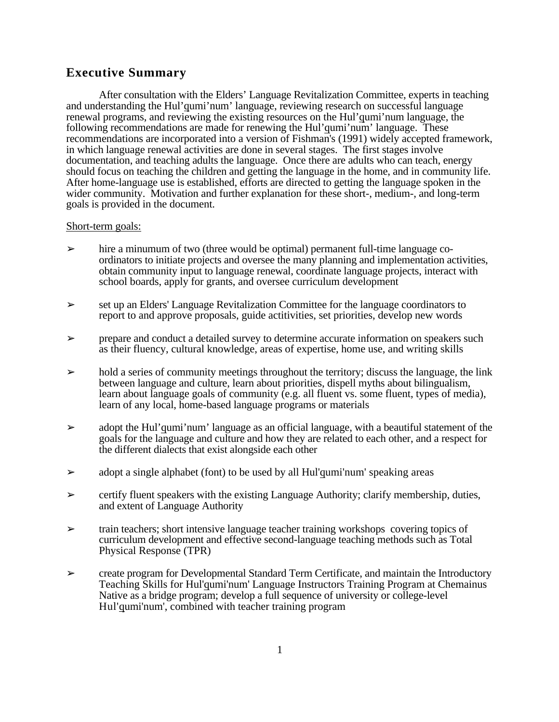## **Executive Summary**

After consultation with the Elders' Language Revitalization Committee, experts in teaching and understanding the Hul'qumi'num' language, reviewing research on successful language renewal programs, and reviewing the existing resources on the Hul'qumi'num language, the following recommendations are made for renewing the Hul'qumi'num' language. These recommendations are incorporated into a version of Fishman's (1991) widely accepted framework, in which language renewal activities are done in several stages. The first stages involve documentation, and teaching adults the language. Once there are adults who can teach, energy should focus on teaching the children and getting the language in the home, and in community life. After home-language use is established, efforts are directed to getting the language spoken in the wider community. Motivation and further explanation for these short-, medium-, and long-term goals is provided in the document.

#### Short-term goals:

- $\geq$  hire a minumum of two (three would be optimal) permanent full-time language coordinators to initiate projects and oversee the many planning and implementation activities, obtain community input to language renewal, coordinate language projects, interact with school boards, apply for grants, and oversee curriculum development
- ➢ set up an Elders' Language Revitalization Committee for the language coordinators to report to and approve proposals, guide actitivities, set priorities, develop new words
- ➢ prepare and conduct a detailed survey to determine accurate information on speakers such as their fluency, cultural knowledge, areas of expertise, home use, and writing skills
- $\geq$  hold a series of community meetings throughout the territory; discuss the language, the link between language and culture, learn about priorities, dispell myths about bilingualism, learn about language goals of community (e.g. all fluent vs. some fluent, types of media), learn of any local, home-based language programs or materials
- $\geq$  adopt the Hul'qumi'num' language as an official language, with a beautiful statement of the goals for the language and culture and how they are related to each other, and a respect for the different dialects that exist alongside each other
- $\geq$  adopt a single alphabet (font) to be used by all Hul'qumi'num' speaking areas
- $\triangleright$  certify fluent speakers with the existing Language Authority; clarify membership, duties, and extent of Language Authority
- ➢ train teachers; short intensive language teacher training workshops covering topics of curriculum development and effective second-language teaching methods such as Total Physical Response (TPR)
- $\triangleright$  create program for Developmental Standard Term Certificate, and maintain the Introductory Teaching Skills for Hul'qumi'num' Language Instructors Training Program at Chemainus Native as a bridge program; develop a full sequence of university or college-level Hul'qumi'num', combined with teacher training program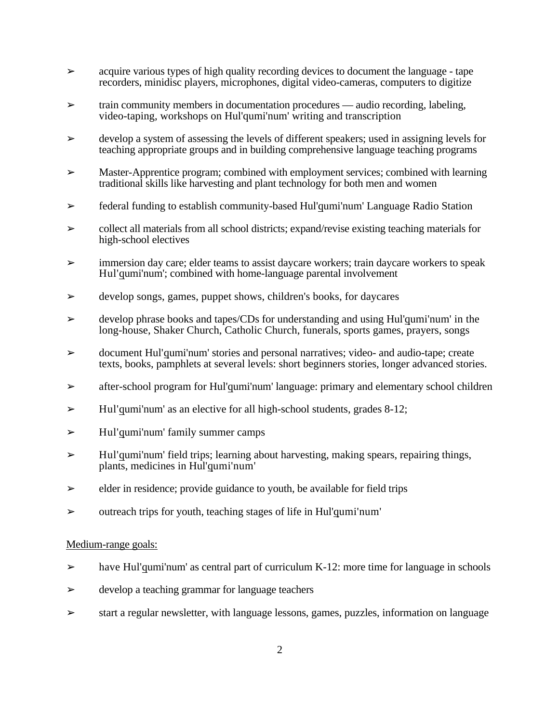- $\geq$  acquire various types of high quality recording devices to document the language tape recorders, minidisc players, microphones, digital video-cameras, computers to digitize
- $\triangleright$  train community members in documentation procedures audio recording, labeling, video-taping, workshops on Hul'qumi'num' writing and transcription
- $\geq$  develop a system of assessing the levels of different speakers; used in assigning levels for teaching appropriate groups and in building comprehensive language teaching programs
- $\triangleright$  Master-Apprentice program; combined with employment services; combined with learning traditional skills like harvesting and plant technology for both men and women
- ➢ federal funding to establish community-based Hul'qumi'num' Language Radio Station
- $\geq$  collect all materials from all school districts; expand/revise existing teaching materials for high-school electives
- $\geq$  immersion day care; elder teams to assist daycare workers; train daycare workers to speak Hul'qumi'num'; combined with home-language parental involvement
- ➢ develop songs, games, puppet shows, children's books, for daycares
- $\geq$  develop phrase books and tapes/CDs for understanding and using Hul'qumi'num' in the long-house, Shaker Church, Catholic Church, funerals, sports games, prayers, songs
- ➢ document Hul'qumi'num' stories and personal narratives; video- and audio-tape; create texts, books, pamphlets at several levels: short beginners stories, longer advanced stories.
- ➢ after-school program for Hul'qumi'num' language: primary and elementary school children
- $\geq$  Hul'qumi'num' as an elective for all high-school students, grades 8-12;
- $\geq$  Hul'qumi'num' family summer camps
- ➢ Hul'qumi'num' field trips; learning about harvesting, making spears, repairing things, plants, medicines in Hul'qumi'num'
- $\triangleright$  elder in residence; provide guidance to youth, be available for field trips
- ➢ outreach trips for youth, teaching stages of life in Hul'qumi'num'

#### Medium-range goals:

- $\geq$  have Hul'qumi'num' as central part of curriculum K-12: more time for language in schools
- $\triangleright$  develop a teaching grammar for language teachers
- ➢ start a regular newsletter, with language lessons, games, puzzles, information on language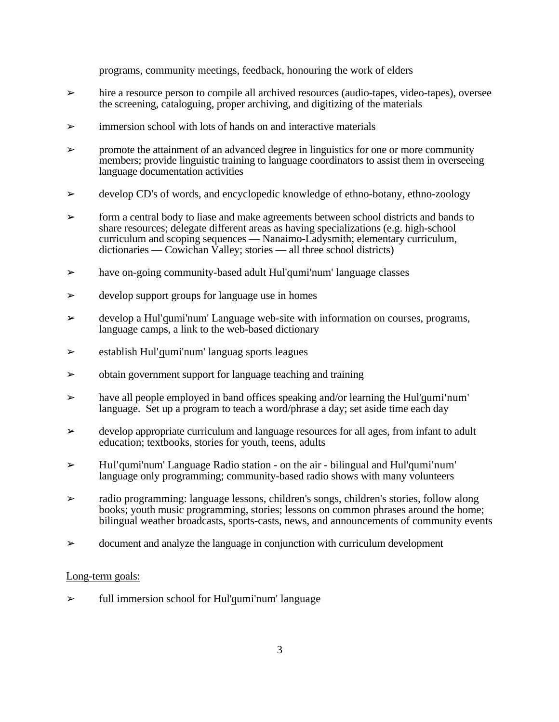programs, community meetings, feedback, honouring the work of elders

- $\geq$  hire a resource person to compile all archived resources (audio-tapes, video-tapes), oversee the screening, cataloguing, proper archiving, and digitizing of the materials
- $\triangleright$  immersion school with lots of hands on and interactive materials
- $\geq$  promote the attainment of an advanced degree in linguistics for one or more community members; provide linguistic training to language coordinators to assist them in overseeing language documentation activities
- $\geq$  develop CD's of words, and encyclopedic knowledge of ethno-botany, ethno-zoology
- $\geq$  form a central body to liase and make agreements between school districts and bands to share resources; delegate different areas as having specializations (e.g. high-school curriculum and scoping sequences — Nanaimo-Ladysmith; elementary curriculum, dictionaries — Cowichan Valley; stories — all three school districts)
- $\geq$  have on-going community-based adult Hul'qumi'num' language classes
- $\triangleright$  develop support groups for language use in homes
- ➢ develop a Hul'qumi'num' Language web-site with information on courses, programs, language camps, a link to the web-based dictionary
- $\geq$  establish Hul'qumi'num' languag sports leagues
- ➢ obtain government support for language teaching and training
- $\geq$  have all people employed in band offices speaking and/or learning the Hul'qumi'num' language. Set up a program to teach a word/phrase a day; set aside time each day
- ➢ develop appropriate curriculum and language resources for all ages, from infant to adult education; textbooks, stories for youth, teens, adults
- $\geq$  Hul'qumi'num' Language Radio station on the air bilingual and Hul'qumi'num' language only programming; community-based radio shows with many volunteers
- ➢ radio programming: language lessons, children's songs, children's stories, follow along books; youth music programming, stories; lessons on common phrases around the home; bilingual weather broadcasts, sports-casts, news, and announcements of community events
- $\geq$  document and analyze the language in conjunction with curriculum development

#### Long-term goals:

 $\triangleright$  full immersion school for Hul'qumi'num' language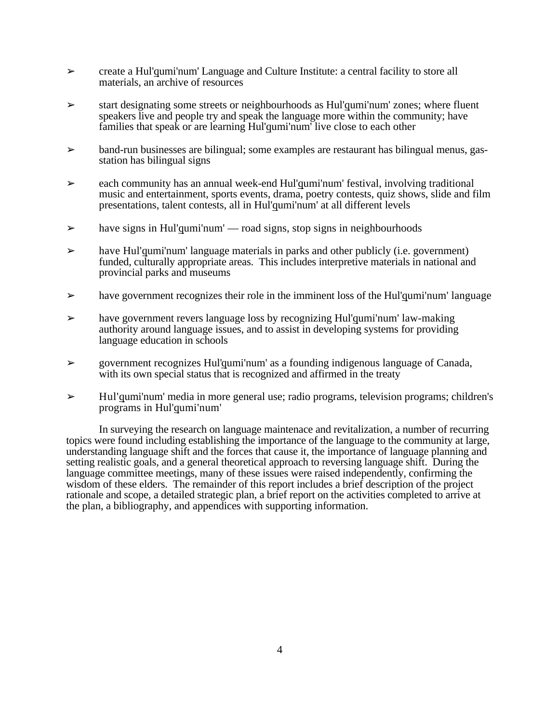- $\geq$  create a Hul'qumi'num' Language and Culture Institute: a central facility to store all materials, an archive of resources
- $\triangleright$  start designating some streets or neighbourhoods as Hul'qumi'num' zones; where fluent speakers live and people try and speak the language more within the community; have families that speak or are learning Hul'qumi'num' live close to each other
- ➢ band-run businesses are bilingual; some examples are restaurant has bilingual menus, gasstation has bilingual signs
- $\geq$  each community has an annual week-end Hul'qumi'num' festival, involving traditional music and entertainment, sports events, drama, poetry contests, quiz shows, slide and film presentations, talent contests, all in Hul'qumi'num' at all different levels
- $\triangleright$  have signs in Hul'qumi'num' road signs, stop signs in neighbourhoods
- $\triangleright$  have Hul'qumi'num' language materials in parks and other publicly (i.e. government) funded, culturally appropriate areas. This includes interpretive materials in national and provincial parks and museums
- $\geq$  have government recognizes their role in the imminent loss of the Hul'qumi'num' language
- ➢ have government revers language loss by recognizing Hul'qumi'num' law-making authority around language issues, and to assist in developing systems for providing language education in schools
- $\geq$  government recognizes Hul'qumi'num' as a founding indigenous language of Canada, with its own special status that is recognized and affirmed in the treaty
- $\geq$  Hul'qumi'num' media in more general use; radio programs, television programs; children's programs in Hul'qumi'num'

In surveying the research on language maintenace and revitalization, a number of recurring topics were found including establishing the importance of the language to the community at large, understanding language shift and the forces that cause it, the importance of language planning and setting realistic goals, and a general theoretical approach to reversing language shift. During the language committee meetings, many of these issues were raised independently, confirming the wisdom of these elders. The remainder of this report includes a brief description of the project rationale and scope, a detailed strategic plan, a brief report on the activities completed to arrive at the plan, a bibliography, and appendices with supporting information.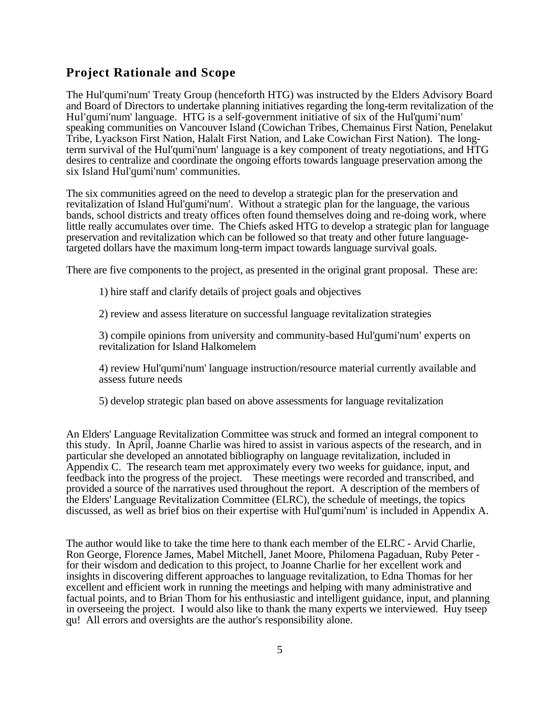## **Project Rationale and Scope**

The Hul'qumi'num' Treaty Group (henceforth HTG) was instructed by the Elders Advisory Board and Board of Directors to undertake planning initiatives regarding the long-term revitalization of the Hul'qumi'num' language. HTG is a self-government initiative of six of the Hul'qumi'num' speaking communities on Vancouver Island (Cowichan Tribes, Chemainus First Nation, Penelakut Tribe, Lyackson First Nation, Halalt First Nation, and Lake Cowichan First Nation). The longterm survival of the Hul'qumi'num' language is a key component of treaty negotiations, and HTG desires to centralize and coordinate the ongoing efforts towards language preservation among the six Island Hul'qumi'num' communities.

The six communities agreed on the need to develop a strategic plan for the preservation and revitalization of Island Hul'qumi'num'. Without a strategic plan for the language, the various bands, school districts and treaty offices often found themselves doing and re-doing work, where little really accumulates over time. The Chiefs asked HTG to develop a strategic plan for language preservation and revitalization which can be followed so that treaty and other future languagetargeted dollars have the maximum long-term impact towards language survival goals.

There are five components to the project, as presented in the original grant proposal. These are:

1) hire staff and clarify details of project goals and objectives

2) review and assess literature on successful language revitalization strategies

3) compile opinions from university and community-based Hul'qumi'num' experts on revitalization for Island Halkomelem

4) review Hul'qumi'num' language instruction/resource material currently available and assess future needs

5) develop strategic plan based on above assessments for language revitalization

An Elders' Language Revitalization Committee was struck and formed an integral component to this study. In April, Joanne Charlie was hired to assist in various aspects of the research, and in particular she developed an annotated bibliography on language revitalization, included in Appendix C. The research team met approximately every two weeks for guidance, input, and feedback into the progress of the project. These meetings were recorded and transcribed, and provided a source of the narratives used throughout the report. A description of the members of the Elders' Language Revitalization Committee (ELRC), the schedule of meetings, the topics discussed, as well as brief bios on their expertise with Hul'qumi'num' is included in Appendix A.

The author would like to take the time here to thank each member of the ELRC - Arvid Charlie, Ron George, Florence James, Mabel Mitchell, Janet Moore, Philomena Pagaduan, Ruby Peter for their wisdom and dedication to this project, to Joanne Charlie for her excellent work and insights in discovering different approaches to language revitalization, to Edna Thomas for her excellent and efficient work in running the meetings and helping with many administrative and factual points, and to Brian Thom for his enthusiastic and intelligent guidance, input, and planning in overseeing the project. I would also like to thank the many experts we interviewed. Huy tseep qu! All errors and oversights are the author's responsibility alone.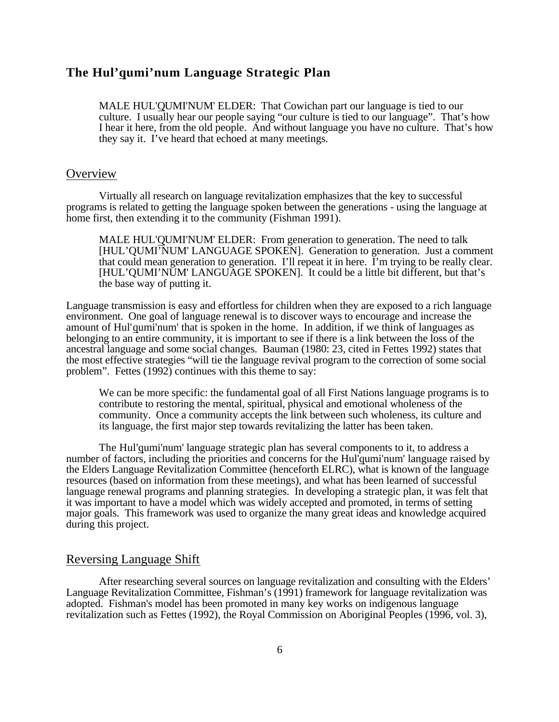## **The Hul'qumi'num Language Strategic Plan**

MALE HUL'QUMI'NUM' ELDER: That Cowichan part our language is tied to our culture. I usually hear our people saying "our culture is tied to our language". That's how I hear it here, from the old people. And without language you have no culture. That's how they say it. I've heard that echoed at many meetings.

#### **Overview**

Virtually all research on language revitalization emphasizes that the key to successful programs is related to getting the language spoken between the generations - using the language at home first, then extending it to the community (Fishman 1991).

MALE HUL'QUMI'NUM' ELDER: From generation to generation. The need to talk [HUL'QUMI'NUM' LANGUAGE SPOKEN]. Generation to generation. Just a comment that could mean generation to generation. I'll repeat it in here. I'm trying to be really clear. [HUL'QUMI'NUM' LANGUAGE SPOKEN]. It could be a little bit different, but that's the base way of putting it.

Language transmission is easy and effortless for children when they are exposed to a rich language environment. One goal of language renewal is to discover ways to encourage and increase the amount of Hul'qumi'num' that is spoken in the home. In addition, if we think of languages as belonging to an entire community, it is important to see if there is a link between the loss of the ancestral language and some social changes. Bauman (1980: 23, cited in Fettes 1992) states that the most effective strategies "will tie the language revival program to the correction of some social problem". Fettes (1992) continues with this theme to say:

We can be more specific: the fundamental goal of all First Nations language programs is to contribute to restoring the mental, spiritual, physical and emotional wholeness of the community. Once a community accepts the link between such wholeness, its culture and its language, the first major step towards revitalizing the latter has been taken.

The Hul'qumi'num' language strategic plan has several components to it, to address a number of factors, including the priorities and concerns for the Hul'qumi'num' language raised by the Elders Language Revitalization Committee (henceforth ELRC), what is known of the language resources (based on information from these meetings), and what has been learned of successful language renewal programs and planning strategies. In developing a strategic plan, it was felt that it was important to have a model which was widely accepted and promoted, in terms of setting major goals. This framework was used to organize the many great ideas and knowledge acquired during this project.

#### Reversing Language Shift

After researching several sources on language revitalization and consulting with the Elders' Language Revitalization Committee, Fishman's (1991) framework for language revitalization was adopted. Fishman's model has been promoted in many key works on indigenous language revitalization such as Fettes (1992), the Royal Commission on Aboriginal Peoples (1996, vol. 3),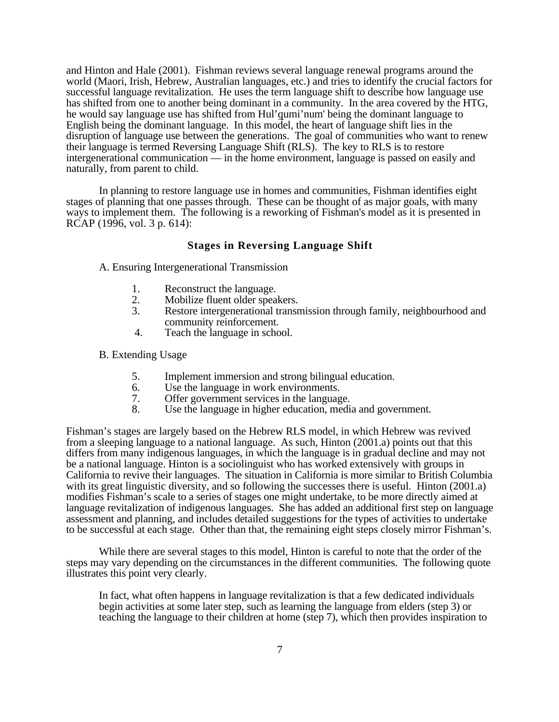and Hinton and Hale (2001). Fishman reviews several language renewal programs around the world (Maori, Irish, Hebrew, Australian languages, etc.) and tries to identify the crucial factors for successful language revitalization. He uses the term language shift to describe how language use has shifted from one to another being dominant in a community. In the area covered by the HTG, he would say language use has shifted from Hul'qumi'num' being the dominant language to English being the dominant language. In this model, the heart of language shift lies in the disruption of language use between the generations. The goal of communities who want to renew their language is termed Reversing Language Shift (RLS). The key to RLS is to restore intergenerational communication — in the home environment, language is passed on easily and naturally, from parent to child.

In planning to restore language use in homes and communities, Fishman identifies eight stages of planning that one passes through. These can be thought of as major goals, with many ways to implement them. The following is a reworking of Fishman's model as it is presented in RCAP (1996, vol. 3 p. 614):

#### **Stages in Reversing Language Shift**

A. Ensuring Intergenerational Transmission

- 1. Reconstruct the language.<br>2. Mobilize fluent older speal
- 2. Mobilize fluent older speakers.<br>3. Restore intergenerational transr
- Restore intergenerational transmission through family, neighbourhood and community reinforcement.
- 4. Teach the language in school.

B. Extending Usage

- 5. Implement immersion and strong bilingual education.
- 6. Use the language in work environments.<br>7. Offer government services in the language
- 7. Offer government services in the language.<br>8. Use the language in higher education, medi
- Use the language in higher education, media and government.

Fishman's stages are largely based on the Hebrew RLS model, in which Hebrew was revived from a sleeping language to a national language. As such, Hinton (2001.a) points out that this differs from many indigenous languages, in which the language is in gradual decline and may not be a national language. Hinton is a sociolinguist who has worked extensively with groups in California to revive their languages. The situation in California is more similar to British Columbia with its great linguistic diversity, and so following the successes there is useful. Hinton (2001.a) modifies Fishman's scale to a series of stages one might undertake, to be more directly aimed at language revitalization of indigenous languages. She has added an additional first step on language assessment and planning, and includes detailed suggestions for the types of activities to undertake to be successful at each stage. Other than that, the remaining eight steps closely mirror Fishman's.

While there are several stages to this model, Hinton is careful to note that the order of the steps may vary depending on the circumstances in the different communities. The following quote illustrates this point very clearly.

In fact, what often happens in language revitalization is that a few dedicated individuals begin activities at some later step, such as learning the language from elders (step 3) or teaching the language to their children at home (step 7), which then provides inspiration to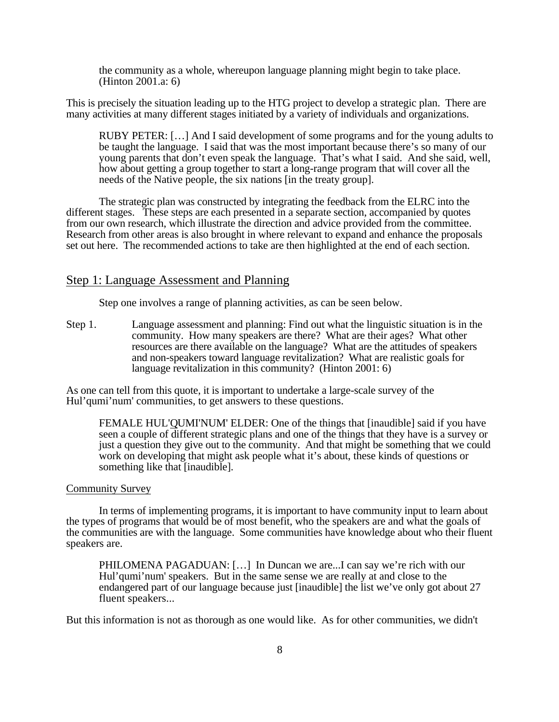the community as a whole, whereupon language planning might begin to take place. (Hinton 2001.a: 6)

This is precisely the situation leading up to the HTG project to develop a strategic plan. There are many activities at many different stages initiated by a variety of individuals and organizations.

RUBY PETER: […] And I said development of some programs and for the young adults to be taught the language. I said that was the most important because there's so many of our young parents that don't even speak the language. That's what I said. And she said, well, how about getting a group together to start a long-range program that will cover all the needs of the Native people, the six nations [in the treaty group].

The strategic plan was constructed by integrating the feedback from the ELRC into the different stages. These steps are each presented in a separate section, accompanied by quotes from our own research, which illustrate the direction and advice provided from the committee. Research from other areas is also brought in where relevant to expand and enhance the proposals set out here. The recommended actions to take are then highlighted at the end of each section.

### Step 1: Language Assessment and Planning

Step one involves a range of planning activities, as can be seen below.

Step 1. Language assessment and planning: Find out what the linguistic situation is in the community. How many speakers are there? What are their ages? What other resources are there available on the language? What are the attitudes of speakers and non-speakers toward language revitalization? What are realistic goals for language revitalization in this community? (Hinton 2001: 6)

As one can tell from this quote, it is important to undertake a large-scale survey of the Hul'qumi'num' communities, to get answers to these questions.

FEMALE HUL'QUMI'NUM' ELDER: One of the things that [inaudible] said if you have seen a couple of different strategic plans and one of the things that they have is a survey or just a question they give out to the community. And that might be something that we could work on developing that might ask people what it's about, these kinds of questions or something like that [inaudible].

#### Community Survey

In terms of implementing programs, it is important to have community input to learn about the types of programs that would be of most benefit, who the speakers are and what the goals of the communities are with the language. Some communities have knowledge about who their fluent speakers are.

PHILOMENA PAGADUAN: […] In Duncan we are...I can say we're rich with our Hul'qumi'num' speakers. But in the same sense we are really at and close to the endangered part of our language because just [inaudible] the list we've only got about 27 fluent speakers...

But this information is not as thorough as one would like. As for other communities, we didn't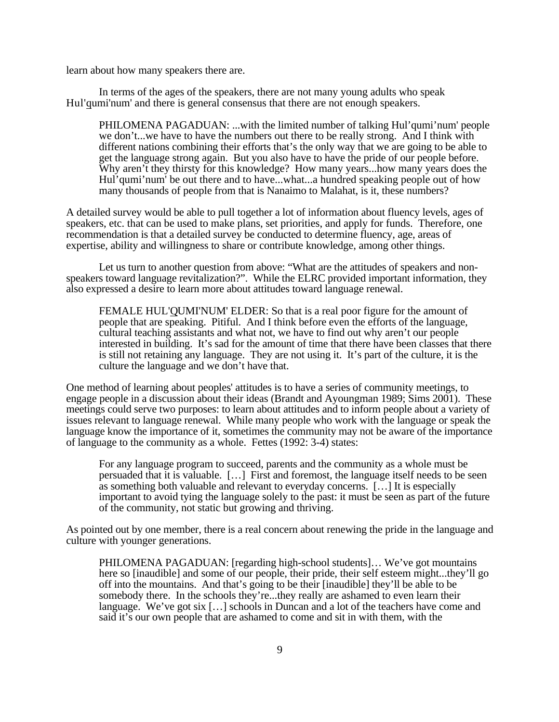learn about how many speakers there are.

In terms of the ages of the speakers, there are not many young adults who speak Hul'qumi'num' and there is general consensus that there are not enough speakers.

PHILOMENA PAGADUAN: ...with the limited number of talking Hul'qumi'num' people we don't...we have to have the numbers out there to be really strong. And I think with different nations combining their efforts that's the only way that we are going to be able to get the language strong again. But you also have to have the pride of our people before. Why aren't they thirsty for this knowledge? How many years...how many years does the Hul'qumi'num' be out there and to have...what...a hundred speaking people out of how many thousands of people from that is Nanaimo to Malahat, is it, these numbers?

A detailed survey would be able to pull together a lot of information about fluency levels, ages of speakers, etc. that can be used to make plans, set priorities, and apply for funds. Therefore, one recommendation is that a detailed survey be conducted to determine fluency, age, areas of expertise, ability and willingness to share or contribute knowledge, among other things.

Let us turn to another question from above: "What are the attitudes of speakers and nonspeakers toward language revitalization?". While the ELRC provided important information, they also expressed a desire to learn more about attitudes toward language renewal.

FEMALE HUL'QUMI'NUM' ELDER: So that is a real poor figure for the amount of people that are speaking. Pitiful. And I think before even the efforts of the language, cultural teaching assistants and what not, we have to find out why aren't our people interested in building. It's sad for the amount of time that there have been classes that there is still not retaining any language. They are not using it. It's part of the culture, it is the culture the language and we don't have that.

One method of learning about peoples' attitudes is to have a series of community meetings, to engage people in a discussion about their ideas (Brandt and Ayoungman 1989; Sims 2001). These meetings could serve two purposes: to learn about attitudes and to inform people about a variety of issues relevant to language renewal. While many people who work with the language or speak the language know the importance of it, sometimes the community may not be aware of the importance of language to the community as a whole. Fettes (1992: 3-4) states:

For any language program to succeed, parents and the community as a whole must be persuaded that it is valuable. […] First and foremost, the language itself needs to be seen as something both valuable and relevant to everyday concerns. […] It is especially important to avoid tying the language solely to the past: it must be seen as part of the future of the community, not static but growing and thriving.

As pointed out by one member, there is a real concern about renewing the pride in the language and culture with younger generations.

PHILOMENA PAGADUAN: [regarding high-school students]… We've got mountains here so [inaudible] and some of our people, their pride, their self esteem might...they'll go off into the mountains. And that's going to be their [inaudible] they'll be able to be somebody there. In the schools they're...they really are ashamed to even learn their language. We've got six […] schools in Duncan and a lot of the teachers have come and said it's our own people that are ashamed to come and sit in with them, with the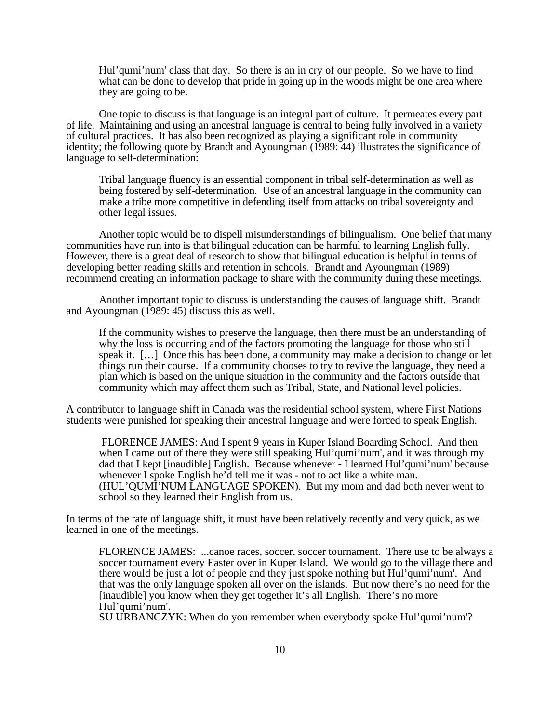Hul'qumi'num' class that day. So there is an in cry of our people. So we have to find what can be done to develop that pride in going up in the woods might be one area where they are going to be.

One topic to discuss is that language is an integral part of culture. It permeates every part of life. Maintaining and using an ancestral language is central to being fully involved in a variety of cultural practices. It has also been recognized as playing a significant role in community identity; the following quote by Brandt and Ayoungman (1989: 44) illustrates the significance of language to self-determination:

Tribal language fluency is an essential component in tribal self-determination as well as being fostered by self-determination. Use of an ancestral language in the community can make a tribe more competitive in defending itself from attacks on tribal sovereignty and other legal issues.

Another topic would be to dispell misunderstandings of bilingualism. One belief that many communities have run into is that bilingual education can be harmful to learning English fully. However, there is a great deal of research to show that bilingual education is helpful in terms of developing better reading skills and retention in schools. Brandt and Ayoungman (1989) recommend creating an information package to share with the community during these meetings.

Another important topic to discuss is understanding the causes of language shift. Brandt and Ayoungman (1989: 45) discuss this as well.

If the community wishes to preserve the language, then there must be an understanding of why the loss is occurring and of the factors promoting the language for those who still speak it. [...] Once this has been done, a community may make a decision to change or let things run their course. If a community chooses to try to revive the language, they need a plan which is based on the unique situation in the community and the factors outside that community which may affect them such as Tribal, State, and National level policies.

A contributor to language shift in Canada was the residential school system, where First Nations students were punished for speaking their ancestral language and were forced to speak English.

 FLORENCE JAMES: And I spent 9 years in Kuper Island Boarding School. And then when I came out of there they were still speaking Hul'qumi'num', and it was through my dad that I kept [inaudible] English. Because whenever - I learned Hul'qumi'num' because whenever I spoke English he'd tell me it was - not to act like a white man. (HUL'QUMI'NUM LANGUAGE SPOKEN). But my mom and dad both never went to school so they learned their English from us.

In terms of the rate of language shift, it must have been relatively recently and very quick, as we learned in one of the meetings.

FLORENCE JAMES: ...canoe races, soccer, soccer tournament. There use to be always a soccer tournament every Easter over in Kuper Island. We would go to the village there and there would be just a lot of people and they just spoke nothing but Hul'qumi'num'. And that was the only language spoken all over on the islands. But now there's no need for the [inaudible] you know when they get together it's all English. There's no more Hul'qumi'num'.

SU URBANCZYK: When do you remember when everybody spoke Hul'qumi'num'?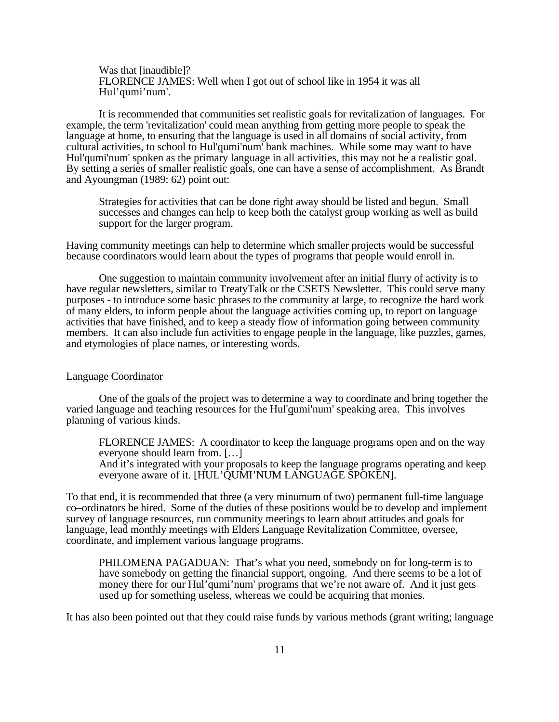Was that [inaudible]? FLORENCE JAMES: Well when I got out of school like in 1954 it was all Hul'qumi'num'.

It is recommended that communities set realistic goals for revitalization of languages. For example, the term 'revitalization' could mean anything from getting more people to speak the language at home, to ensuring that the language is used in all domains of social activity, from cultural activities, to school to Hul'qumi'num' bank machines. While some may want to have Hul'qumi'num' spoken as the primary language in all activities, this may not be a realistic goal. By setting a series of smaller realistic goals, one can have a sense of accomplishment. As Brandt and Ayoungman (1989: 62) point out:

Strategies for activities that can be done right away should be listed and begun. Small successes and changes can help to keep both the catalyst group working as well as build support for the larger program.

Having community meetings can help to determine which smaller projects would be successful because coordinators would learn about the types of programs that people would enroll in.

One suggestion to maintain community involvement after an initial flurry of activity is to have regular newsletters, similar to TreatyTalk or the CSETS Newsletter. This could serve many purposes - to introduce some basic phrases to the community at large, to recognize the hard work of many elders, to inform people about the language activities coming up, to report on language activities that have finished, and to keep a steady flow of information going between community members. It can also include fun activities to engage people in the language, like puzzles, games, and etymologies of place names, or interesting words.

#### Language Coordinator

One of the goals of the project was to determine a way to coordinate and bring together the varied language and teaching resources for the Hul'qumi'num' speaking area. This involves planning of various kinds.

FLORENCE JAMES: A coordinator to keep the language programs open and on the way everyone should learn from. […]

And it's integrated with your proposals to keep the language programs operating and keep everyone aware of it. [HUL'QUMI'NUM LANGUAGE SPOKEN].

To that end, it is recommended that three (a very minumum of two) permanent full-time language co–ordinators be hired. Some of the duties of these positions would be to develop and implement survey of language resources, run community meetings to learn about attitudes and goals for language, lead monthly meetings with Elders Language Revitalization Committee, oversee, coordinate, and implement various language programs.

PHILOMENA PAGADUAN: That's what you need, somebody on for long-term is to have somebody on getting the financial support, ongoing. And there seems to be a lot of money there for our Hul'qumi'num' programs that we're not aware of. And it just gets used up for something useless, whereas we could be acquiring that monies.

It has also been pointed out that they could raise funds by various methods (grant writing; language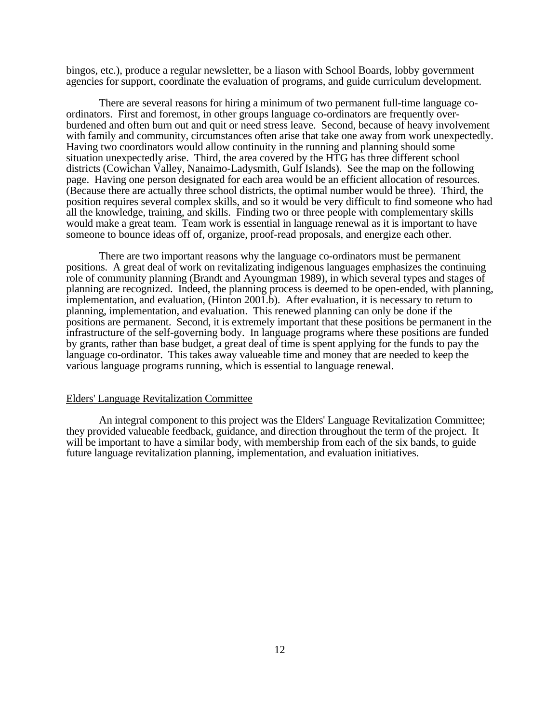bingos, etc.), produce a regular newsletter, be a liason with School Boards, lobby government agencies for support, coordinate the evaluation of programs, and guide curriculum development.

There are several reasons for hiring a minimum of two permanent full-time language coordinators. First and foremost, in other groups language co-ordinators are frequently overburdened and often burn out and quit or need stress leave. Second, because of heavy involvement with family and community, circumstances often arise that take one away from work unexpectedly. Having two coordinators would allow continuity in the running and planning should some situation unexpectedly arise. Third, the area covered by the HTG has three different school districts (Cowichan Valley, Nanaimo-Ladysmith, Gulf Islands). See the map on the following page. Having one person designated for each area would be an efficient allocation of resources. (Because there are actually three school districts, the optimal number would be three). Third, the position requires several complex skills, and so it would be very difficult to find someone who had all the knowledge, training, and skills. Finding two or three people with complementary skills would make a great team. Team work is essential in language renewal as it is important to have someone to bounce ideas off of, organize, proof-read proposals, and energize each other.

There are two important reasons why the language co-ordinators must be permanent positions. A great deal of work on revitalizating indigenous languages emphasizes the continuing role of community planning (Brandt and Ayoungman 1989), in which several types and stages of planning are recognized. Indeed, the planning process is deemed to be open-ended, with planning, implementation, and evaluation, (Hinton 2001.b). After evaluation, it is necessary to return to planning, implementation, and evaluation. This renewed planning can only be done if the positions are permanent. Second, it is extremely important that these positions be permanent in the infrastructure of the self-governing body. In language programs where these positions are funded by grants, rather than base budget, a great deal of time is spent applying for the funds to pay the language co-ordinator. This takes away valueable time and money that are needed to keep the various language programs running, which is essential to language renewal.

#### Elders' Language Revitalization Committee

An integral component to this project was the Elders' Language Revitalization Committee; they provided valueable feedback, guidance, and direction throughout the term of the project. It will be important to have a similar body, with membership from each of the six bands, to guide future language revitalization planning, implementation, and evaluation initiatives.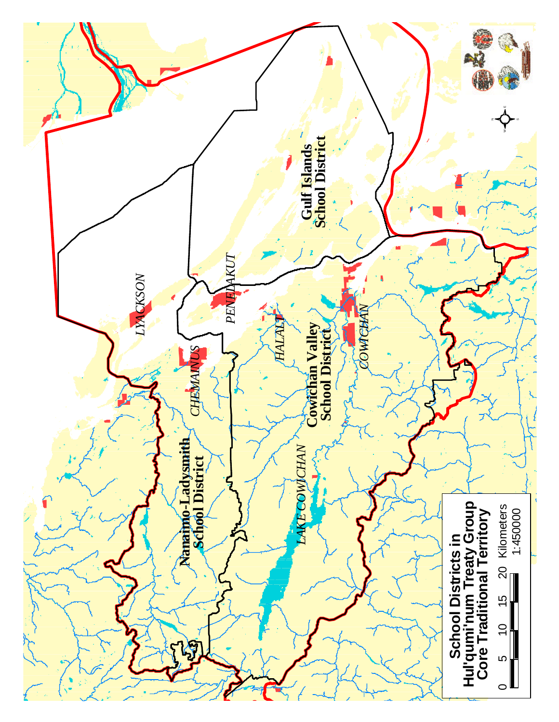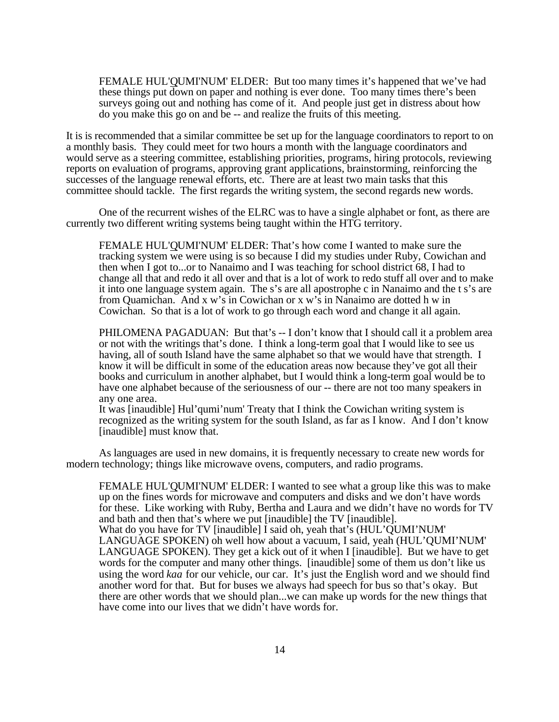FEMALE HUL'QUMI'NUM' ELDER: But too many times it's happened that we've had these things put down on paper and nothing is ever done. Too many times there's been surveys going out and nothing has come of it. And people just get in distress about how do you make this go on and be -- and realize the fruits of this meeting.

It is is recommended that a similar committee be set up for the language coordinators to report to on a monthly basis. They could meet for two hours a month with the language coordinators and would serve as a steering committee, establishing priorities, programs, hiring protocols, reviewing reports on evaluation of programs, approving grant applications, brainstorming, reinforcing the successes of the language renewal efforts, etc. There are at least two main tasks that this committee should tackle. The first regards the writing system, the second regards new words.

One of the recurrent wishes of the ELRC was to have a single alphabet or font, as there are currently two different writing systems being taught within the HTG territory.

FEMALE HUL'QUMI'NUM' ELDER: That's how come I wanted to make sure the tracking system we were using is so because I did my studies under Ruby, Cowichan and then when I got to...or to Nanaimo and I was teaching for school district 68, I had to change all that and redo it all over and that is a lot of work to redo stuff all over and to make it into one language system again. The s's are all apostrophe c in Nanaimo and the t s's are from Quamichan. And x w's in Cowichan or x w's in Nanaimo are dotted h w in Cowichan. So that is a lot of work to go through each word and change it all again.

PHILOMENA PAGADUAN: But that's -- I don't know that I should call it a problem area or not with the writings that's done. I think a long-term goal that I would like to see us having, all of south Island have the same alphabet so that we would have that strength. I know it will be difficult in some of the education areas now because they've got all their books and curriculum in another alphabet, but I would think a long-term goal would be to have one alphabet because of the seriousness of our -- there are not too many speakers in any one area.

It was [inaudible] Hul'qumi'num' Treaty that I think the Cowichan writing system is recognized as the writing system for the south Island, as far as I know. And I don't know [inaudible] must know that.

As languages are used in new domains, it is frequently necessary to create new words for modern technology; things like microwave ovens, computers, and radio programs.

FEMALE HUL'QUMI'NUM' ELDER: I wanted to see what a group like this was to make up on the fines words for microwave and computers and disks and we don't have words for these. Like working with Ruby, Bertha and Laura and we didn't have no words for TV and bath and then that's where we put [inaudible] the TV [inaudible]. What do you have for TV [inaudible] I said oh, yeah that's (HUL'QUMI'NUM' LANGUAGE SPOKEN) oh well how about a vacuum, I said, yeah (HUL'QUMI'NUM' LANGUAGE SPOKEN). They get a kick out of it when I [inaudible]. But we have to get words for the computer and many other things. [inaudible] some of them us don't like us using the word *kaa* for our vehicle, our car. It's just the English word and we should find another word for that. But for buses we always had speech for bus so that's okay. But there are other words that we should plan...we can make up words for the new things that have come into our lives that we didn't have words for.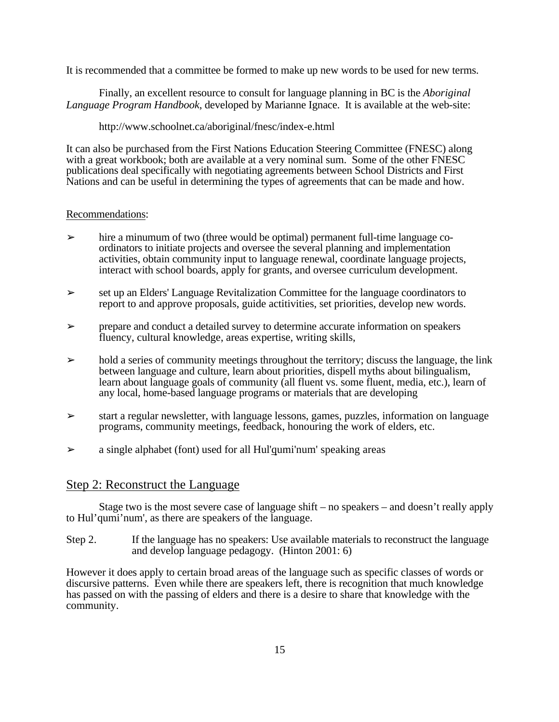It is recommended that a committee be formed to make up new words to be used for new terms.

Finally, an excellent resource to consult for language planning in BC is the *Aboriginal Language Program Handbook*, developed by Marianne Ignace. It is available at the web-site:

http://www.schoolnet.ca/aboriginal/fnesc/index-e.html

It can also be purchased from the First Nations Education Steering Committee (FNESC) along with a great workbook; both are available at a very nominal sum. Some of the other FNESC publications deal specifically with negotiating agreements between School Districts and First Nations and can be useful in determining the types of agreements that can be made and how.

#### Recommendations:

- $\geq$  hire a minumum of two (three would be optimal) permanent full-time language coordinators to initiate projects and oversee the several planning and implementation activities, obtain community input to language renewal, coordinate language projects, interact with school boards, apply for grants, and oversee curriculum development.
- ➢ set up an Elders' Language Revitalization Committee for the language coordinators to report to and approve proposals, guide actitivities, set priorities, develop new words.
- $\triangleright$  prepare and conduct a detailed survey to determine accurate information on speakers fluency, cultural knowledge, areas expertise, writing skills,
- $\triangleright$  hold a series of community meetings throughout the territory; discuss the language, the link between language and culture, learn about priorities, dispell myths about bilingualism, learn about language goals of community (all fluent vs. some fluent, media, etc.), learn of any local, home-based language programs or materials that are developing
- $\geq$  start a regular newsletter, with language lessons, games, puzzles, information on language programs, community meetings, feedback, honouring the work of elders, etc.
- $\geq$  a single alphabet (font) used for all Hul'qumi'num' speaking areas

## Step 2: Reconstruct the Language

Stage two is the most severe case of language shift – no speakers – and doesn't really apply to Hul'qumi'num', as there are speakers of the language.

Step 2. If the language has no speakers: Use available materials to reconstruct the language and develop language pedagogy. (Hinton 2001: 6)

However it does apply to certain broad areas of the language such as specific classes of words or discursive patterns. Even while there are speakers left, there is recognition that much knowledge has passed on with the passing of elders and there is a desire to share that knowledge with the community.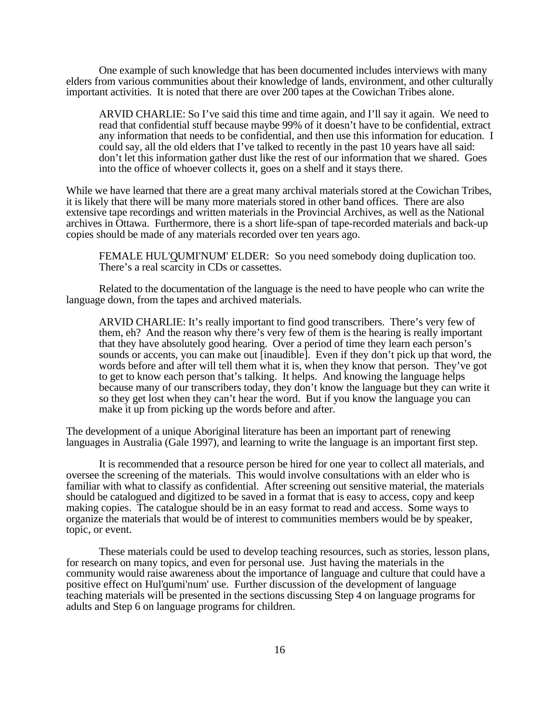One example of such knowledge that has been documented includes interviews with many elders from various communities about their knowledge of lands, environment, and other culturally important activities. It is noted that there are over 200 tapes at the Cowichan Tribes alone.

ARVID CHARLIE: So I've said this time and time again, and I'll say it again. We need to read that confidential stuff because maybe 99% of it doesn't have to be confidential, extract any information that needs to be confidential, and then use this information for education. I could say, all the old elders that I've talked to recently in the past 10 years have all said: don't let this information gather dust like the rest of our information that we shared. Goes into the office of whoever collects it, goes on a shelf and it stays there.

While we have learned that there are a great many archival materials stored at the Cowichan Tribes, it is likely that there will be many more materials stored in other band offices. There are also extensive tape recordings and written materials in the Provincial Archives, as well as the National archives in Ottawa. Furthermore, there is a short life-span of tape-recorded materials and back-up copies should be made of any materials recorded over ten years ago.

FEMALE HUL'QUMI'NUM' ELDER: So you need somebody doing duplication too. There's a real scarcity in CDs or cassettes.

Related to the documentation of the language is the need to have people who can write the language down, from the tapes and archived materials.

ARVID CHARLIE: It's really important to find good transcribers. There's very few of them, eh? And the reason why there's very few of them is the hearing is really important that they have absolutely good hearing. Over a period of time they learn each person's sounds or accents, you can make out [inaudible]. Even if they don't pick up that word, the words before and after will tell them what it is, when they know that person. They've got to get to know each person that's talking. It helps. And knowing the language helps because many of our transcribers today, they don't know the language but they can write it so they get lost when they can't hear the word. But if you know the language you can make it up from picking up the words before and after.

The development of a unique Aboriginal literature has been an important part of renewing languages in Australia (Gale 1997), and learning to write the language is an important first step.

It is recommended that a resource person be hired for one year to collect all materials, and oversee the screening of the materials. This would involve consultations with an elder who is familiar with what to classify as confidential. After screening out sensitive material, the materials should be catalogued and digitized to be saved in a format that is easy to access, copy and keep making copies. The catalogue should be in an easy format to read and access. Some ways to organize the materials that would be of interest to communities members would be by speaker, topic, or event.

These materials could be used to develop teaching resources, such as stories, lesson plans, for research on many topics, and even for personal use. Just having the materials in the community would raise awareness about the importance of language and culture that could have a positive effect on Hul'qumi'num' use. Further discussion of the development of language teaching materials will be presented in the sections discussing Step 4 on language programs for adults and Step 6 on language programs for children.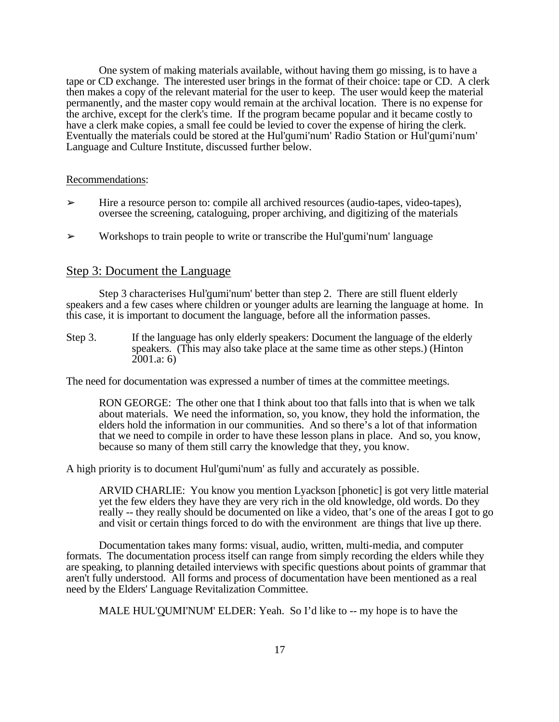One system of making materials available, without having them go missing, is to have a tape or CD exchange. The interested user brings in the format of their choice: tape or CD. A clerk then makes a copy of the relevant material for the user to keep. The user would keep the material permanently, and the master copy would remain at the archival location. There is no expense for the archive, except for the clerk's time. If the program became popular and it became costly to have a clerk make copies, a small fee could be levied to cover the expense of hiring the clerk. Eventually the materials could be stored at the Hul'qumi'num' Radio Station or Hul'qumi'num' Language and Culture Institute, discussed further below.

#### Recommendations:

- $\triangleright$  Hire a resource person to: compile all archived resources (audio-tapes, video-tapes), oversee the screening, cataloguing, proper archiving, and digitizing of the materials
- $\triangleright$  Workshops to train people to write or transcribe the Hul'qumi'num' language

## Step 3: Document the Language

Step 3 characterises Hul'qumi'num' better than step 2. There are still fluent elderly speakers and a few cases where children or younger adults are learning the language at home. In this case, it is important to document the language, before all the information passes.

Step 3. If the language has only elderly speakers: Document the language of the elderly speakers. (This may also take place at the same time as other steps.) (Hinton 2001.a: 6)

The need for documentation was expressed a number of times at the committee meetings.

RON GEORGE: The other one that I think about too that falls into that is when we talk about materials. We need the information, so, you know, they hold the information, the elders hold the information in our communities. And so there's a lot of that information that we need to compile in order to have these lesson plans in place. And so, you know, because so many of them still carry the knowledge that they, you know.

A high priority is to document Hul'qumi'num' as fully and accurately as possible.

ARVID CHARLIE: You know you mention Lyackson [phonetic] is got very little material yet the few elders they have they are very rich in the old knowledge, old words. Do they really -- they really should be documented on like a video, that's one of the areas I got to go and visit or certain things forced to do with the environment are things that live up there.

Documentation takes many forms: visual, audio, written, multi-media, and computer formats. The documentation process itself can range from simply recording the elders while they are speaking, to planning detailed interviews with specific questions about points of grammar that aren't fully understood. All forms and process of documentation have been mentioned as a real need by the Elders' Language Revitalization Committee.

MALE HUL'QUMI'NUM' ELDER: Yeah. So I'd like to -- my hope is to have the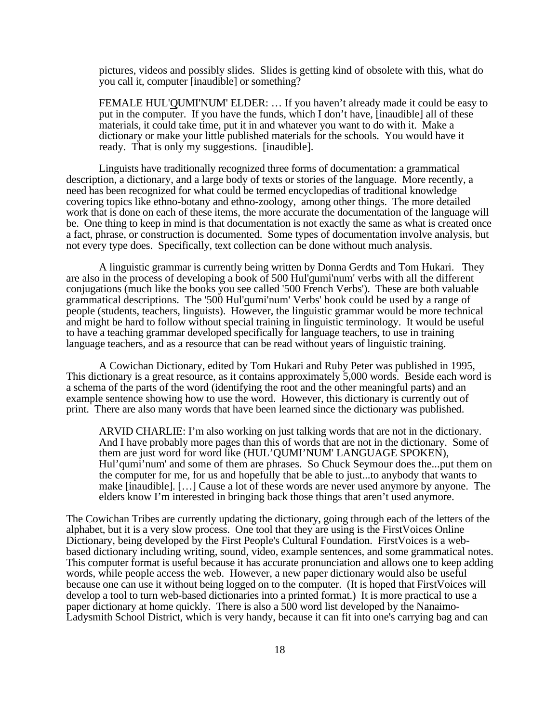pictures, videos and possibly slides. Slides is getting kind of obsolete with this, what do you call it, computer [inaudible] or something?

FEMALE HUL'QUMI'NUM' ELDER: … If you haven't already made it could be easy to put in the computer. If you have the funds, which I don't have, [inaudible] all of these materials, it could take time, put it in and whatever you want to do with it. Make a dictionary or make your little published materials for the schools. You would have it ready. That is only my suggestions. [inaudible].

Linguists have traditionally recognized three forms of documentation: a grammatical description, a dictionary, and a large body of texts or stories of the language. More recently, a need has been recognized for what could be termed encyclopedias of traditional knowledge covering topics like ethno-botany and ethno-zoology, among other things. The more detailed work that is done on each of these items, the more accurate the documentation of the language will be. One thing to keep in mind is that documentation is not exactly the same as what is created once a fact, phrase, or construction is documented. Some types of documentation involve analysis, but not every type does. Specifically, text collection can be done without much analysis.

A linguistic grammar is currently being written by Donna Gerdts and Tom Hukari. They are also in the process of developing a book of 500 Hul'qumi'num' verbs with all the different conjugations (much like the books you see called '500 French Verbs'). These are both valuable grammatical descriptions. The '500 Hul'qumi'num' Verbs' book could be used by a range of people (students, teachers, linguists). However, the linguistic grammar would be more technical and might be hard to follow without special training in linguistic terminology. It would be useful to have a teaching grammar developed specifically for language teachers, to use in training language teachers, and as a resource that can be read without years of linguistic training.

A Cowichan Dictionary, edited by Tom Hukari and Ruby Peter was published in 1995, This dictionary is a great resource, as it contains approximately 5,000 words. Beside each word is a schema of the parts of the word (identifying the root and the other meaningful parts) and an example sentence showing how to use the word. However, this dictionary is currently out of print. There are also many words that have been learned since the dictionary was published.

ARVID CHARLIE: I'm also working on just talking words that are not in the dictionary. And I have probably more pages than this of words that are not in the dictionary. Some of them are just word for word like (HUL'QUMI'NUM' LANGUAGE SPOKEN), Hul'qumi'num' and some of them are phrases. So Chuck Seymour does the...put them on the computer for me, for us and hopefully that be able to just...to anybody that wants to make [inaudible]. […] Cause a lot of these words are never used anymore by anyone. The elders know I'm interested in bringing back those things that aren't used anymore.

The Cowichan Tribes are currently updating the dictionary, going through each of the letters of the alphabet, but it is a very slow process. One tool that they are using is the FirstVoices Online Dictionary, being developed by the First People's Cultural Foundation. FirstVoices is a webbased dictionary including writing, sound, video, example sentences, and some grammatical notes. This computer format is useful because it has accurate pronunciation and allows one to keep adding words, while people access the web. However, a new paper dictionary would also be useful because one can use it without being logged on to the computer. (It is hoped that FirstVoices will develop a tool to turn web-based dictionaries into a printed format.) It is more practical to use a paper dictionary at home quickly. There is also a 500 word list developed by the Nanaimo-Ladysmith School District, which is very handy, because it can fit into one's carrying bag and can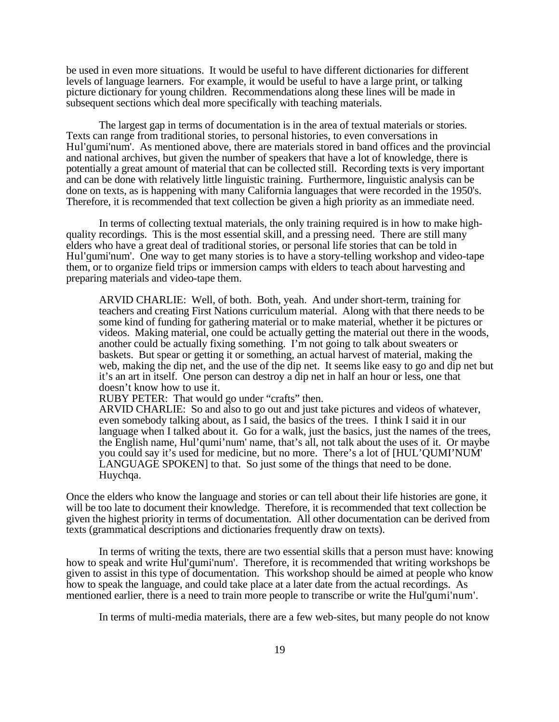be used in even more situations. It would be useful to have different dictionaries for different levels of language learners. For example, it would be useful to have a large print, or talking picture dictionary for young children. Recommendations along these lines will be made in subsequent sections which deal more specifically with teaching materials.

The largest gap in terms of documentation is in the area of textual materials or stories. Texts can range from traditional stories, to personal histories, to even conversations in Hul'qumi'num'. As mentioned above, there are materials stored in band offices and the provincial and national archives, but given the number of speakers that have a lot of knowledge, there is potentially a great amount of material that can be collected still. Recording texts is very important and can be done with relatively little linguistic training. Furthermore, linguistic analysis can be done on texts, as is happening with many California languages that were recorded in the 1950's. Therefore, it is recommended that text collection be given a high priority as an immediate need.

In terms of collecting textual materials, the only training required is in how to make highquality recordings. This is the most essential skill, and a pressing need. There are still many elders who have a great deal of traditional stories, or personal life stories that can be told in Hul'qumi'num'. One way to get many stories is to have a story-telling workshop and video-tape them, or to organize field trips or immersion camps with elders to teach about harvesting and preparing materials and video-tape them.

ARVID CHARLIE: Well, of both. Both, yeah. And under short-term, training for teachers and creating First Nations curriculum material. Along with that there needs to be some kind of funding for gathering material or to make material, whether it be pictures or videos. Making material, one could be actually getting the material out there in the woods, another could be actually fixing something. I'm not going to talk about sweaters or baskets. But spear or getting it or something, an actual harvest of material, making the web, making the dip net, and the use of the dip net. It seems like easy to go and dip net but it's an art in itself. One person can destroy a dip net in half an hour or less, one that doesn't know how to use it.

RUBY PETER: That would go under "crafts" then.

ARVID CHARLIE: So and also to go out and just take pictures and videos of whatever, even somebody talking about, as I said, the basics of the trees. I think I said it in our language when I talked about it. Go for a walk, just the basics, just the names of the trees, the English name, Hul'qumi'num' name, that's all, not talk about the uses of it. Or maybe you could say it's used for medicine, but no more. There's a lot of [HUL'QUMI'NUM' LANGUAGE SPOKEN] to that. So just some of the things that need to be done. Huychqa.

Once the elders who know the language and stories or can tell about their life histories are gone, it will be too late to document their knowledge. Therefore, it is recommended that text collection be given the highest priority in terms of documentation. All other documentation can be derived from texts (grammatical descriptions and dictionaries frequently draw on texts).

In terms of writing the texts, there are two essential skills that a person must have: knowing how to speak and write Hul'qumi'num'. Therefore, it is recommended that writing workshops be given to assist in this type of documentation. This workshop should be aimed at people who know how to speak the language, and could take place at a later date from the actual recordings. As mentioned earlier, there is a need to train more people to transcribe or write the Hul'qumi'num'.

In terms of multi-media materials, there are a few web-sites, but many people do not know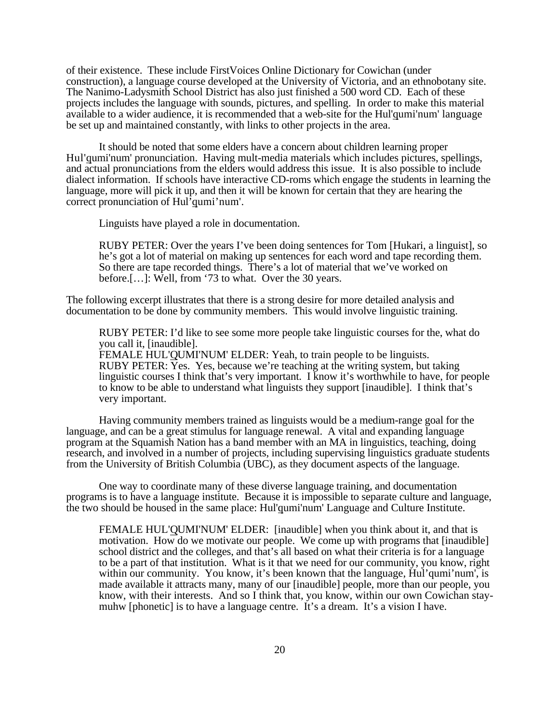of their existence. These include FirstVoices Online Dictionary for Cowichan (under construction), a language course developed at the University of Victoria, and an ethnobotany site. The Nanimo-Ladysmith School District has also just finished a 500 word CD. Each of these projects includes the language with sounds, pictures, and spelling. In order to make this material available to a wider audience, it is recommended that a web-site for the Hul'qumi'num' language be set up and maintained constantly, with links to other projects in the area.

It should be noted that some elders have a concern about children learning proper Hul'qumi'num' pronunciation. Having mult-media materials which includes pictures, spellings, and actual pronunciations from the elders would address this issue. It is also possible to include dialect information. If schools have interactive CD-roms which engage the students in learning the language, more will pick it up, and then it will be known for certain that they are hearing the correct pronunciation of Hul'qumi'num'.

Linguists have played a role in documentation.

RUBY PETER: Over the years I've been doing sentences for Tom [Hukari, a linguist], so he's got a lot of material on making up sentences for each word and tape recording them. So there are tape recorded things. There's a lot of material that we've worked on before.[…]: Well, from '73 to what. Over the 30 years.

The following excerpt illustrates that there is a strong desire for more detailed analysis and documentation to be done by community members. This would involve linguistic training.

RUBY PETER: I'd like to see some more people take linguistic courses for the, what do you call it, [inaudible]. FEMALE HUL'QUMI'NUM' ELDER: Yeah, to train people to be linguists. RUBY PETER: Yes. Yes, because we're teaching at the writing system, but taking linguistic courses I think that's very important. I know it's worthwhile to have, for people to know to be able to understand what linguists they support [inaudible]. I think that's very important.

Having community members trained as linguists would be a medium-range goal for the language, and can be a great stimulus for language renewal. A vital and expanding language program at the Squamish Nation has a band member with an MA in linguistics, teaching, doing research, and involved in a number of projects, including supervising linguistics graduate students from the University of British Columbia (UBC), as they document aspects of the language.

One way to coordinate many of these diverse language training, and documentation programs is to have a language institute. Because it is impossible to separate culture and language, the two should be housed in the same place: Hul'qumi'num' Language and Culture Institute.

FEMALE HUL'QUMI'NUM' ELDER: [inaudible] when you think about it, and that is motivation. How do we motivate our people. We come up with programs that [inaudible] school district and the colleges, and that's all based on what their criteria is for a language to be a part of that institution. What is it that we need for our community, you know, right within our community. You know, it's been known that the language, Hul'qumi'num', is made available it attracts many, many of our [inaudible] people, more than our people, you know, with their interests. And so I think that, you know, within our own Cowichan staymuhw [phonetic] is to have a language centre. It's a dream. It's a vision I have.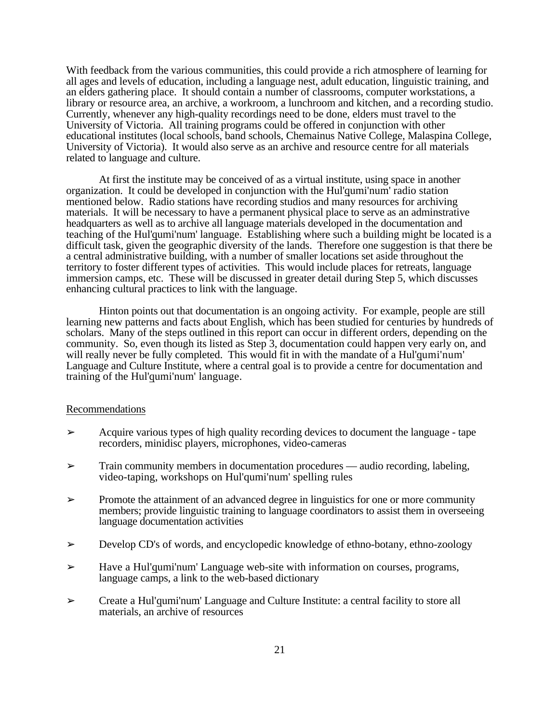With feedback from the various communities, this could provide a rich atmosphere of learning for all ages and levels of education, including a language nest, adult education, linguistic training, and an elders gathering place. It should contain a number of classrooms, computer workstations, a library or resource area, an archive, a workroom, a lunchroom and kitchen, and a recording studio. Currently, whenever any high-quality recordings need to be done, elders must travel to the University of Victoria. All training programs could be offered in conjunction with other educational institutes (local schools, band schools, Chemainus Native College, Malaspina College, University of Victoria). It would also serve as an archive and resource centre for all materials related to language and culture.

At first the institute may be conceived of as a virtual institute, using space in another organization. It could be developed in conjunction with the Hul'qumi'num' radio station mentioned below. Radio stations have recording studios and many resources for archiving materials. It will be necessary to have a permanent physical place to serve as an adminstrative headquarters as well as to archive all language materials developed in the documentation and teaching of the Hul'qumi'num' language. Establishing where such a building might be located is a difficult task, given the geographic diversity of the lands. Therefore one suggestion is that there be a central administrative building, with a number of smaller locations set aside throughout the territory to foster different types of activities. This would include places for retreats, language immersion camps, etc. These will be discussed in greater detail during Step 5, which discusses enhancing cultural practices to link with the language.

Hinton points out that documentation is an ongoing activity. For example, people are still learning new patterns and facts about English, which has been studied for centuries by hundreds of scholars. Many of the steps outlined in this report can occur in different orders, depending on the community. So, even though its listed as Step 3, documentation could happen very early on, and will really never be fully completed. This would fit in with the mandate of a Hul'qumi'num' Language and Culture Institute, where a central goal is to provide a centre for documentation and training of the Hul'qumi'num' language.

#### Recommendations

- $\geq$  Acquire various types of high quality recording devices to document the language tape recorders, minidisc players, microphones, video-cameras
- ➢ Train community members in documentation procedures audio recording, labeling, video-taping, workshops on Hul'qumi'num' spelling rules
- $\triangleright$  Promote the attainment of an advanced degree in linguistics for one or more community members; provide linguistic training to language coordinators to assist them in overseeing language documentation activities
- $\triangleright$  Develop CD's of words, and encyclopedic knowledge of ethno-botany, ethno-zoology
- ➢ Have a Hul'qumi'num' Language web-site with information on courses, programs, language camps, a link to the web-based dictionary
- ➢ Create a Hul'qumi'num' Language and Culture Institute: a central facility to store all materials, an archive of resources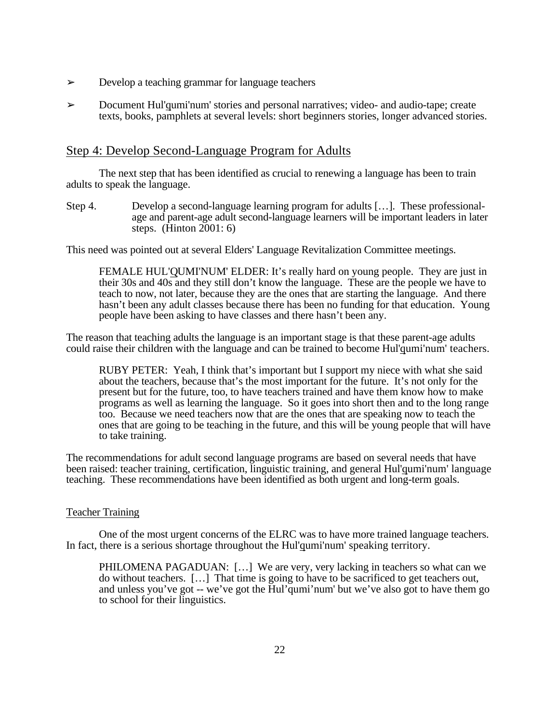- ➢ Develop a teaching grammar for language teachers
- ➢ Document Hul'qumi'num' stories and personal narratives; video- and audio-tape; create texts, books, pamphlets at several levels: short beginners stories, longer advanced stories.

## Step 4: Develop Second-Language Program for Adults

The next step that has been identified as crucial to renewing a language has been to train adults to speak the language.

Step 4. Develop a second-language learning program for adults […]. These professionalage and parent-age adult second-language learners will be important leaders in later steps. (Hinton 2001: 6)

This need was pointed out at several Elders' Language Revitalization Committee meetings.

FEMALE HUL'QUMI'NUM' ELDER: It's really hard on young people. They are just in their 30s and 40s and they still don't know the language. These are the people we have to teach to now, not later, because they are the ones that are starting the language. And there hasn't been any adult classes because there has been no funding for that education. Young people have been asking to have classes and there hasn't been any.

The reason that teaching adults the language is an important stage is that these parent-age adults could raise their children with the language and can be trained to become Hul'qumi'num' teachers.

RUBY PETER: Yeah, I think that's important but I support my niece with what she said about the teachers, because that's the most important for the future. It's not only for the present but for the future, too, to have teachers trained and have them know how to make programs as well as learning the language. So it goes into short then and to the long range too. Because we need teachers now that are the ones that are speaking now to teach the ones that are going to be teaching in the future, and this will be young people that will have to take training.

The recommendations for adult second language programs are based on several needs that have been raised: teacher training, certification, linguistic training, and general Hul'qumi'num' language teaching. These recommendations have been identified as both urgent and long-term goals.

#### Teacher Training

One of the most urgent concerns of the ELRC was to have more trained language teachers. In fact, there is a serious shortage throughout the Hul'qumi'num' speaking territory.

PHILOMENA PAGADUAN: […] We are very, very lacking in teachers so what can we do without teachers. […] That time is going to have to be sacrificed to get teachers out, and unless you've got -- we've got the Hul'qumi'num' but we've also got to have them go to school for their linguistics.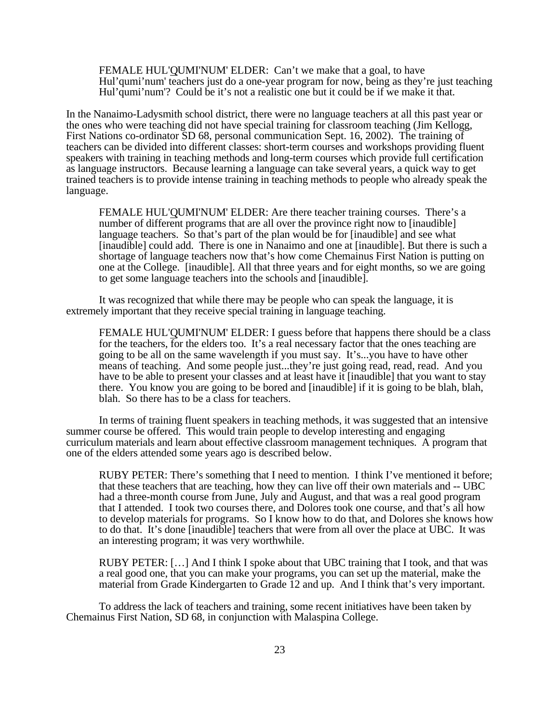FEMALE HUL'QUMI'NUM' ELDER: Can't we make that a goal, to have Hul'qumi'num' teachers just do a one-year program for now, being as they're just teaching Hul'qumi'num'? Could be it's not a realistic one but it could be if we make it that.

In the Nanaimo-Ladysmith school district, there were no language teachers at all this past year or the ones who were teaching did not have special training for classroom teaching (Jim Kellogg, First Nations co-ordinator SD 68, personal communication Sept. 16, 2002). The training of teachers can be divided into different classes: short-term courses and workshops providing fluent speakers with training in teaching methods and long-term courses which provide full certification as language instructors. Because learning a language can take several years, a quick way to get trained teachers is to provide intense training in teaching methods to people who already speak the language.

FEMALE HUL'QUMI'NUM' ELDER: Are there teacher training courses. There's a number of different programs that are all over the province right now to [inaudible] language teachers. So that's part of the plan would be for [inaudible] and see what [inaudible] could add. There is one in Nanaimo and one at [inaudible]. But there is such a shortage of language teachers now that's how come Chemainus First Nation is putting on one at the College. [inaudible]. All that three years and for eight months, so we are going to get some language teachers into the schools and [inaudible].

It was recognized that while there may be people who can speak the language, it is extremely important that they receive special training in language teaching.

FEMALE HUL'QUMI'NUM' ELDER: I guess before that happens there should be a class for the teachers, for the elders too. It's a real necessary factor that the ones teaching are going to be all on the same wavelength if you must say. It's...you have to have other means of teaching. And some people just...they're just going read, read, read. And you have to be able to present your classes and at least have it [inaudible] that you want to stay there. You know you are going to be bored and [inaudible] if it is going to be blah, blah, blah. So there has to be a class for teachers.

In terms of training fluent speakers in teaching methods, it was suggested that an intensive summer course be offered. This would train people to develop interesting and engaging curriculum materials and learn about effective classroom management techniques. A program that one of the elders attended some years ago is described below.

RUBY PETER: There's something that I need to mention. I think I've mentioned it before; that these teachers that are teaching, how they can live off their own materials and -- UBC had a three-month course from June, July and August, and that was a real good program that I attended. I took two courses there, and Dolores took one course, and that's all how to develop materials for programs. So I know how to do that, and Dolores she knows how to do that. It's done [inaudible] teachers that were from all over the place at UBC. It was an interesting program; it was very worthwhile.

RUBY PETER: […] And I think I spoke about that UBC training that I took, and that was a real good one, that you can make your programs, you can set up the material, make the material from Grade Kindergarten to Grade 12 and up. And I think that's very important.

To address the lack of teachers and training, some recent initiatives have been taken by Chemainus First Nation, SD 68, in conjunction with Malaspina College.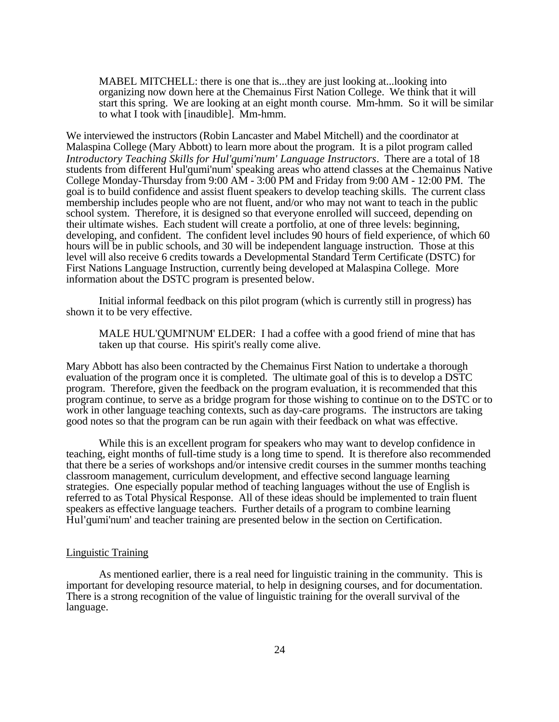MABEL MITCHELL: there is one that is...they are just looking at...looking into organizing now down here at the Chemainus First Nation College. We think that it will start this spring. We are looking at an eight month course. Mm-hmm. So it will be similar to what I took with [inaudible]. Mm-hmm.

We interviewed the instructors (Robin Lancaster and Mabel Mitchell) and the coordinator at Malaspina College (Mary Abbott) to learn more about the program. It is a pilot program called *Introductory Teaching Skills for Hul'qumi'num' Language Instructors*. There are a total of 18 students from different Hul'qumi'num' speaking areas who attend classes at the Chemainus Native College Monday-Thursday from 9:00 AM - 3:00 PM and Friday from 9:00 AM - 12:00 PM. The goal is to build confidence and assist fluent speakers to develop teaching skills. The current class membership includes people who are not fluent, and/or who may not want to teach in the public school system. Therefore, it is designed so that everyone enrolled will succeed, depending on their ultimate wishes. Each student will create a portfolio, at one of three levels: beginning, developing, and confident. The confident level includes 90 hours of field experience, of which 60 hours will be in public schools, and 30 will be independent language instruction. Those at this level will also receive 6 credits towards a Developmental Standard Term Certificate (DSTC) for First Nations Language Instruction, currently being developed at Malaspina College. More information about the DSTC program is presented below.

Initial informal feedback on this pilot program (which is currently still in progress) has shown it to be very effective.

MALE HUL'QUMI'NUM' ELDER: I had a coffee with a good friend of mine that has taken up that course. His spirit's really come alive.

Mary Abbott has also been contracted by the Chemainus First Nation to undertake a thorough evaluation of the program once it is completed. The ultimate goal of this is to develop a DSTC program. Therefore, given the feedback on the program evaluation, it is recommended that this program continue, to serve as a bridge program for those wishing to continue on to the DSTC or to work in other language teaching contexts, such as day-care programs. The instructors are taking good notes so that the program can be run again with their feedback on what was effective.

While this is an excellent program for speakers who may want to develop confidence in teaching, eight months of full-time study is a long time to spend. It is therefore also recommended that there be a series of workshops and/or intensive credit courses in the summer months teaching classroom management, curriculum development, and effective second language learning strategies. One especially popular method of teaching languages without the use of English is referred to as Total Physical Response. All of these ideas should be implemented to train fluent speakers as effective language teachers. Further details of a program to combine learning Hul'qumi'num' and teacher training are presented below in the section on Certification.

#### Linguistic Training

As mentioned earlier, there is a real need for linguistic training in the community. This is important for developing resource material, to help in designing courses, and for documentation. There is a strong recognition of the value of linguistic training for the overall survival of the language.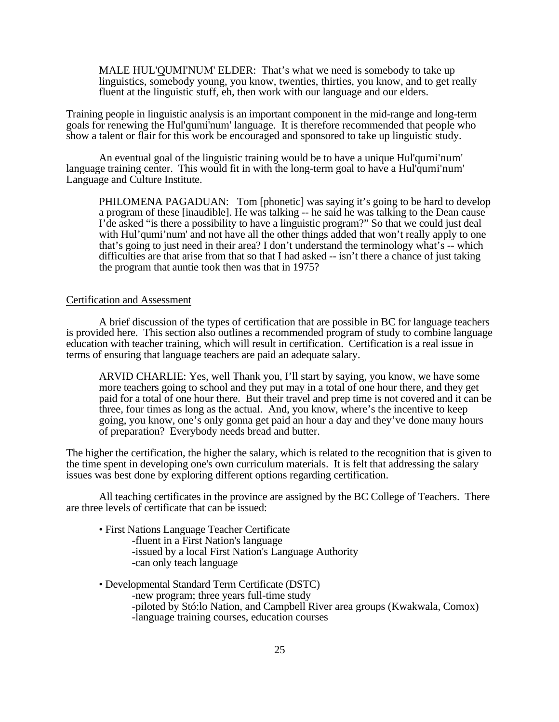MALE HUL'QUMI'NUM' ELDER: That's what we need is somebody to take up linguistics, somebody young, you know, twenties, thirties, you know, and to get really fluent at the linguistic stuff, eh, then work with our language and our elders.

Training people in linguistic analysis is an important component in the mid-range and long-term goals for renewing the Hul'qumi'num' language. It is therefore recommended that people who show a talent or flair for this work be encouraged and sponsored to take up linguistic study.

An eventual goal of the linguistic training would be to have a unique Hul'qumi'num' language training center. This would fit in with the long-term goal to have a Hul'qumi'num' Language and Culture Institute.

PHILOMENA PAGADUAN: Tom [phonetic] was saying it's going to be hard to develop a program of these [inaudible]. He was talking -- he said he was talking to the Dean cause I'de asked "is there a possibility to have a linguistic program?" So that we could just deal with Hul'qumi'num' and not have all the other things added that won't really apply to one that's going to just need in their area? I don't understand the terminology what's -- which difficulties are that arise from that so that I had asked -- isn't there a chance of just taking the program that auntie took then was that in 1975?

#### Certification and Assessment

A brief discussion of the types of certification that are possible in BC for language teachers is provided here. This section also outlines a recommended program of study to combine language education with teacher training, which will result in certification. Certification is a real issue in terms of ensuring that language teachers are paid an adequate salary.

ARVID CHARLIE: Yes, well Thank you, I'll start by saying, you know, we have some more teachers going to school and they put may in a total of one hour there, and they get paid for a total of one hour there. But their travel and prep time is not covered and it can be three, four times as long as the actual. And, you know, where's the incentive to keep going, you know, one's only gonna get paid an hour a day and they've done many hours of preparation? Everybody needs bread and butter.

The higher the certification, the higher the salary, which is related to the recognition that is given to the time spent in developing one's own curriculum materials. It is felt that addressing the salary issues was best done by exploring different options regarding certification.

All teaching certificates in the province are assigned by the BC College of Teachers. There are three levels of certificate that can be issued:

- First Nations Language Teacher Certificate
	- -fluent in a First Nation's language

-issued by a local First Nation's Language Authority -can only teach language

- Developmental Standard Term Certificate (DSTC)
	- -new program; three years full-time study
		- -piloted by Stó:lo Nation, and Campbell River area groups (Kwakwala, Comox) -language training courses, education courses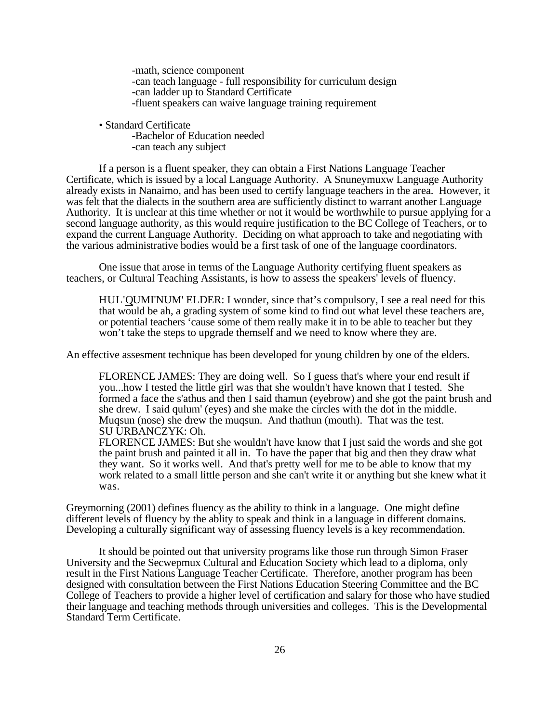-math, science component -can teach language - full responsibility for curriculum design -can ladder up to Standard Certificate -fluent speakers can waive language training requirement

• Standard Certificate

-Bachelor of Education needed -can teach any subject

If a person is a fluent speaker, they can obtain a First Nations Language Teacher Certificate, which is issued by a local Language Authority. A Snuneymuxw Language Authority already exists in Nanaimo, and has been used to certify language teachers in the area. However, it was felt that the dialects in the southern area are sufficiently distinct to warrant another Language Authority. It is unclear at this time whether or not it would be worthwhile to pursue applying for a second language authority, as this would require justification to the BC College of Teachers, or to expand the current Language Authority. Deciding on what approach to take and negotiating with the various administrative bodies would be a first task of one of the language coordinators.

One issue that arose in terms of the Language Authority certifying fluent speakers as teachers, or Cultural Teaching Assistants, is how to assess the speakers' levels of fluency.

HUL'QUMI'NUM' ELDER: I wonder, since that's compulsory, I see a real need for this that would be ah, a grading system of some kind to find out what level these teachers are, or potential teachers 'cause some of them really make it in to be able to teacher but they won't take the steps to upgrade themself and we need to know where they are.

An effective assesment technique has been developed for young children by one of the elders.

FLORENCE JAMES: They are doing well. So I guess that's where your end result if you...how I tested the little girl was that she wouldn't have known that I tested. She formed a face the s'athus and then I said thamun (eyebrow) and she got the paint brush and she drew. I said qulum' (eyes) and she make the circles with the dot in the middle. Muqsun (nose) she drew the muqsun. And thathun (mouth). That was the test. SU URBANCZYK: Oh.

FLORENCE JAMES: But she wouldn't have know that I just said the words and she got the paint brush and painted it all in. To have the paper that big and then they draw what they want. So it works well. And that's pretty well for me to be able to know that my work related to a small little person and she can't write it or anything but she knew what it was.

Greymorning (2001) defines fluency as the ability to think in a language. One might define different levels of fluency by the ablity to speak and think in a language in different domains. Developing a culturally significant way of assessing fluency levels is a key recommendation.

It should be pointed out that university programs like those run through Simon Fraser University and the Secwepmux Cultural and Education Society which lead to a diploma, only result in the First Nations Language Teacher Certificate. Therefore, another program has been designed with consultation between the First Nations Education Steering Committee and the BC College of Teachers to provide a higher level of certification and salary for those who have studied their language and teaching methods through universities and colleges. This is the Developmental Standard Term Certificate.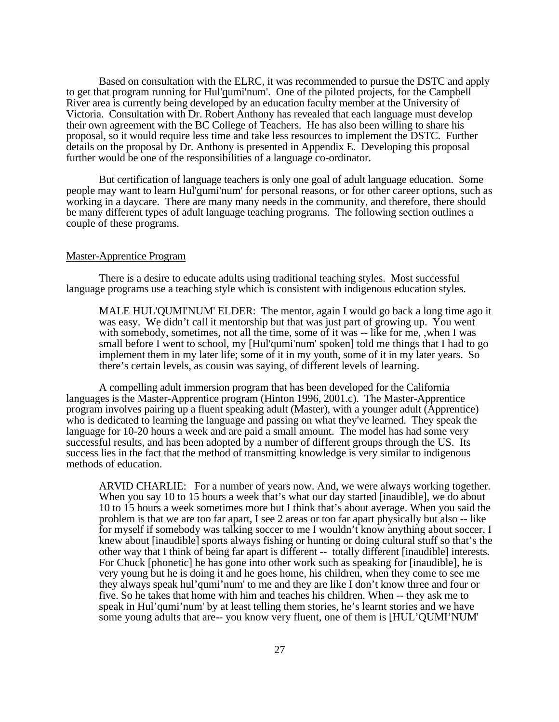Based on consultation with the ELRC, it was recommended to pursue the DSTC and apply to get that program running for Hul'qumi'num'. One of the piloted projects, for the Campbell River area is currently being developed by an education faculty member at the University of Victoria. Consultation with Dr. Robert Anthony has revealed that each language must develop their own agreement with the BC College of Teachers. He has also been willing to share his proposal, so it would require less time and take less resources to implement the DSTC. Further details on the proposal by Dr. Anthony is presented in Appendix E. Developing this proposal further would be one of the responsibilities of a language co-ordinator.

But certification of language teachers is only one goal of adult language education. Some people may want to learn Hul'qumi'num' for personal reasons, or for other career options, such as working in a daycare. There are many many needs in the community, and therefore, there should be many different types of adult language teaching programs. The following section outlines a couple of these programs.

#### Master-Apprentice Program

There is a desire to educate adults using traditional teaching styles. Most successful language programs use a teaching style which is consistent with indigenous education styles.

MALE HUL'QUMI'NUM' ELDER: The mentor, again I would go back a long time ago it was easy. We didn't call it mentorship but that was just part of growing up. You went with somebody, sometimes, not all the time, some of it was -- like for me, , when I was small before I went to school, my [Hul'qumi'num' spoken] told me things that I had to go implement them in my later life; some of it in my youth, some of it in my later years. So there's certain levels, as cousin was saying, of different levels of learning.

A compelling adult immersion program that has been developed for the California languages is the Master-Apprentice program (Hinton 1996, 2001.c). The Master-Apprentice program involves pairing up a fluent speaking adult (Master), with a younger adult (Apprentice) who is dedicated to learning the language and passing on what they've learned. They speak the language for 10-20 hours a week and are paid a small amount. The model has had some very successful results, and has been adopted by a number of different groups through the US. Its success lies in the fact that the method of transmitting knowledge is very similar to indigenous methods of education.

ARVID CHARLIE: For a number of years now. And, we were always working together. When you say 10 to 15 hours a week that's what our day started [inaudible], we do about 10 to 15 hours a week sometimes more but I think that's about average. When you said the problem is that we are too far apart, I see 2 areas or too far apart physically but also -- like for myself if somebody was talking soccer to me I wouldn't know anything about soccer, I knew about [inaudible] sports always fishing or hunting or doing cultural stuff so that's the other way that I think of being far apart is different -- totally different [inaudible] interests. For Chuck [phonetic] he has gone into other work such as speaking for [inaudible], he is very young but he is doing it and he goes home, his children, when they come to see me they always speak hul'qumi'num' to me and they are like I don't know three and four or five. So he takes that home with him and teaches his children. When -- they ask me to speak in Hul'qumi'num' by at least telling them stories, he's learnt stories and we have some young adults that are-- you know very fluent, one of them is [HUL'QUMI'NUM'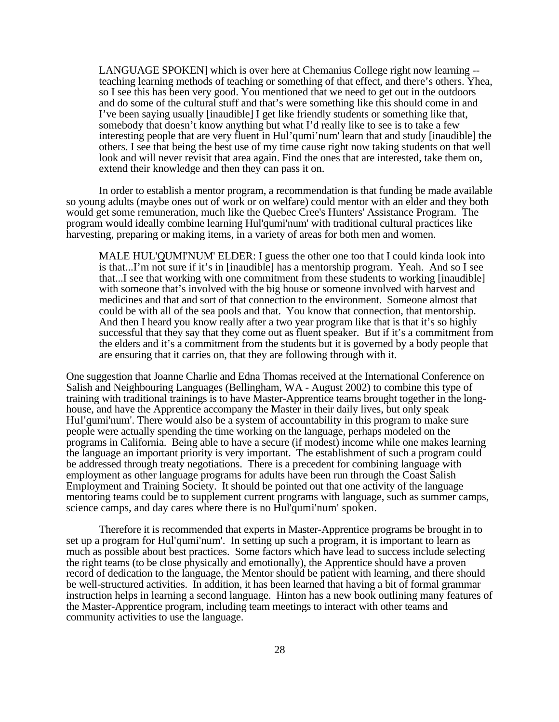LANGUAGE SPOKEN] which is over here at Chemanius College right now learning - teaching learning methods of teaching or something of that effect, and there's others. Yhea, so I see this has been very good. You mentioned that we need to get out in the outdoors and do some of the cultural stuff and that's were something like this should come in and I've been saying usually [inaudible] I get like friendly students or something like that, somebody that doesn't know anything but what I'd really like to see is to take a few interesting people that are very fluent in Hul'qumi'num' learn that and study [inaudible] the others. I see that being the best use of my time cause right now taking students on that well look and will never revisit that area again. Find the ones that are interested, take them on, extend their knowledge and then they can pass it on.

In order to establish a mentor program, a recommendation is that funding be made available so young adults (maybe ones out of work or on welfare) could mentor with an elder and they both would get some remuneration, much like the Quebec Cree's Hunters' Assistance Program. The program would ideally combine learning Hul'qumi'num' with traditional cultural practices like harvesting, preparing or making items, in a variety of areas for both men and women.

MALE HUL'QUMI'NUM' ELDER: I guess the other one too that I could kinda look into is that...I'm not sure if it's in [inaudible] has a mentorship program. Yeah. And so I see that...I see that working with one commitment from these students to working [inaudible] with someone that's involved with the big house or someone involved with harvest and medicines and that and sort of that connection to the environment. Someone almost that could be with all of the sea pools and that. You know that connection, that mentorship. And then I heard you know really after a two year program like that is that it's so highly successful that they say that they come out as fluent speaker. But if it's a commitment from the elders and it's a commitment from the students but it is governed by a body people that are ensuring that it carries on, that they are following through with it.

One suggestion that Joanne Charlie and Edna Thomas received at the International Conference on Salish and Neighbouring Languages (Bellingham, WA - August 2002) to combine this type of training with traditional trainings is to have Master-Apprentice teams brought together in the longhouse, and have the Apprentice accompany the Master in their daily lives, but only speak Hul'qumi'num'. There would also be a system of accountability in this program to make sure people were actually spending the time working on the language, perhaps modeled on the programs in California. Being able to have a secure (if modest) income while one makes learning the language an important priority is very important. The establishment of such a program could be addressed through treaty negotiations. There is a precedent for combining language with employment as other language programs for adults have been run through the Coast Salish Employment and Training Society. It should be pointed out that one activity of the language mentoring teams could be to supplement current programs with language, such as summer camps, science camps, and day cares where there is no Hul'qumi'num' spoken.

Therefore it is recommended that experts in Master-Apprentice programs be brought in to set up a program for Hul'qumi'num'. In setting up such a program, it is important to learn as much as possible about best practices. Some factors which have lead to success include selecting the right teams (to be close physically and emotionally), the Apprentice should have a proven record of dedication to the language, the Mentor should be patient with learning, and there should be well-structured activities. In addition, it has been learned that having a bit of formal grammar instruction helps in learning a second language. Hinton has a new book outlining many features of the Master-Apprentice program, including team meetings to interact with other teams and community activities to use the language.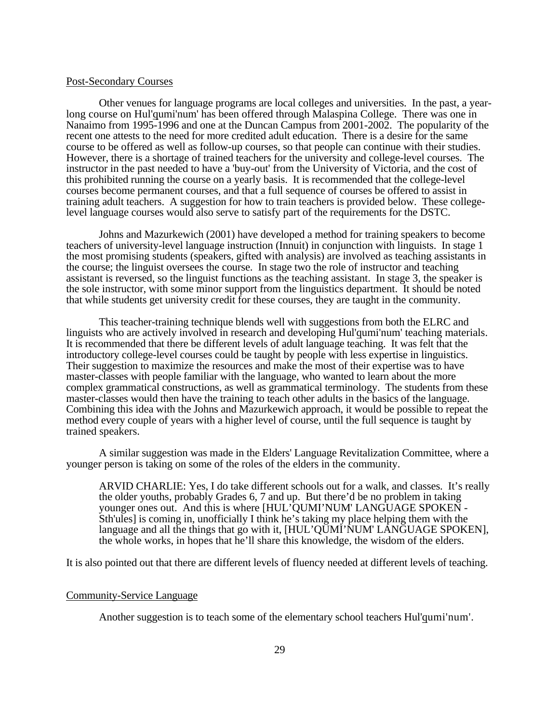#### Post-Secondary Courses

Other venues for language programs are local colleges and universities. In the past, a yearlong course on Hul'qumi'num' has been offered through Malaspina College. There was one in Nanaimo from 1995-1996 and one at the Duncan Campus from 2001-2002. The popularity of the recent one attests to the need for more credited adult education. There is a desire for the same course to be offered as well as follow-up courses, so that people can continue with their studies. However, there is a shortage of trained teachers for the university and college-level courses. The instructor in the past needed to have a 'buy-out' from the University of Victoria, and the cost of this prohibited running the course on a yearly basis. It is recommended that the college-level courses become permanent courses, and that a full sequence of courses be offered to assist in training adult teachers. A suggestion for how to train teachers is provided below. These collegelevel language courses would also serve to satisfy part of the requirements for the DSTC.

Johns and Mazurkewich (2001) have developed a method for training speakers to become teachers of university-level language instruction (Innuit) in conjunction with linguists. In stage 1 the most promising students (speakers, gifted with analysis) are involved as teaching assistants in the course; the linguist oversees the course. In stage two the role of instructor and teaching assistant is reversed, so the linguist functions as the teaching assistant. In stage 3, the speaker is the sole instructor, with some minor support from the linguistics department. It should be noted that while students get university credit for these courses, they are taught in the community.

This teacher-training technique blends well with suggestions from both the ELRC and linguists who are actively involved in research and developing Hul'qumi'num' teaching materials. It is recommended that there be different levels of adult language teaching. It was felt that the introductory college-level courses could be taught by people with less expertise in linguistics. Their suggestion to maximize the resources and make the most of their expertise was to have master-classes with people familiar with the language, who wanted to learn about the more complex grammatical constructions, as well as grammatical terminology. The students from these master-classes would then have the training to teach other adults in the basics of the language. Combining this idea with the Johns and Mazurkewich approach, it would be possible to repeat the method every couple of years with a higher level of course, until the full sequence is taught by trained speakers.

A similar suggestion was made in the Elders' Language Revitalization Committee, where a younger person is taking on some of the roles of the elders in the community.

ARVID CHARLIE: Yes, I do take different schools out for a walk, and classes. It's really the older youths, probably Grades 6, 7 and up. But there'd be no problem in taking younger ones out. And this is where [HUL'QUMI'NUM' LANGUAGE SPOKEN - Sth'ules] is coming in, unofficially I think he's taking my place helping them with the language and all the things that go with it, [HUL'QUMI'NUM' LANGUAGE SPOKEN], the whole works, in hopes that he'll share this knowledge, the wisdom of the elders.

It is also pointed out that there are different levels of fluency needed at different levels of teaching.

#### Community-Service Language

Another suggestion is to teach some of the elementary school teachers Hul'qumi'num'.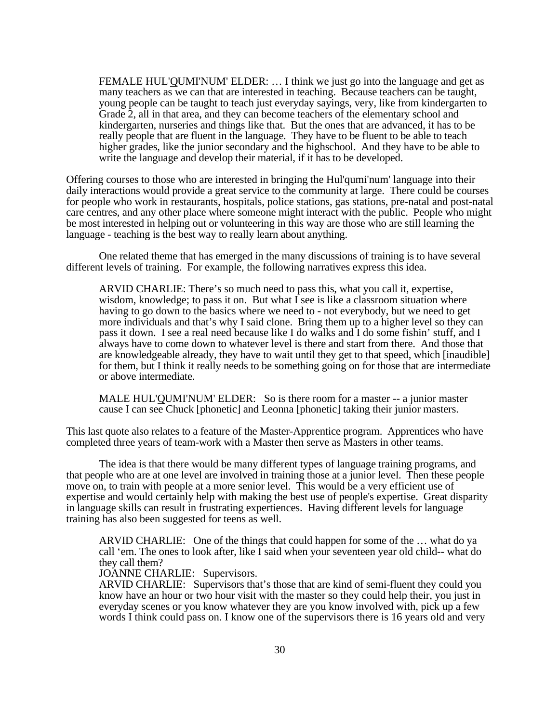FEMALE HUL'QUMI'NUM' ELDER: … I think we just go into the language and get as many teachers as we can that are interested in teaching. Because teachers can be taught, young people can be taught to teach just everyday sayings, very, like from kindergarten to Grade 2, all in that area, and they can become teachers of the elementary school and kindergarten, nurseries and things like that. But the ones that are advanced, it has to be really people that are fluent in the language. They have to be fluent to be able to teach higher grades, like the junior secondary and the highschool. And they have to be able to write the language and develop their material, if it has to be developed.

Offering courses to those who are interested in bringing the Hul'qumi'num' language into their daily interactions would provide a great service to the community at large. There could be courses for people who work in restaurants, hospitals, police stations, gas stations, pre-natal and post-natal care centres, and any other place where someone might interact with the public. People who might be most interested in helping out or volunteering in this way are those who are still learning the language - teaching is the best way to really learn about anything.

One related theme that has emerged in the many discussions of training is to have several different levels of training. For example, the following narratives express this idea.

ARVID CHARLIE: There's so much need to pass this, what you call it, expertise, wisdom, knowledge; to pass it on. But what I see is like a classroom situation where having to go down to the basics where we need to - not everybody, but we need to get more individuals and that's why I said clone. Bring them up to a higher level so they can pass it down. I see a real need because like I do walks and I do some fishin' stuff, and I always have to come down to whatever level is there and start from there. And those that are knowledgeable already, they have to wait until they get to that speed, which [inaudible] for them, but I think it really needs to be something going on for those that are intermediate or above intermediate.

MALE HUL'QUMI'NUM' ELDER: So is there room for a master -- a junior master cause I can see Chuck [phonetic] and Leonna [phonetic] taking their junior masters.

This last quote also relates to a feature of the Master-Apprentice program. Apprentices who have completed three years of team-work with a Master then serve as Masters in other teams.

The idea is that there would be many different types of language training programs, and that people who are at one level are involved in training those at a junior level. Then these people move on, to train with people at a more senior level. This would be a very efficient use of expertise and would certainly help with making the best use of people's expertise. Great disparity in language skills can result in frustrating expertiences. Having different levels for language training has also been suggested for teens as well.

ARVID CHARLIE: One of the things that could happen for some of the … what do ya call 'em. The ones to look after, like I said when your seventeen year old child-- what do they call them?

JOANNE CHARLIE: Supervisors.

ARVID CHARLIE: Supervisors that's those that are kind of semi-fluent they could you know have an hour or two hour visit with the master so they could help their, you just in everyday scenes or you know whatever they are you know involved with, pick up a few words I think could pass on. I know one of the supervisors there is 16 years old and very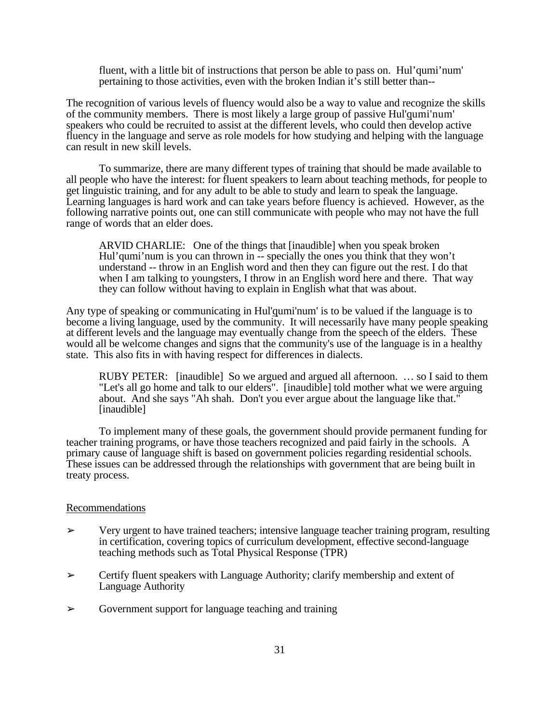fluent, with a little bit of instructions that person be able to pass on. Hul'qumi'num' pertaining to those activities, even with the broken Indian it's still better than--

The recognition of various levels of fluency would also be a way to value and recognize the skills of the community members. There is most likely a large group of passive Hul'qumi'num' speakers who could be recruited to assist at the different levels, who could then develop active fluency in the language and serve as role models for how studying and helping with the language can result in new skill levels.

To summarize, there are many different types of training that should be made available to all people who have the interest: for fluent speakers to learn about teaching methods, for people to get linguistic training, and for any adult to be able to study and learn to speak the language. Learning languages is hard work and can take years before fluency is achieved. However, as the following narrative points out, one can still communicate with people who may not have the full range of words that an elder does.

ARVID CHARLIE: One of the things that [inaudible] when you speak broken Hul'qumi'num is you can thrown in -- specially the ones you think that they won't understand -- throw in an English word and then they can figure out the rest. I do that when I am talking to youngsters, I throw in an English word here and there. That way they can follow without having to explain in English what that was about.

Any type of speaking or communicating in Hul'qumi'num' is to be valued if the language is to become a living language, used by the community. It will necessarily have many people speaking at different levels and the language may eventually change from the speech of the elders. These would all be welcome changes and signs that the community's use of the language is in a healthy state. This also fits in with having respect for differences in dialects.

RUBY PETER: [inaudible] So we argued and argued all afternoon. … so I said to them "Let's all go home and talk to our elders". [inaudible] told mother what we were arguing about. And she says "Ah shah. Don't you ever argue about the language like that." [inaudible]

To implement many of these goals, the government should provide permanent funding for teacher training programs, or have those teachers recognized and paid fairly in the schools. A primary cause of language shift is based on government policies regarding residential schools. These issues can be addressed through the relationships with government that are being built in treaty process.

#### Recommendations

- $\triangleright$  Very urgent to have trained teachers; intensive language teacher training program, resulting in certification, covering topics of curriculum development, effective second-language teaching methods such as Total Physical Response (TPR)
- $\triangleright$  Certify fluent speakers with Language Authority; clarify membership and extent of Language Authority
- ➢ Government support for language teaching and training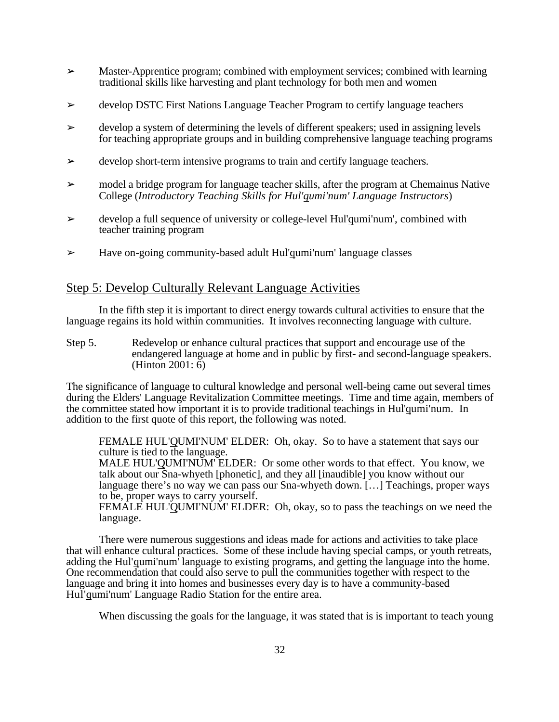- $\geq$  Master-Apprentice program; combined with employment services; combined with learning traditional skills like harvesting and plant technology for both men and women
- ➢ develop DSTC First Nations Language Teacher Program to certify language teachers
- $\geq$  develop a system of determining the levels of different speakers; used in assigning levels for teaching appropriate groups and in building comprehensive language teaching programs
- $\geq$  develop short-term intensive programs to train and certify language teachers.
- $\geq$  model a bridge program for language teacher skills, after the program at Chemainus Native College (*Introductory Teaching Skills for Hul'qumi'num' Language Instructors*)
- $\geq$  develop a full sequence of university or college-level Hul'qumi'num', combined with teacher training program
- ➢ Have on-going community-based adult Hul'qumi'num' language classes

## Step 5: Develop Culturally Relevant Language Activities

In the fifth step it is important to direct energy towards cultural activities to ensure that the language regains its hold within communities. It involves reconnecting language with culture.

Step 5. Redevelop or enhance cultural practices that support and encourage use of the endangered language at home and in public by first- and second-language speakers. (Hinton 2001: 6)

The significance of language to cultural knowledge and personal well-being came out several times during the Elders' Language Revitalization Committee meetings. Time and time again, members of the committee stated how important it is to provide traditional teachings in Hul'qumi'num. In addition to the first quote of this report, the following was noted.

FEMALE HUL'QUMI'NUM' ELDER: Oh, okay. So to have a statement that says our culture is tied to the language.

MALE HUL'QUMI'NUM' ELDER: Or some other words to that effect. You know, we talk about our Sna-whyeth [phonetic], and they all [inaudible] you know without our language there's no way we can pass our Sna-whyeth down. […] Teachings, proper ways to be, proper ways to carry yourself.

FEMALE HUL'QUMI'NUM' ELDER: Oh, okay, so to pass the teachings on we need the language.

There were numerous suggestions and ideas made for actions and activities to take place that will enhance cultural practices. Some of these include having special camps, or youth retreats, adding the Hul'qumi'num' language to existing programs, and getting the language into the home. One recommendation that could also serve to pull the communities together with respect to the language and bring it into homes and businesses every day is to have a community-based Hul'qumi'num' Language Radio Station for the entire area.

When discussing the goals for the language, it was stated that is is important to teach young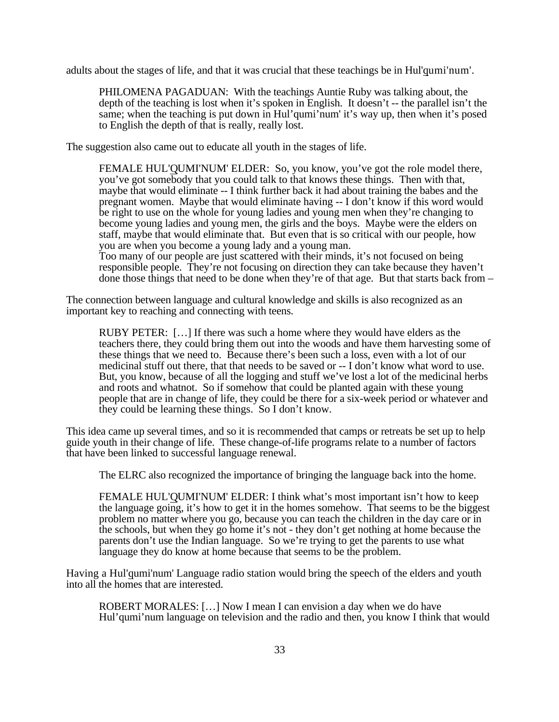adults about the stages of life, and that it was crucial that these teachings be in Hul'qumi'num'.

PHILOMENA PAGADUAN: With the teachings Auntie Ruby was talking about, the depth of the teaching is lost when it's spoken in English. It doesn't -- the parallel isn't the same; when the teaching is put down in Hul'qumi'num' it's way up, then when it's posed to English the depth of that is really, really lost.

The suggestion also came out to educate all youth in the stages of life.

FEMALE HUL'QUMI'NUM' ELDER: So, you know, you've got the role model there, you've got somebody that you could talk to that knows these things. Then with that, maybe that would eliminate -- I think further back it had about training the babes and the pregnant women. Maybe that would eliminate having -- I don't know if this word would be right to use on the whole for young ladies and young men when they're changing to become young ladies and young men, the girls and the boys. Maybe were the elders on staff, maybe that would eliminate that. But even that is so critical with our people, how you are when you become a young lady and a young man.

Too many of our people are just scattered with their minds, it's not focused on being responsible people. They're not focusing on direction they can take because they haven't done those things that need to be done when they're of that age. But that starts back from –

The connection between language and cultural knowledge and skills is also recognized as an important key to reaching and connecting with teens.

RUBY PETER: […] If there was such a home where they would have elders as the teachers there, they could bring them out into the woods and have them harvesting some of these things that we need to. Because there's been such a loss, even with a lot of our medicinal stuff out there, that that needs to be saved or -- I don't know what word to use. But, you know, because of all the logging and stuff we've lost a lot of the medicinal herbs and roots and whatnot. So if somehow that could be planted again with these young people that are in change of life, they could be there for a six-week period or whatever and they could be learning these things. So I don't know.

This idea came up several times, and so it is recommended that camps or retreats be set up to help guide youth in their change of life. These change-of-life programs relate to a number of factors that have been linked to successful language renewal.

The ELRC also recognized the importance of bringing the language back into the home.

FEMALE HUL'QUMI'NUM' ELDER: I think what's most important isn't how to keep the language going, it's how to get it in the homes somehow. That seems to be the biggest problem no matter where you go, because you can teach the children in the day care or in the schools, but when they go home it's not - they don't get nothing at home because the parents don't use the Indian language. So we're trying to get the parents to use what language they do know at home because that seems to be the problem.

Having a Hul'qumi'num' Language radio station would bring the speech of the elders and youth into all the homes that are interested.

ROBERT MORALES: […] Now I mean I can envision a day when we do have Hul'qumi'num language on television and the radio and then, you know I think that would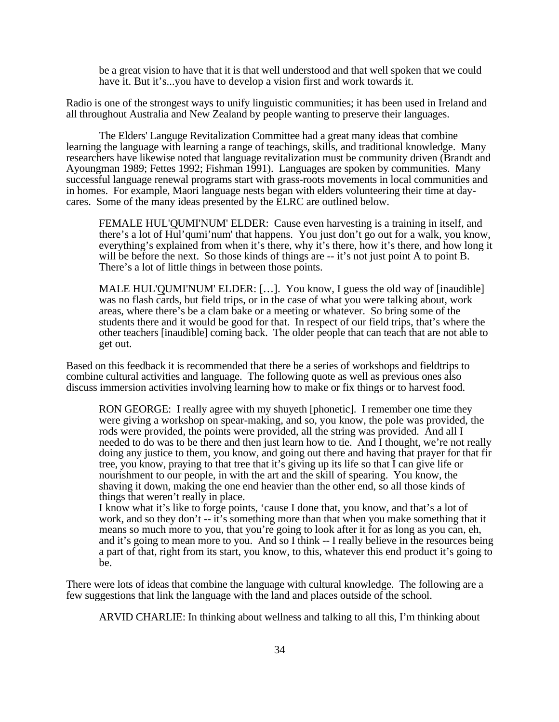be a great vision to have that it is that well understood and that well spoken that we could have it. But it's...you have to develop a vision first and work towards it.

Radio is one of the strongest ways to unify linguistic communities; it has been used in Ireland and all throughout Australia and New Zealand by people wanting to preserve their languages.

The Elders' Languge Revitalization Committee had a great many ideas that combine learning the language with learning a range of teachings, skills, and traditional knowledge. Many researchers have likewise noted that language revitalization must be community driven (Brandt and Ayoungman 1989; Fettes 1992; Fishman 1991). Languages are spoken by communities. Many successful language renewal programs start with grass-roots movements in local communities and in homes. For example, Maori language nests began with elders volunteering their time at daycares. Some of the many ideas presented by the ELRC are outlined below.

FEMALE HUL'QUMI'NUM' ELDER: Cause even harvesting is a training in itself, and there's a lot of Hul'qumi'num' that happens. You just don't go out for a walk, you know, everything's explained from when it's there, why it's there, how it's there, and how long it will be before the next. So those kinds of things are  $-$  it's not just point A to point B. There's a lot of little things in between those points.

MALE HUL'QUMI'NUM' ELDER: […]. You know, I guess the old way of [inaudible] was no flash cards, but field trips, or in the case of what you were talking about, work areas, where there's be a clam bake or a meeting or whatever. So bring some of the students there and it would be good for that. In respect of our field trips, that's where the other teachers [inaudible] coming back. The older people that can teach that are not able to get out.

Based on this feedback it is recommended that there be a series of workshops and fieldtrips to combine cultural activities and language. The following quote as well as previous ones also discuss immersion activities involving learning how to make or fix things or to harvest food.

RON GEORGE: I really agree with my shuyeth [phonetic]. I remember one time they were giving a workshop on spear-making, and so, you know, the pole was provided, the rods were provided, the points were provided, all the string was provided. And all I needed to do was to be there and then just learn how to tie. And I thought, we're not really doing any justice to them, you know, and going out there and having that prayer for that fir tree, you know, praying to that tree that it's giving up its life so that I can give life or nourishment to our people, in with the art and the skill of spearing. You know, the shaving it down, making the one end heavier than the other end, so all those kinds of things that weren't really in place.

I know what it's like to forge points, 'cause I done that, you know, and that's a lot of work, and so they don't -- it's something more than that when you make something that it means so much more to you, that you're going to look after it for as long as you can, eh, and it's going to mean more to you. And so I think -- I really believe in the resources being a part of that, right from its start, you know, to this, whatever this end product it's going to be.

There were lots of ideas that combine the language with cultural knowledge. The following are a few suggestions that link the language with the land and places outside of the school.

ARVID CHARLIE: In thinking about wellness and talking to all this, I'm thinking about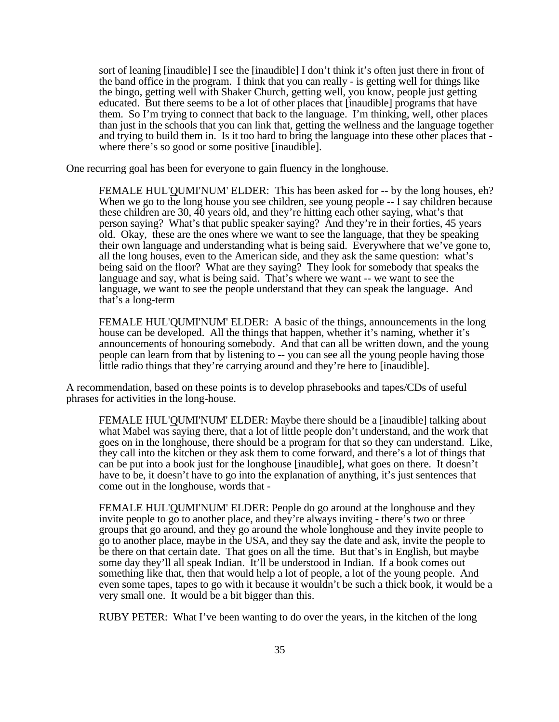sort of leaning [inaudible] I see the [inaudible] I don't think it's often just there in front of the band office in the program. I think that you can really - is getting well for things like the bingo, getting well with Shaker Church, getting well, you know, people just getting educated. But there seems to be a lot of other places that [inaudible] programs that have them. So I'm trying to connect that back to the language. I'm thinking, well, other places than just in the schools that you can link that, getting the wellness and the language together and trying to build them in. Is it too hard to bring the language into these other places that where there's so good or some positive [inaudible].

One recurring goal has been for everyone to gain fluency in the longhouse.

FEMALE HUL'QUMI'NUM' ELDER: This has been asked for -- by the long houses, eh? When we go to the long house you see children, see young people -- I say children because these children are 30, 40 years old, and they're hitting each other saying, what's that person saying? What's that public speaker saying? And they're in their forties, 45 years old. Okay, these are the ones where we want to see the language, that they be speaking their own language and understanding what is being said. Everywhere that we've gone to, all the long houses, even to the American side, and they ask the same question: what's being said on the floor? What are they saying? They look for somebody that speaks the language and say, what is being said. That's where we want -- we want to see the language, we want to see the people understand that they can speak the language. And that's a long-term

FEMALE HUL'QUMI'NUM' ELDER: A basic of the things, announcements in the long house can be developed. All the things that happen, whether it's naming, whether it's announcements of honouring somebody. And that can all be written down, and the young people can learn from that by listening to -- you can see all the young people having those little radio things that they're carrying around and they're here to [inaudible].

A recommendation, based on these points is to develop phrasebooks and tapes/CDs of useful phrases for activities in the long-house.

FEMALE HUL'QUMI'NUM' ELDER: Maybe there should be a [inaudible] talking about what Mabel was saying there, that a lot of little people don't understand, and the work that goes on in the longhouse, there should be a program for that so they can understand. Like, they call into the kitchen or they ask them to come forward, and there's a lot of things that can be put into a book just for the longhouse [inaudible], what goes on there. It doesn't have to be, it doesn't have to go into the explanation of anything, it's just sentences that come out in the longhouse, words that -

FEMALE HUL'QUMI'NUM' ELDER: People do go around at the longhouse and they invite people to go to another place, and they're always inviting - there's two or three groups that go around, and they go around the whole longhouse and they invite people to go to another place, maybe in the USA, and they say the date and ask, invite the people to be there on that certain date. That goes on all the time. But that's in English, but maybe some day they'll all speak Indian. It'll be understood in Indian. If a book comes out something like that, then that would help a lot of people, a lot of the young people. And even some tapes, tapes to go with it because it wouldn't be such a thick book, it would be a very small one. It would be a bit bigger than this.

RUBY PETER: What I've been wanting to do over the years, in the kitchen of the long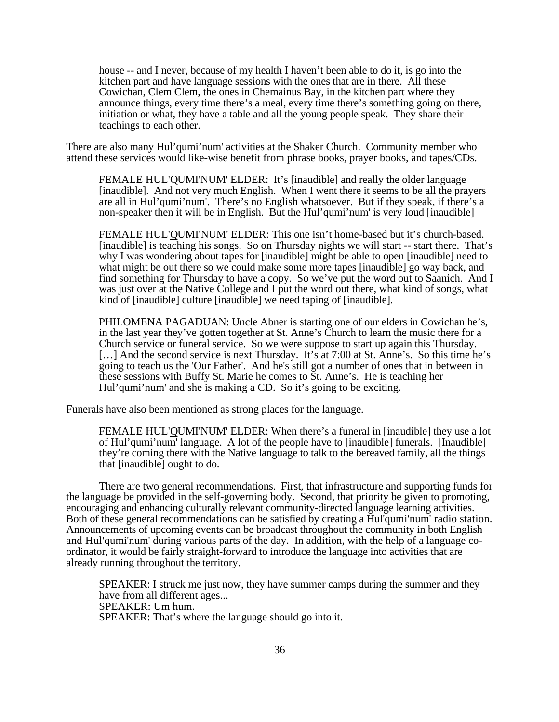house -- and I never, because of my health I haven't been able to do it, is go into the kitchen part and have language sessions with the ones that are in there. All these Cowichan, Clem Clem, the ones in Chemainus Bay, in the kitchen part where they announce things, every time there's a meal, every time there's something going on there, initiation or what, they have a table and all the young people speak. They share their teachings to each other.

There are also many Hul'qumi'num' activities at the Shaker Church. Community member who attend these services would like-wise benefit from phrase books, prayer books, and tapes/CDs.

FEMALE HUL'QUMI'NUM' ELDER: It's [inaudible] and really the older language [inaudible]. And not very much English. When I went there it seems to be all the prayers are all in Hul'qumi'num'. There's no English whatsoever. But if they speak, if there's a non-speaker then it will be in English. But the Hul'qumi'num' is very loud [inaudible]

FEMALE HUL'QUMI'NUM' ELDER: This one isn't home-based but it's church-based. [inaudible] is teaching his songs. So on Thursday nights we will start -- start there. That's why I was wondering about tapes for [inaudible] might be able to open [inaudible] need to what might be out there so we could make some more tapes [inaudible] go way back, and find something for Thursday to have a copy. So we've put the word out to Saanich. And I was just over at the Native College and I put the word out there, what kind of songs, what kind of [inaudible] culture [inaudible] we need taping of [inaudible].

PHILOMENA PAGADUAN: Uncle Abner is starting one of our elders in Cowichan he's, in the last year they've gotten together at St. Anne's Church to learn the music there for a Church service or funeral service. So we were suppose to start up again this Thursday. [...] And the second service is next Thursday. It's at 7:00 at St. Anne's. So this time he's going to teach us the 'Our Father'. And he's still got a number of ones that in between in these sessions with Buffy St. Marie he comes to St. Anne's. He is teaching her Hul'qumi'num' and she is making a CD. So it's going to be exciting.

Funerals have also been mentioned as strong places for the language.

FEMALE HUL'QUMI'NUM' ELDER: When there's a funeral in [inaudible] they use a lot of Hul'qumi'num' language. A lot of the people have to [inaudible] funerals. [Inaudible] they're coming there with the Native language to talk to the bereaved family, all the things that [inaudible] ought to do.

There are two general recommendations. First, that infrastructure and supporting funds for the language be provided in the self-governing body. Second, that priority be given to promoting, encouraging and enhancing culturally relevant community-directed language learning activities. Both of these general recommendations can be satisfied by creating a Hul'qumi'num' radio station. Announcements of upcoming events can be broadcast throughout the community in both English and Hul'qumi'num' during various parts of the day. In addition, with the help of a language coordinator, it would be fairly straight-forward to introduce the language into activities that are already running throughout the territory.

SPEAKER: I struck me just now, they have summer camps during the summer and they have from all different ages... SPEAKER: Um hum. SPEAKER: That's where the language should go into it.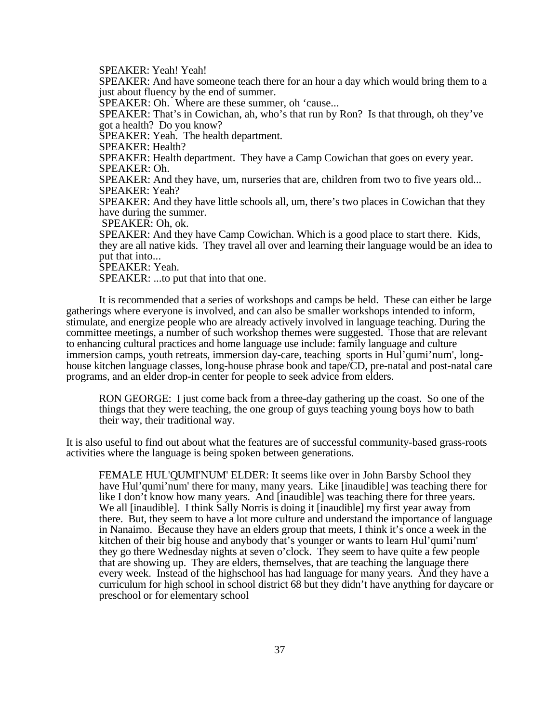SPEAKER: Yeah! Yeah!

SPEAKER: And have someone teach there for an hour a day which would bring them to a just about fluency by the end of summer.

SPEAKER: Oh. Where are these summer, oh 'cause...

SPEAKER: That's in Cowichan, ah, who's that run by Ron? Is that through, oh they've got a health? Do you know?

SPEAKER: Yeah. The health department.

SPEAKER: Health?

SPEAKER: Health department. They have a Camp Cowichan that goes on every year. SPEAKER: Oh.

SPEAKER: And they have, um, nurseries that are, children from two to five years old... SPEAKER: Yeah?

SPEAKER: And they have little schools all, um, there's two places in Cowichan that they have during the summer.

SPEAKER: Oh, ok.

SPEAKER: And they have Camp Cowichan. Which is a good place to start there. Kids, they are all native kids. They travel all over and learning their language would be an idea to put that into...

SPEAKER: Yeah.

SPEAKER: ...to put that into that one.

It is recommended that a series of workshops and camps be held. These can either be large gatherings where everyone is involved, and can also be smaller workshops intended to inform, stimulate, and energize people who are already actively involved in language teaching. During the committee meetings, a number of such workshop themes were suggested. Those that are relevant to enhancing cultural practices and home language use include: family language and culture immersion camps, youth retreats, immersion day-care, teaching sports in Hul'qumi'num', longhouse kitchen language classes, long-house phrase book and tape/CD, pre-natal and post-natal care programs, and an elder drop-in center for people to seek advice from elders.

RON GEORGE: I just come back from a three-day gathering up the coast. So one of the things that they were teaching, the one group of guys teaching young boys how to bath their way, their traditional way.

It is also useful to find out about what the features are of successful community-based grass-roots activities where the language is being spoken between generations.

FEMALE HUL'QUMI'NUM' ELDER: It seems like over in John Barsby School they have Hul'qumi'num' there for many, many years. Like [inaudible] was teaching there for like I don't know how many years. And [inaudible] was teaching there for three years. We all [inaudible]. I think Sally Norris is doing it [inaudible] my first year away from there. But, they seem to have a lot more culture and understand the importance of language in Nanaimo. Because they have an elders group that meets, I think it's once a week in the kitchen of their big house and anybody that's younger or wants to learn Hul'qumi'num' they go there Wednesday nights at seven o'clock. They seem to have quite a few people that are showing up. They are elders, themselves, that are teaching the language there every week. Instead of the highschool has had language for many years. And they have a curriculum for high school in school district 68 but they didn't have anything for daycare or preschool or for elementary school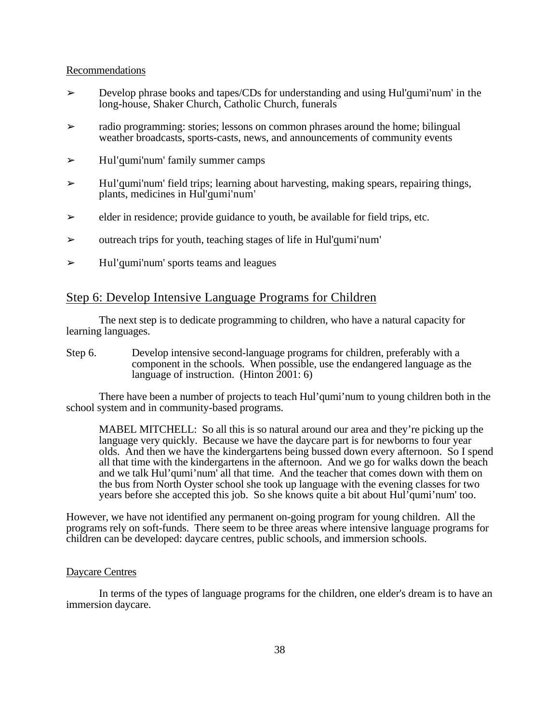### Recommendations

- ➢ Develop phrase books and tapes/CDs for understanding and using Hul'qumi'num' in the long-house, Shaker Church, Catholic Church, funerals
- $\geq$  radio programming: stories; lessons on common phrases around the home; bilingual weather broadcasts, sports-casts, news, and announcements of community events
- $\triangleright$  Hul'qumi'num' family summer camps
- $\geq$  Hul'qumi'num' field trips; learning about harvesting, making spears, repairing things, plants, medicines in Hul'qumi'num'
- $\geq$  elder in residence; provide guidance to youth, be available for field trips, etc.
- ➢ outreach trips for youth, teaching stages of life in Hul'qumi'num'
- $\triangleright$  Hul'qumi'num' sports teams and leagues

## Step 6: Develop Intensive Language Programs for Children

The next step is to dedicate programming to children, who have a natural capacity for learning languages.

Step 6. Develop intensive second-language programs for children, preferably with a component in the schools. When possible, use the endangered language as the language of instruction. (Hinton 2001: 6)

There have been a number of projects to teach Hul'qumi'num to young children both in the school system and in community-based programs.

MABEL MITCHELL: So all this is so natural around our area and they're picking up the language very quickly. Because we have the daycare part is for newborns to four year olds. And then we have the kindergartens being bussed down every afternoon. So I spend all that time with the kindergartens in the afternoon. And we go for walks down the beach and we talk Hul'qumi'num' all that time. And the teacher that comes down with them on the bus from North Oyster school she took up language with the evening classes for two years before she accepted this job. So she knows quite a bit about Hul'qumi'num' too.

However, we have not identified any permanent on-going program for young children. All the programs rely on soft-funds. There seem to be three areas where intensive language programs for children can be developed: daycare centres, public schools, and immersion schools.

## Daycare Centres

In terms of the types of language programs for the children, one elder's dream is to have an immersion daycare.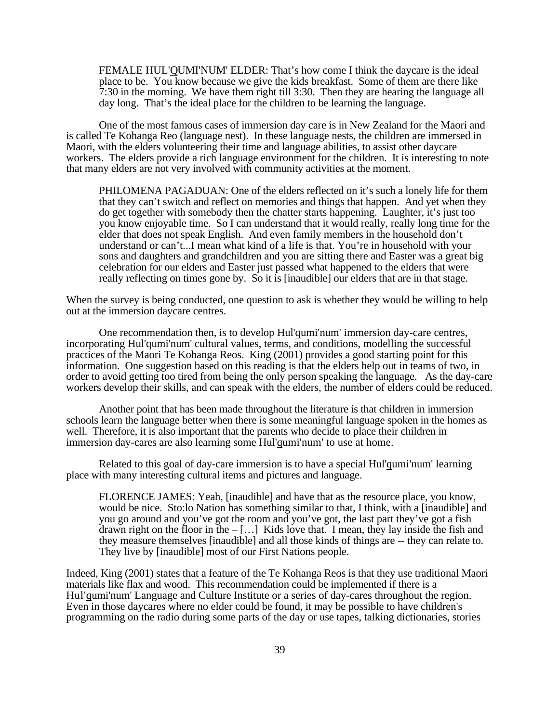FEMALE HUL'QUMI'NUM' ELDER: That's how come I think the daycare is the ideal place to be. You know because we give the kids breakfast. Some of them are there like 7:30 in the morning. We have them right till 3:30. Then they are hearing the language all day long. That's the ideal place for the children to be learning the language.

One of the most famous cases of immersion day care is in New Zealand for the Maori and is called Te Kohanga Reo (language nest). In these language nests, the children are immersed in Maori, with the elders volunteering their time and language abilities, to assist other daycare workers. The elders provide a rich language environment for the children. It is interesting to note that many elders are not very involved with community activities at the moment.

PHILOMENA PAGADUAN: One of the elders reflected on it's such a lonely life for them that they can't switch and reflect on memories and things that happen. And yet when they do get together with somebody then the chatter starts happening. Laughter, it's just too you know enjoyable time. So I can understand that it would really, really long time for the elder that does not speak English. And even family members in the household don't understand or can't...I mean what kind of a life is that. You're in household with your sons and daughters and grandchildren and you are sitting there and Easter was a great big celebration for our elders and Easter just passed what happened to the elders that were really reflecting on times gone by. So it is [inaudible] our elders that are in that stage.

When the survey is being conducted, one question to ask is whether they would be willing to help out at the immersion daycare centres.

One recommendation then, is to develop Hul'qumi'num' immersion day-care centres, incorporating Hul'qumi'num' cultural values, terms, and conditions, modelling the successful practices of the Maori Te Kohanga Reos. King (2001) provides a good starting point for this information. One suggestion based on this reading is that the elders help out in teams of two, in order to avoid getting too tired from being the only person speaking the language. As the day-care workers develop their skills, and can speak with the elders, the number of elders could be reduced.

Another point that has been made throughout the literature is that children in immersion schools learn the language better when there is some meaningful language spoken in the homes as well. Therefore, it is also important that the parents who decide to place their children in immersion day-cares are also learning some Hul'qumi'num' to use at home.

Related to this goal of day-care immersion is to have a special Hul'qumi'num' learning place with many interesting cultural items and pictures and language.

FLORENCE JAMES: Yeah, [inaudible] and have that as the resource place, you know, would be nice. Sto:lo Nation has something similar to that, I think, with a [inaudible] and you go around and you've got the room and you've got, the last part they've got a fish drawn right on the floor in the  $-[...]$  Kids love that. I mean, they lay inside the fish and they measure themselves [inaudible] and all those kinds of things are -- they can relate to. They live by [inaudible] most of our First Nations people.

Indeed, King (2001) states that a feature of the Te Kohanga Reos is that they use traditional Maori materials like flax and wood. This recommendation could be implemented if there is a Hul'qumi'num' Language and Culture Institute or a series of day-cares throughout the region. Even in those daycares where no elder could be found, it may be possible to have children's programming on the radio during some parts of the day or use tapes, talking dictionaries, stories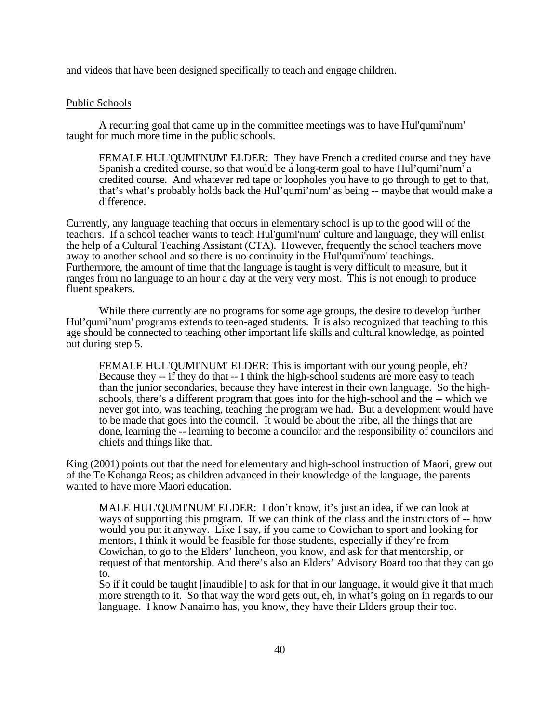and videos that have been designed specifically to teach and engage children.

#### Public Schools

A recurring goal that came up in the committee meetings was to have Hul'qumi'num' taught for much more time in the public schools.

FEMALE HUL'QUMI'NUM' ELDER: They have French a credited course and they have Spanish a credited course, so that would be a long-term goal to have Hul'qumi'num' a credited course. And whatever red tape or loopholes you have to go through to get to that, that's what's probably holds back the Hul'qumi'num' as being -- maybe that would make a difference.

Currently, any language teaching that occurs in elementary school is up to the good will of the teachers. If a school teacher wants to teach Hul'qumi'num' culture and language, they will enlist the help of a Cultural Teaching Assistant (CTA). However, frequently the school teachers move away to another school and so there is no continuity in the Hul'qumi'num' teachings. Furthermore, the amount of time that the language is taught is very difficult to measure, but it ranges from no language to an hour a day at the very very most. This is not enough to produce fluent speakers.

While there currently are no programs for some age groups, the desire to develop further Hul'qumi'num' programs extends to teen-aged students. It is also recognized that teaching to this age should be connected to teaching other important life skills and cultural knowledge, as pointed out during step 5.

FEMALE HUL'QUMI'NUM' ELDER: This is important with our young people, eh? Because they  $-$  if they do that  $-$  I think the high-school students are more easy to teach than the junior secondaries, because they have interest in their own language. So the highschools, there's a different program that goes into for the high-school and the -- which we never got into, was teaching, teaching the program we had. But a development would have to be made that goes into the council. It would be about the tribe, all the things that are done, learning the -- learning to become a councilor and the responsibility of councilors and chiefs and things like that.

King (2001) points out that the need for elementary and high-school instruction of Maori, grew out of the Te Kohanga Reos; as children advanced in their knowledge of the language, the parents wanted to have more Maori education.

MALE HUL'QUMI'NUM' ELDER: I don't know, it's just an idea, if we can look at ways of supporting this program. If we can think of the class and the instructors of -- how would you put it anyway. Like I say, if you came to Cowichan to sport and looking for mentors, I think it would be feasible for those students, especially if they're from Cowichan, to go to the Elders' luncheon, you know, and ask for that mentorship, or request of that mentorship. And there's also an Elders' Advisory Board too that they can go to.

So if it could be taught [inaudible] to ask for that in our language, it would give it that much more strength to it. So that way the word gets out, eh, in what's going on in regards to our language. I know Nanaimo has, you know, they have their Elders group their too.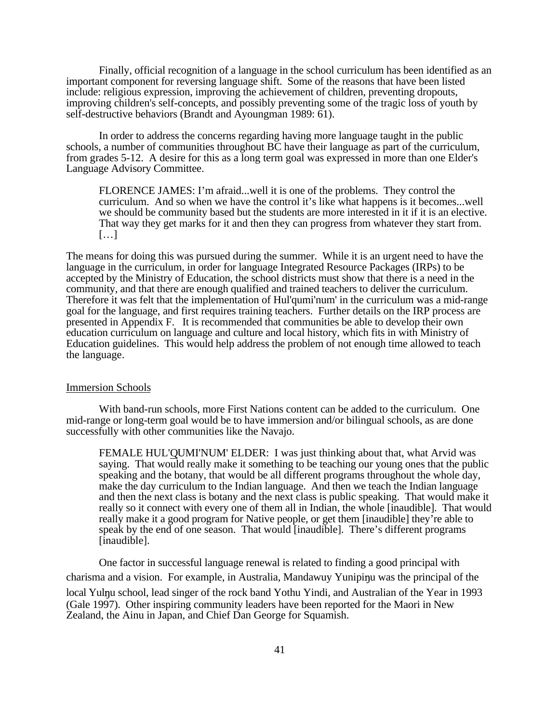Finally, official recognition of a language in the school curriculum has been identified as an important component for reversing language shift. Some of the reasons that have been listed include: religious expression, improving the achievement of children, preventing dropouts, improving children's self-concepts, and possibly preventing some of the tragic loss of youth by self-destructive behaviors (Brandt and Ayoungman 1989: 61).

In order to address the concerns regarding having more language taught in the public schools, a number of communities throughout BC have their language as part of the curriculum, from grades 5-12. A desire for this as a long term goal was expressed in more than one Elder's Language Advisory Committee.

FLORENCE JAMES: I'm afraid...well it is one of the problems. They control the curriculum. And so when we have the control it's like what happens is it becomes...well we should be community based but the students are more interested in it if it is an elective. That way they get marks for it and then they can progress from whatever they start from. […]

The means for doing this was pursued during the summer. While it is an urgent need to have the language in the curriculum, in order for language Integrated Resource Packages (IRPs) to be accepted by the Ministry of Education, the school districts must show that there is a need in the community, and that there are enough qualified and trained teachers to deliver the curriculum. Therefore it was felt that the implementation of Hul'qumi'num' in the curriculum was a mid-range goal for the language, and first requires training teachers. Further details on the IRP process are presented in Appendix F. It is recommended that communities be able to develop their own education curriculum on language and culture and local history, which fits in with Ministry of Education guidelines. This would help address the problem of not enough time allowed to teach the language.

#### Immersion Schools

With band-run schools, more First Nations content can be added to the curriculum. One mid-range or long-term goal would be to have immersion and/or bilingual schools, as are done successfully with other communities like the Navajo.

FEMALE HUL'QUMI'NUM' ELDER: I was just thinking about that, what Arvid was saying. That would really make it something to be teaching our young ones that the public speaking and the botany, that would be all different programs throughout the whole day, make the day curriculum to the Indian language. And then we teach the Indian language and then the next class is botany and the next class is public speaking. That would make it really so it connect with every one of them all in Indian, the whole [inaudible]. That would really make it a good program for Native people, or get them [inaudible] they're able to speak by the end of one season. That would [inaudible]. There's different programs [inaudible].

One factor in successful language renewal is related to finding a good principal with charisma and a vision. For example, in Australia, Mandawuy Yunipinu was the principal of the local Yulnu school, lead singer of the rock band Yothu Yindi, and Australian of the Year in 1993 (Gale 1997). Other inspiring community leaders have been reported for the Maori in New Zealand, the Ainu in Japan, and Chief Dan George for Squamish.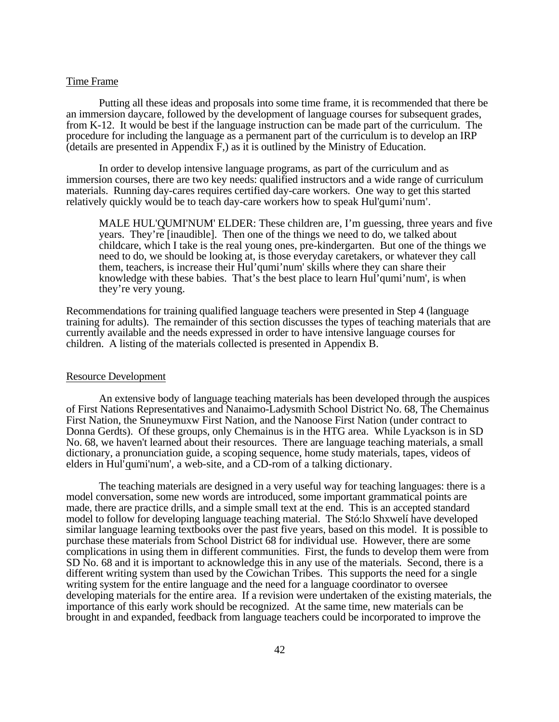### Time Frame

Putting all these ideas and proposals into some time frame, it is recommended that there be an immersion daycare, followed by the development of language courses for subsequent grades, from K-12. It would be best if the language instruction can be made part of the curriculum. The procedure for including the language as a permanent part of the curriculum is to develop an IRP (details are presented in Appendix F,) as it is outlined by the Ministry of Education.

In order to develop intensive language programs, as part of the curriculum and as immersion courses, there are two key needs: qualified instructors and a wide range of curriculum materials. Running day-cares requires certified day-care workers. One way to get this started relatively quickly would be to teach day-care workers how to speak Hul'qumi'num'.

MALE HUL'QUMI'NUM' ELDER: These children are, I'm guessing, three years and five years. They're [inaudible]. Then one of the things we need to do, we talked about childcare, which I take is the real young ones, pre-kindergarten. But one of the things we need to do, we should be looking at, is those everyday caretakers, or whatever they call them, teachers, is increase their Hul'qumi'num' skills where they can share their knowledge with these babies. That's the best place to learn Hul'qumi'num', is when they're very young.

Recommendations for training qualified language teachers were presented in Step 4 (language training for adults). The remainder of this section discusses the types of teaching materials that are currently available and the needs expressed in order to have intensive language courses for children. A listing of the materials collected is presented in Appendix B.

#### Resource Development

An extensive body of language teaching materials has been developed through the auspices of First Nations Representatives and Nanaimo-Ladysmith School District No. 68, The Chemainus First Nation, the Snuneymuxw First Nation, and the Nanoose First Nation (under contract to Donna Gerdts). Of these groups, only Chemainus is in the HTG area. While Lyackson is in SD No. 68, we haven't learned about their resources. There are language teaching materials, a small dictionary, a pronunciation guide, a scoping sequence, home study materials, tapes, videos of elders in Hul'qumi'num', a web-site, and a CD-rom of a talking dictionary.

The teaching materials are designed in a very useful way for teaching languages: there is a model conversation, some new words are introduced, some important grammatical points are made, there are practice drills, and a simple small text at the end. This is an accepted standard model to follow for developing language teaching material. The Stó:lo Shxwelí have developed similar language learning textbooks over the past five years, based on this model. It is possible to purchase these materials from School District 68 for individual use. However, there are some complications in using them in different communities. First, the funds to develop them were from SD No. 68 and it is important to acknowledge this in any use of the materials. Second, there is a different writing system than used by the Cowichan Tribes. This supports the need for a single writing system for the entire language and the need for a language coordinator to oversee developing materials for the entire area. If a revision were undertaken of the existing materials, the importance of this early work should be recognized. At the same time, new materials can be brought in and expanded, feedback from language teachers could be incorporated to improve the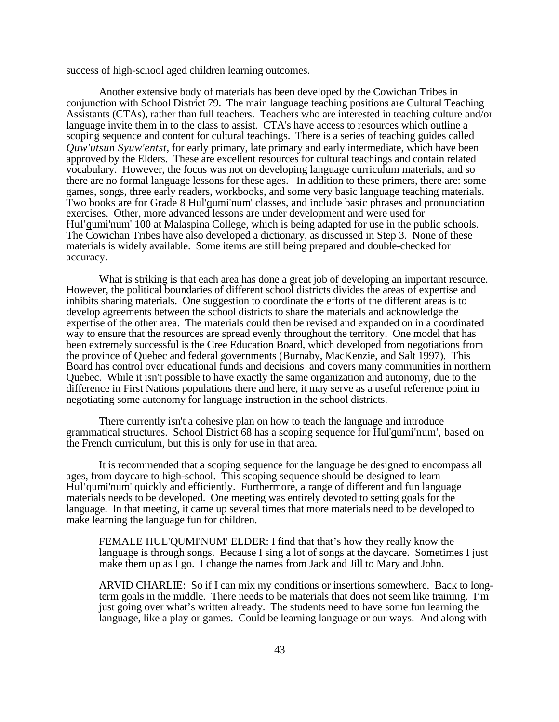success of high-school aged children learning outcomes.

Another extensive body of materials has been developed by the Cowichan Tribes in conjunction with School District 79. The main language teaching positions are Cultural Teaching Assistants (CTAs), rather than full teachers. Teachers who are interested in teaching culture and/or language invite them in to the class to assist. CTA's have access to resources which outline a scoping sequence and content for cultural teachings. There is a series of teaching guides called *Quw'utsun Syuw'entst*, for early primary, late primary and early intermediate, which have been approved by the Elders. These are excellent resources for cultural teachings and contain related vocabulary. However, the focus was not on developing language curriculum materials, and so there are no formal language lessons for these ages. In addition to these primers, there are: some games, songs, three early readers, workbooks, and some very basic language teaching materials. Two books are for Grade 8 Hul'qumi'num' classes, and include basic phrases and pronunciation exercises. Other, more advanced lessons are under development and were used for Hul'qumi'num' 100 at Malaspina College, which is being adapted for use in the public schools. The Cowichan Tribes have also developed a dictionary, as discussed in Step 3. None of these materials is widely available. Some items are still being prepared and double-checked for accuracy.

What is striking is that each area has done a great job of developing an important resource. However, the political boundaries of different school districts divides the areas of expertise and inhibits sharing materials. One suggestion to coordinate the efforts of the different areas is to develop agreements between the school districts to share the materials and acknowledge the expertise of the other area. The materials could then be revised and expanded on in a coordinated way to ensure that the resources are spread evenly throughout the territory. One model that has been extremely successful is the Cree Education Board, which developed from negotiations from the province of Quebec and federal governments (Burnaby, MacKenzie, and Salt 1997). This Board has control over educational funds and decisions and covers many communities in northern Quebec. While it isn't possible to have exactly the same organization and autonomy, due to the difference in First Nations populations there and here, it may serve as a useful reference point in negotiating some autonomy for language instruction in the school districts.

There currently isn't a cohesive plan on how to teach the language and introduce grammatical structures. School District 68 has a scoping sequence for Hul'qumi'num', based on the French curriculum, but this is only for use in that area.

It is recommended that a scoping sequence for the language be designed to encompass all ages, from daycare to high-school. This scoping sequence should be designed to learn Hul'qumi'num' quickly and efficiently. Furthermore, a range of different and fun language materials needs to be developed. One meeting was entirely devoted to setting goals for the language. In that meeting, it came up several times that more materials need to be developed to make learning the language fun for children.

FEMALE HUL'QUMI'NUM' ELDER: I find that that's how they really know the language is through songs. Because I sing a lot of songs at the daycare. Sometimes I just make them up as I go. I change the names from Jack and Jill to Mary and John.

ARVID CHARLIE: So if I can mix my conditions or insertions somewhere. Back to longterm goals in the middle. There needs to be materials that does not seem like training. I'm just going over what's written already. The students need to have some fun learning the language, like a play or games. Could be learning language or our ways. And along with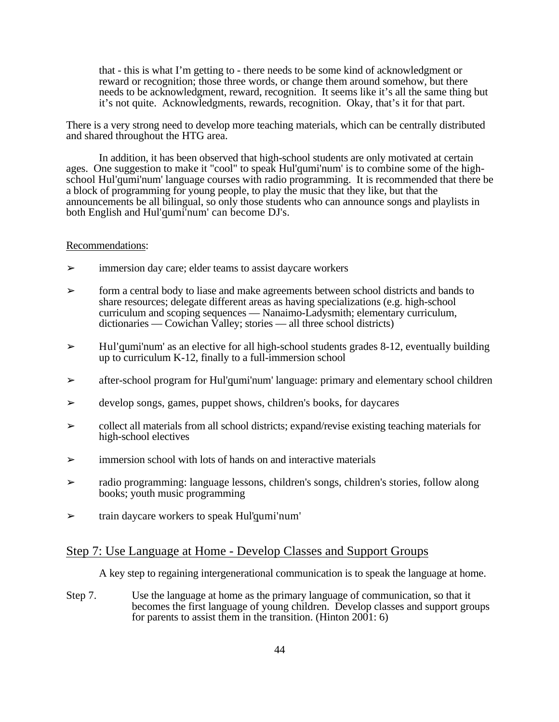that - this is what I'm getting to - there needs to be some kind of acknowledgment or reward or recognition; those three words, or change them around somehow, but there needs to be acknowledgment, reward, recognition. It seems like it's all the same thing but it's not quite. Acknowledgments, rewards, recognition. Okay, that's it for that part.

There is a very strong need to develop more teaching materials, which can be centrally distributed and shared throughout the HTG area.

In addition, it has been observed that high-school students are only motivated at certain ages. One suggestion to make it "cool" to speak Hul'qumi'num' is to combine some of the highschool Hul'qumi'num' language courses with radio programming. It is recommended that there be a block of programming for young people, to play the music that they like, but that the announcements be all bilingual, so only those students who can announce songs and playlists in both English and Hul'qumi'num' can become DJ's.

### Recommendations:

- ➢ immersion day care; elder teams to assist daycare workers
- $\geq$  form a central body to liase and make agreements between school districts and bands to share resources; delegate different areas as having specializations (e.g. high-school curriculum and scoping sequences — Nanaimo-Ladysmith; elementary curriculum, dictionaries — Cowichan Valley; stories — all three school districts)
- $\geq$  Hul'qumi'num' as an elective for all high-school students grades 8-12, eventually building up to curriculum K-12, finally to a full-immersion school
- ➢ after-school program for Hul'qumi'num' language: primary and elementary school children
- ➢ develop songs, games, puppet shows, children's books, for daycares
- $\triangleright$  collect all materials from all school districts; expand/revise existing teaching materials for high-school electives
- $\geq$  immersion school with lots of hands on and interactive materials
- ➢ radio programming: language lessons, children's songs, children's stories, follow along books; youth music programming
- $\triangleright$  train daycare workers to speak Hul'qumi'num'

## Step 7: Use Language at Home - Develop Classes and Support Groups

A key step to regaining intergenerational communication is to speak the language at home.

Step 7. Use the language at home as the primary language of communication, so that it becomes the first language of young children. Develop classes and support groups for parents to assist them in the transition. (Hinton 2001: 6)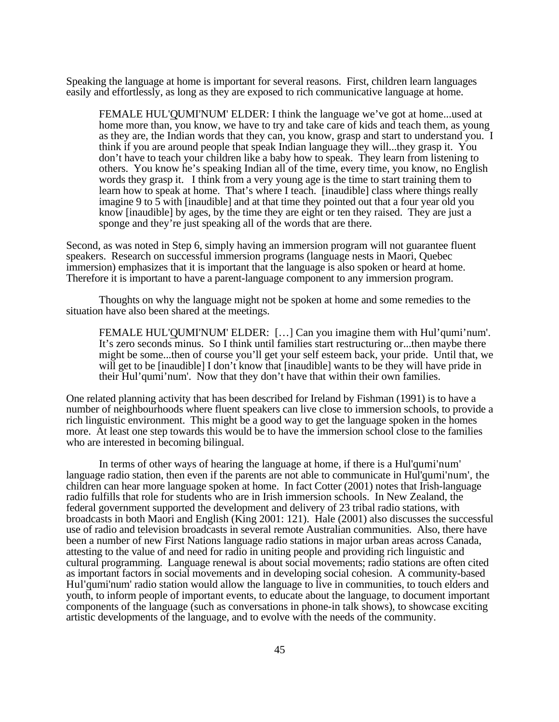Speaking the language at home is important for several reasons. First, children learn languages easily and effortlessly, as long as they are exposed to rich communicative language at home.

FEMALE HUL'QUMI'NUM' ELDER: I think the language we've got at home...used at home more than, you know, we have to try and take care of kids and teach them, as young as they are, the Indian words that they can, you know, grasp and start to understand you. I think if you are around people that speak Indian language they will...they grasp it. You don't have to teach your children like a baby how to speak. They learn from listening to others. You know he's speaking Indian all of the time, every time, you know, no English words they grasp it. I think from a very young age is the time to start training them to learn how to speak at home. That's where I teach. [inaudible] class where things really imagine 9 to 5 with [inaudible] and at that time they pointed out that a four year old you know [inaudible] by ages, by the time they are eight or ten they raised. They are just a sponge and they're just speaking all of the words that are there.

Second, as was noted in Step 6, simply having an immersion program will not guarantee fluent speakers. Research on successful immersion programs (language nests in Maori, Quebec immersion) emphasizes that it is important that the language is also spoken or heard at home. Therefore it is important to have a parent-language component to any immersion program.

Thoughts on why the language might not be spoken at home and some remedies to the situation have also been shared at the meetings.

FEMALE HUL'QUMI'NUM' ELDER: [...] Can you imagine them with Hul'qumi'num'. It's zero seconds minus. So I think until families start restructuring or...then maybe there might be some...then of course you'll get your self esteem back, your pride. Until that, we will get to be [inaudible] I don't know that [inaudible] wants to be they will have pride in their Hul'qumi'num'. Now that they don't have that within their own families.

One related planning activity that has been described for Ireland by Fishman (1991) is to have a number of neighbourhoods where fluent speakers can live close to immersion schools, to provide a rich linguistic environment. This might be a good way to get the language spoken in the homes more. At least one step towards this would be to have the immersion school close to the families who are interested in becoming bilingual.

In terms of other ways of hearing the language at home, if there is a Hul'qumi'num' language radio station, then even if the parents are not able to communicate in Hul'qumi'num', the children can hear more language spoken at home. In fact Cotter (2001) notes that Irish-language radio fulfills that role for students who are in Irish immersion schools. In New Zealand, the federal government supported the development and delivery of 23 tribal radio stations, with broadcasts in both Maori and English (King 2001: 121). Hale (2001) also discusses the successful use of radio and television broadcasts in several remote Australian communities. Also, there have been a number of new First Nations language radio stations in major urban areas across Canada, attesting to the value of and need for radio in uniting people and providing rich linguistic and cultural programming. Language renewal is about social movements; radio stations are often cited as important factors in social movements and in developing social cohesion. A community-based Hul'qumi'num' radio station would allow the language to live in communities, to touch elders and youth, to inform people of important events, to educate about the language, to document important components of the language (such as conversations in phone-in talk shows), to showcase exciting artistic developments of the language, and to evolve with the needs of the community.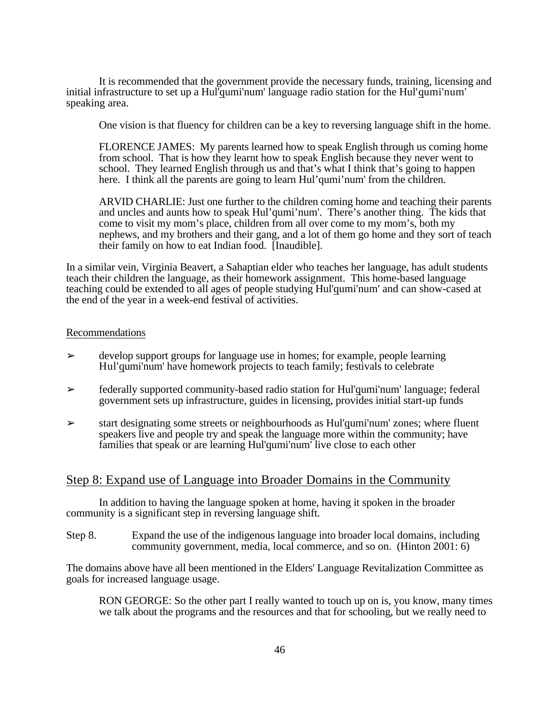It is recommended that the government provide the necessary funds, training, licensing and initial infrastructure to set up a Hul'qumi'num' language radio station for the Hul'qumi'num' speaking area.

One vision is that fluency for children can be a key to reversing language shift in the home.

FLORENCE JAMES: My parents learned how to speak English through us coming home from school. That is how they learnt how to speak English because they never went to school. They learned English through us and that's what I think that's going to happen here. I think all the parents are going to learn Hul'qumi'num' from the children.

ARVID CHARLIE: Just one further to the children coming home and teaching their parents and uncles and aunts how to speak Hul'qumi'num'. There's another thing. The kids that come to visit my mom's place, children from all over come to my mom's, both my nephews, and my brothers and their gang, and a lot of them go home and they sort of teach their family on how to eat Indian food. [Inaudible].

In a similar vein, Virginia Beavert, a Sahaptian elder who teaches her language, has adult students teach their children the language, as their homework assignment. This home-based language teaching could be extended to all ages of people studying Hul'qumi'num' and can show-cased at the end of the year in a week-end festival of activities.

### Recommendations

- $\geq$  develop support groups for language use in homes; for example, people learning Hul'qumi'num' have homework projects to teach family; festivals to celebrate
- ➢ federally supported community-based radio station for Hul'qumi'num' language; federal government sets up infrastructure, guides in licensing, provides initial start-up funds
- $\geq$  start designating some streets or neighbourhoods as Hul'qumi'num' zones; where fluent speakers live and people try and speak the language more within the community; have families that speak or are learning Hul'qumi'num' live close to each other

## Step 8: Expand use of Language into Broader Domains in the Community

In addition to having the language spoken at home, having it spoken in the broader community is a significant step in reversing language shift.

Step 8. Expand the use of the indigenous language into broader local domains, including community government, media, local commerce, and so on. (Hinton 2001: 6)

The domains above have all been mentioned in the Elders' Language Revitalization Committee as goals for increased language usage.

RON GEORGE: So the other part I really wanted to touch up on is, you know, many times we talk about the programs and the resources and that for schooling, but we really need to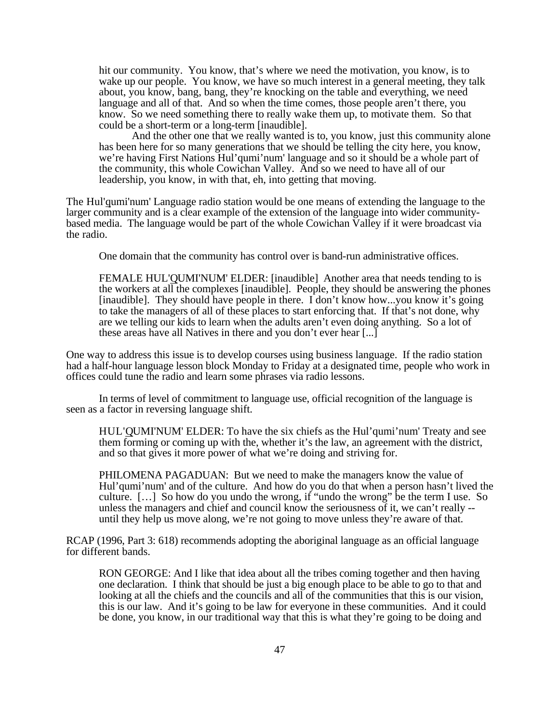hit our community. You know, that's where we need the motivation, you know, is to wake up our people. You know, we have so much interest in a general meeting, they talk about, you know, bang, bang, they're knocking on the table and everything, we need language and all of that. And so when the time comes, those people aren't there, you know. So we need something there to really wake them up, to motivate them. So that could be a short-term or a long-term [inaudible].

And the other one that we really wanted is to, you know, just this community alone has been here for so many generations that we should be telling the city here, you know, we're having First Nations Hul'qumi'num' language and so it should be a whole part of the community, this whole Cowichan Valley. And so we need to have all of our leadership, you know, in with that, eh, into getting that moving.

The Hul'qumi'num' Language radio station would be one means of extending the language to the larger community and is a clear example of the extension of the language into wider communitybased media. The language would be part of the whole Cowichan Valley if it were broadcast via the radio.

One domain that the community has control over is band-run administrative offices.

FEMALE HUL'QUMI'NUM' ELDER: [inaudible] Another area that needs tending to is the workers at all the complexes [inaudible]. People, they should be answering the phones [inaudible]. They should have people in there. I don't know how...you know it's going to take the managers of all of these places to start enforcing that. If that's not done, why are we telling our kids to learn when the adults aren't even doing anything. So a lot of these areas have all Natives in there and you don't ever hear [...]

One way to address this issue is to develop courses using business language. If the radio station had a half-hour language lesson block Monday to Friday at a designated time, people who work in offices could tune the radio and learn some phrases via radio lessons.

In terms of level of commitment to language use, official recognition of the language is seen as a factor in reversing language shift.

HUL'QUMI'NUM' ELDER: To have the six chiefs as the Hul'qumi'num' Treaty and see them forming or coming up with the, whether it's the law, an agreement with the district, and so that gives it more power of what we're doing and striving for.

PHILOMENA PAGADUAN: But we need to make the managers know the value of Hul'qumi'num' and of the culture. And how do you do that when a person hasn't lived the culture.  $[\dots]$  So how do you undo the wrong, if "undo the wrong" be the term I use. So unless the managers and chief and council know the seriousness of it, we can't really - until they help us move along, we're not going to move unless they're aware of that.

RCAP (1996, Part 3: 618) recommends adopting the aboriginal language as an official language for different bands.

RON GEORGE: And I like that idea about all the tribes coming together and then having one declaration. I think that should be just a big enough place to be able to go to that and looking at all the chiefs and the councils and all of the communities that this is our vision, this is our law. And it's going to be law for everyone in these communities. And it could be done, you know, in our traditional way that this is what they're going to be doing and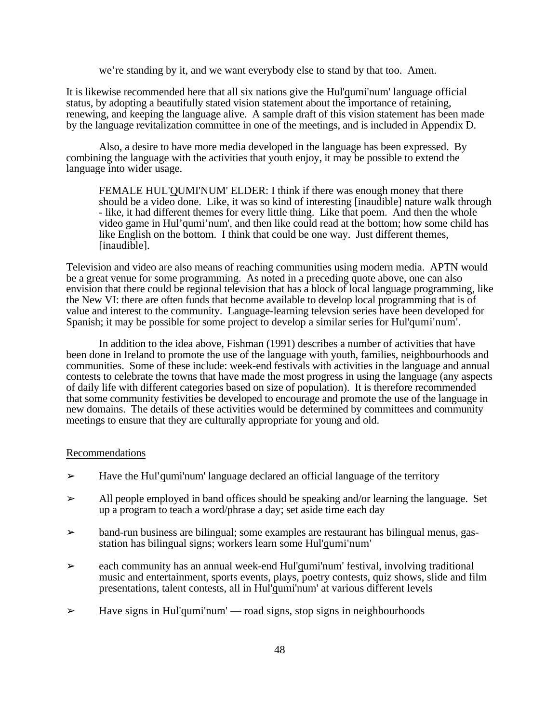we're standing by it, and we want everybody else to stand by that too. Amen.

It is likewise recommended here that all six nations give the Hul'qumi'num' language official status, by adopting a beautifully stated vision statement about the importance of retaining, renewing, and keeping the language alive. A sample draft of this vision statement has been made by the language revitalization committee in one of the meetings, and is included in Appendix D.

Also, a desire to have more media developed in the language has been expressed. By combining the language with the activities that youth enjoy, it may be possible to extend the language into wider usage.

FEMALE HUL'QUMI'NUM' ELDER: I think if there was enough money that there should be a video done. Like, it was so kind of interesting [inaudible] nature walk through - like, it had different themes for every little thing. Like that poem. And then the whole video game in Hul'qumi'num', and then like could read at the bottom; how some child has like English on the bottom. I think that could be one way. Just different themes, [inaudible].

Television and video are also means of reaching communities using modern media. APTN would be a great venue for some programming. As noted in a preceding quote above, one can also envision that there could be regional television that has a block of local language programming, like the New VI: there are often funds that become available to develop local programming that is of value and interest to the community. Language-learning televsion series have been developed for Spanish; it may be possible for some project to develop a similar series for Hul'qumi'num'.

In addition to the idea above, Fishman (1991) describes a number of activities that have been done in Ireland to promote the use of the language with youth, families, neighbourhoods and communities. Some of these include: week-end festivals with activities in the language and annual contests to celebrate the towns that have made the most progress in using the language (any aspects of daily life with different categories based on size of population). It is therefore recommended that some community festivities be developed to encourage and promote the use of the language in new domains. The details of these activities would be determined by committees and community meetings to ensure that they are culturally appropriate for young and old.

### Recommendations

- $\geq$  Have the Hul'qumi'num' language declared an official language of the territory
- $\geq$  All people employed in band offices should be speaking and/or learning the language. Set up a program to teach a word/phrase a day; set aside time each day
- $\triangleright$  band-run business are bilingual; some examples are restaurant has bilingual menus, gasstation has bilingual signs; workers learn some Hul'qumi'num'
- ➢ each community has an annual week-end Hul'qumi'num' festival, involving traditional music and entertainment, sports events, plays, poetry contests, quiz shows, slide and film presentations, talent contests, all in Hul'qumi'num' at various different levels
- $\triangleright$  Have signs in Hul'qumi'num' road signs, stop signs in neighbourhoods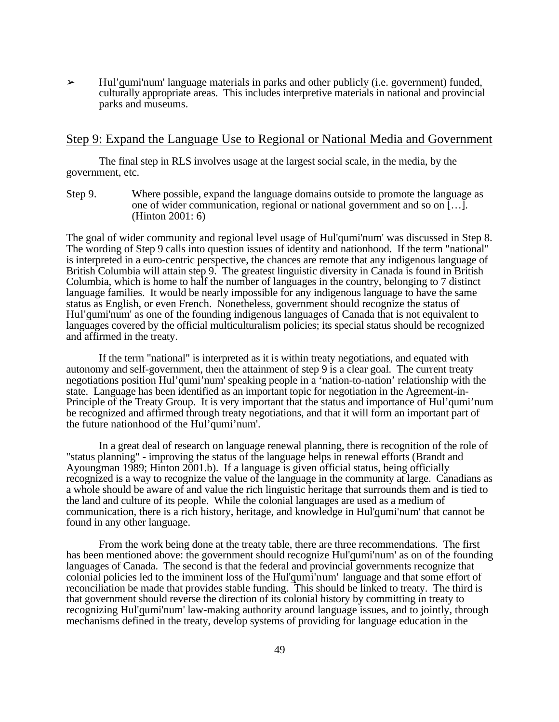$\geq$  Hul'qumi'num' language materials in parks and other publicly (i.e. government) funded, culturally appropriate areas. This includes interpretive materials in national and provincial parks and museums.

## Step 9: Expand the Language Use to Regional or National Media and Government

The final step in RLS involves usage at the largest social scale, in the media, by the government, etc.

Step 9. Where possible, expand the language domains outside to promote the language as one of wider communication, regional or national government and so on […]. (Hinton 2001: 6)

The goal of wider community and regional level usage of Hul'qumi'num' was discussed in Step 8. The wording of Step 9 calls into question issues of identity and nationhood. If the term "national" is interpreted in a euro-centric perspective, the chances are remote that any indigenous language of British Columbia will attain step 9. The greatest linguistic diversity in Canada is found in British Columbia, which is home to half the number of languages in the country, belonging to 7 distinct language families. It would be nearly impossible for any indigenous language to have the same status as English, or even French. Nonetheless, government should recognize the status of Hul'qumi'num' as one of the founding indigenous languages of Canada that is not equivalent to languages covered by the official multiculturalism policies; its special status should be recognized and affirmed in the treaty.

If the term "national" is interpreted as it is within treaty negotiations, and equated with autonomy and self-government, then the attainment of step 9 is a clear goal. The current treaty negotiations position Hul'qumi'num' speaking people in a 'nation-to-nation' relationship with the state. Language has been identified as an important topic for negotiation in the Agreement-in-Principle of the Treaty Group. It is very important that the status and importance of Hul'qumi'num be recognized and affirmed through treaty negotiations, and that it will form an important part of the future nationhood of the Hul'qumi'num'.

In a great deal of research on language renewal planning, there is recognition of the role of "status planning" - improving the status of the language helps in renewal efforts (Brandt and Ayoungman 1989; Hinton 2001.b). If a language is given official status, being officially recognized is a way to recognize the value of the language in the community at large. Canadians as a whole should be aware of and value the rich linguistic heritage that surrounds them and is tied to the land and culture of its people. While the colonial languages are used as a medium of communication, there is a rich history, heritage, and knowledge in Hul'qumi'num' that cannot be found in any other language.

From the work being done at the treaty table, there are three recommendations. The first has been mentioned above: the government should recognize Hul'qumi'num' as on of the founding languages of Canada. The second is that the federal and provincial governments recognize that colonial policies led to the imminent loss of the Hul'qumi'num' language and that some effort of reconciliation be made that provides stable funding. This should be linked to treaty. The third is that government should reverse the direction of its colonial history by committing in treaty to recognizing Hul'qumi'num' law-making authority around language issues, and to jointly, through mechanisms defined in the treaty, develop systems of providing for language education in the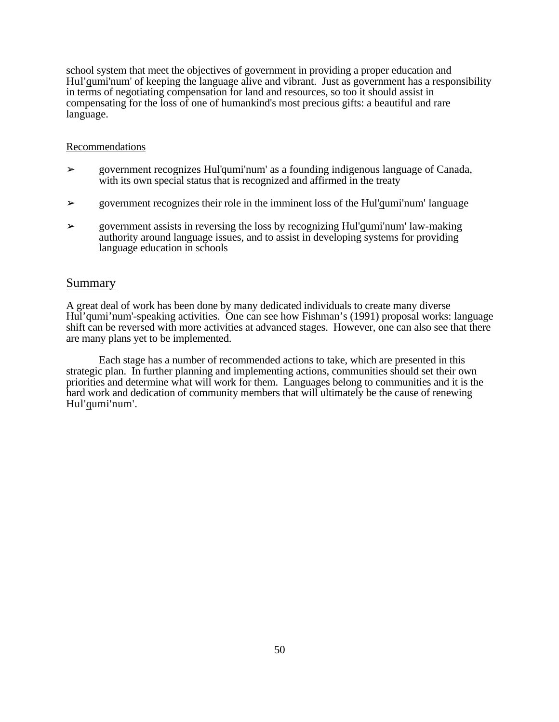school system that meet the objectives of government in providing a proper education and Hul'qumi'num' of keeping the language alive and vibrant. Just as government has a responsibility in terms of negotiating compensation for land and resources, so too it should assist in compensating for the loss of one of humankind's most precious gifts: a beautiful and rare language.

## Recommendations

- ➢ government recognizes Hul'qumi'num' as a founding indigenous language of Canada, with its own special status that is recognized and affirmed in the treaty
- $\geq$  government recognizes their role in the imminent loss of the Hul'qumi'num' language
- $\geq$  government assists in reversing the loss by recognizing Hul'qumi'num' law-making authority around language issues, and to assist in developing systems for providing language education in schools

## Summary

A great deal of work has been done by many dedicated individuals to create many diverse Hul'qumi'num'-speaking activities. One can see how Fishman's (1991) proposal works: language shift can be reversed with more activities at advanced stages. However, one can also see that there are many plans yet to be implemented.

Each stage has a number of recommended actions to take, which are presented in this strategic plan. In further planning and implementing actions, communities should set their own priorities and determine what will work for them. Languages belong to communities and it is the hard work and dedication of community members that will ultimately be the cause of renewing Hul'qumi'num'.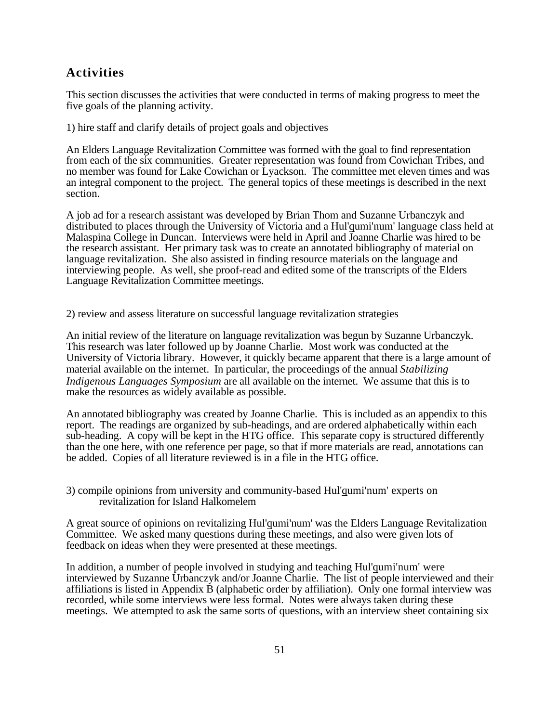## **Activities**

This section discusses the activities that were conducted in terms of making progress to meet the five goals of the planning activity.

1) hire staff and clarify details of project goals and objectives

An Elders Language Revitalization Committee was formed with the goal to find representation from each of the six communities. Greater representation was found from Cowichan Tribes, and no member was found for Lake Cowichan or Lyackson. The committee met eleven times and was an integral component to the project. The general topics of these meetings is described in the next section.

A job ad for a research assistant was developed by Brian Thom and Suzanne Urbanczyk and distributed to places through the University of Victoria and a Hul'qumi'num' language class held at Malaspina College in Duncan. Interviews were held in April and Joanne Charlie was hired to be the research assistant. Her primary task was to create an annotated bibliography of material on language revitalization. She also assisted in finding resource materials on the language and interviewing people. As well, she proof-read and edited some of the transcripts of the Elders Language Revitalization Committee meetings.

2) review and assess literature on successful language revitalization strategies

An initial review of the literature on language revitalization was begun by Suzanne Urbanczyk. This research was later followed up by Joanne Charlie. Most work was conducted at the University of Victoria library. However, it quickly became apparent that there is a large amount of material available on the internet. In particular, the proceedings of the annual *Stabilizing Indigenous Languages Symposium* are all available on the internet. We assume that this is to make the resources as widely available as possible.

An annotated bibliography was created by Joanne Charlie. This is included as an appendix to this report. The readings are organized by sub-headings, and are ordered alphabetically within each sub-heading. A copy will be kept in the HTG office. This separate copy is structured differently than the one here, with one reference per page, so that if more materials are read, annotations can be added. Copies of all literature reviewed is in a file in the HTG office.

3) compile opinions from university and community-based Hul'qumi'num' experts on revitalization for Island Halkomelem

A great source of opinions on revitalizing Hul'qumi'num' was the Elders Language Revitalization Committee. We asked many questions during these meetings, and also were given lots of feedback on ideas when they were presented at these meetings.

In addition, a number of people involved in studying and teaching Hul'qumi'num' were interviewed by Suzanne Urbanczyk and/or Joanne Charlie. The list of people interviewed and their affiliations is listed in Appendix B (alphabetic order by affiliation). Only one formal interview was recorded, while some interviews were less formal. Notes were always taken during these meetings. We attempted to ask the same sorts of questions, with an interview sheet containing six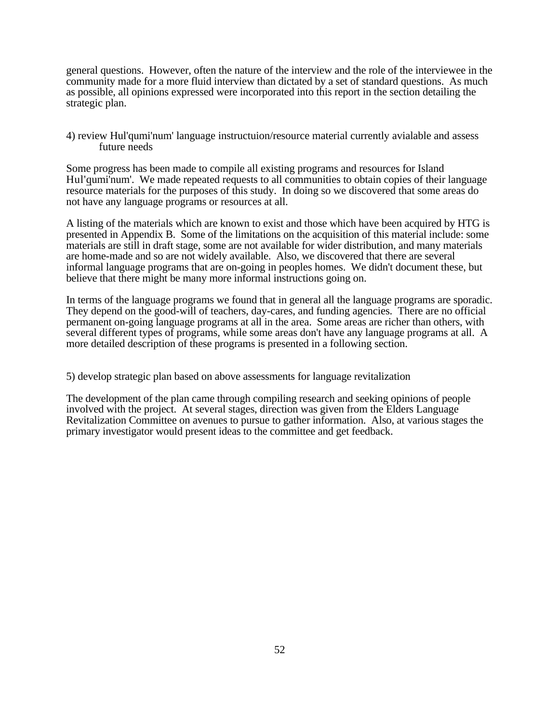general questions. However, often the nature of the interview and the role of the interviewee in the community made for a more fluid interview than dictated by a set of standard questions. As much as possible, all opinions expressed were incorporated into this report in the section detailing the strategic plan.

4) review Hul'qumi'num' language instructuion/resource material currently avialable and assess future needs

Some progress has been made to compile all existing programs and resources for Island Hul'qumi'num'. We made repeated requests to all communities to obtain copies of their language resource materials for the purposes of this study. In doing so we discovered that some areas do not have any language programs or resources at all.

A listing of the materials which are known to exist and those which have been acquired by HTG is presented in Appendix B. Some of the limitations on the acquisition of this material include: some materials are still in draft stage, some are not available for wider distribution, and many materials are home-made and so are not widely available. Also, we discovered that there are several informal language programs that are on-going in peoples homes. We didn't document these, but believe that there might be many more informal instructions going on.

In terms of the language programs we found that in general all the language programs are sporadic. They depend on the good-will of teachers, day-cares, and funding agencies. There are no official permanent on-going language programs at all in the area. Some areas are richer than others, with several different types of programs, while some areas don't have any language programs at all. A more detailed description of these programs is presented in a following section.

5) develop strategic plan based on above assessments for language revitalization

The development of the plan came through compiling research and seeking opinions of people involved with the project. At several stages, direction was given from the Elders Language Revitalization Committee on avenues to pursue to gather information. Also, at various stages the primary investigator would present ideas to the committee and get feedback.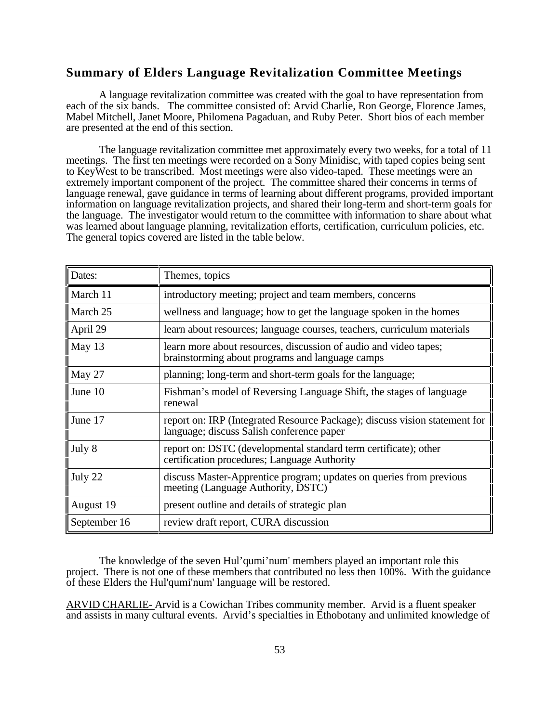## **Summary of Elders Language Revitalization Committee Meetings**

A language revitalization committee was created with the goal to have representation from each of the six bands. The committee consisted of: Arvid Charlie, Ron George, Florence James, Mabel Mitchell, Janet Moore, Philomena Pagaduan, and Ruby Peter. Short bios of each member are presented at the end of this section.

The language revitalization committee met approximately every two weeks, for a total of 11 meetings. The first ten meetings were recorded on a Sony Minidisc, with taped copies being sent to KeyWest to be transcribed. Most meetings were also video-taped. These meetings were an extremely important component of the project. The committee shared their concerns in terms of language renewal, gave guidance in terms of learning about different programs, provided important information on language revitalization projects, and shared their long-term and short-term goals for the language. The investigator would return to the committee with information to share about what was learned about language planning, revitalization efforts, certification, curriculum policies, etc. The general topics covered are listed in the table below.

| Dates:           | Themes, topics                                                                                                          |
|------------------|-------------------------------------------------------------------------------------------------------------------------|
| $\vert$ March 11 | introductory meeting; project and team members, concerns                                                                |
| $\vert$ March 25 | wellness and language; how to get the language spoken in the homes                                                      |
| April 29         | learn about resources; language courses, teachers, curriculum materials                                                 |
| $\vert$ May 13   | learn more about resources, discussion of audio and video tapes;<br>brainstorming about programs and language camps     |
| $\vert$ May 27   | planning; long-term and short-term goals for the language;                                                              |
| $\vert$ June 10  | Fishman's model of Reversing Language Shift, the stages of language<br>renewal                                          |
| $\vert$ June 17  | report on: IRP (Integrated Resource Package); discuss vision statement for<br>language; discuss Salish conference paper |
| $\vert$ July 8   | report on: DSTC (developmental standard term certificate); other<br>certification procedures; Language Authority        |
| $\int$ July 22   | discuss Master-Apprentice program; updates on queries from previous<br>meeting (Language Authority, DSTC)               |
| August $19$      | present outline and details of strategic plan                                                                           |
| September 16     | review draft report, CURA discussion                                                                                    |

The knowledge of the seven Hul'qumi'num' members played an important role this project. There is not one of these members that contributed no less then 100%. With the guidance of these Elders the Hul'qumi'num' language will be restored.

ARVID CHARLIE- Arvid is a Cowichan Tribes community member. Arvid is a fluent speaker and assists in many cultural events. Arvid's specialties in Ethobotany and unlimited knowledge of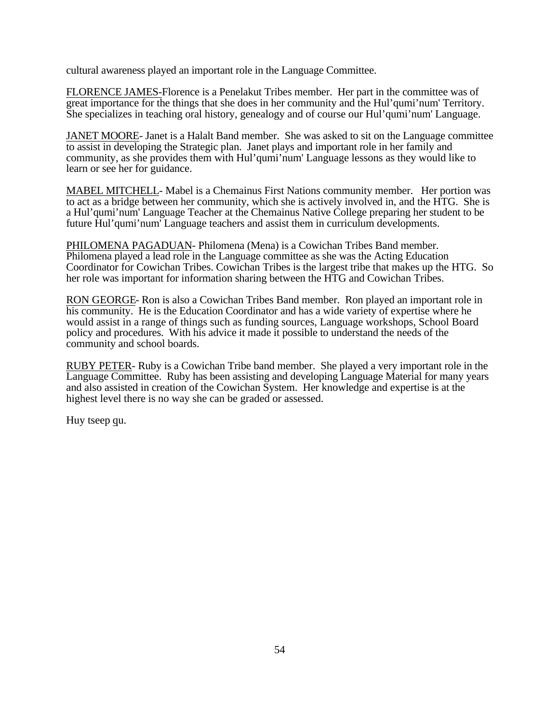cultural awareness played an important role in the Language Committee.

FLORENCE JAMES-Florence is a Penelakut Tribes member. Her part in the committee was of great importance for the things that she does in her community and the Hul'qumi'num' Territory. She specializes in teaching oral history, genealogy and of course our Hul'qumi'num' Language.

JANET MOORE- Janet is a Halalt Band member. She was asked to sit on the Language committee to assist in developing the Strategic plan. Janet plays and important role in her family and community, as she provides them with Hul'qumi'num' Language lessons as they would like to learn or see her for guidance.

MABEL MITCHELL- Mabel is a Chemainus First Nations community member. Her portion was to act as a bridge between her community, which she is actively involved in, and the HTG. She is a Hul'qumi'num' Language Teacher at the Chemainus Native College preparing her student to be future Hul'qumi'num' Language teachers and assist them in curriculum developments.

PHILOMENA PAGADUAN- Philomena (Mena) is a Cowichan Tribes Band member. Philomena played a lead role in the Language committee as she was the Acting Education Coordinator for Cowichan Tribes. Cowichan Tribes is the largest tribe that makes up the HTG. So her role was important for information sharing between the HTG and Cowichan Tribes.

RON GEORGE- Ron is also a Cowichan Tribes Band member. Ron played an important role in his community. He is the Education Coordinator and has a wide variety of expertise where he would assist in a range of things such as funding sources, Language workshops, School Board policy and procedures. With his advice it made it possible to understand the needs of the community and school boards.

RUBY PETER- Ruby is a Cowichan Tribe band member. She played a very important role in the Language Committee. Ruby has been assisting and developing Language Material for many years and also assisted in creation of the Cowichan System. Her knowledge and expertise is at the highest level there is no way she can be graded or assessed.

Huy tseep qu.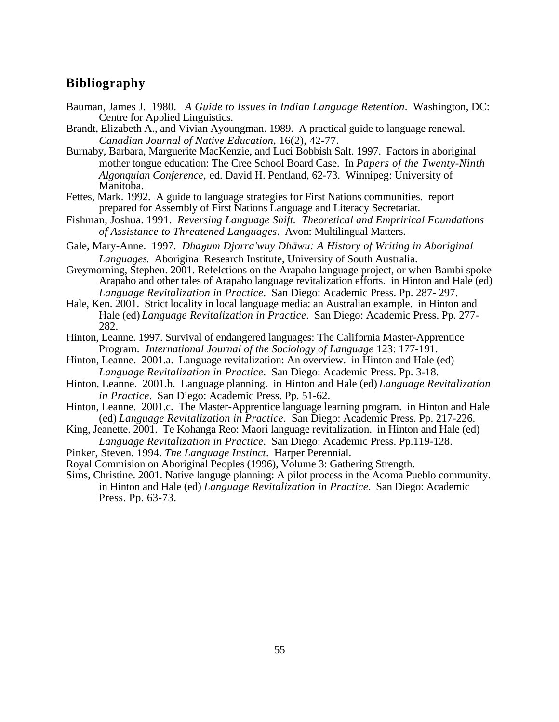## **Bibliography**

- Bauman, James J. 1980. *A Guide to Issues in Indian Language Retention*. Washington, DC: Centre for Applied Linguistics.
- Brandt, Elizabeth A., and Vivian Ayoungman. 1989. A practical guide to language renewal. *Canadian Journal of Native Education*, 16(2), 42-77.
- Burnaby, Barbara, Marguerite MacKenzie, and Luci Bobbish Salt. 1997. Factors in aboriginal mother tongue education: The Cree School Board Case. In *Papers of the Twenty-Ninth Algonquian Conference,* ed. David H. Pentland, 62-73. Winnipeg: University of Manitoba.
- Fettes, Mark. 1992. A guide to language strategies for First Nations communities. report prepared for Assembly of First Nations Language and Literacy Secretariat.
- Fishman, Joshua. 1991. *Reversing Language Shift. Theoretical and Emprirical Foundations of Assistance to Threatened Languages*. Avon: Multilingual Matters.
- Gale, Mary-Anne. 1997. *Dha um Djorra'wuy Dhäwu: A History of Writing in Aboriginal Languages*. Aboriginal Research Institute, University of South Australia.
- Greymorning, Stephen. 2001. Refelctions on the Arapaho language project, or when Bambi spoke Arapaho and other tales of Arapaho language revitalization efforts. in Hinton and Hale (ed) *Language Revitalization in Practice*. San Diego: Academic Press. Pp. 287- 297.
- Hale, Ken. 2001. Strict locality in local language media: an Australian example. in Hinton and Hale (ed) *Language Revitalization in Practice*. San Diego: Academic Press. Pp. 277- 282.
- Hinton, Leanne. 1997. Survival of endangered languages: The California Master-Apprentice Program. *International Journal of the Sociology of Language* 123: 177-191.
- Hinton, Leanne. 2001.a. Language revitalization: An overview. in Hinton and Hale (ed) *Language Revitalization in Practice*. San Diego: Academic Press. Pp. 3-18.
- Hinton, Leanne. 2001.b. Language planning. in Hinton and Hale (ed) *Language Revitalization in Practice*. San Diego: Academic Press. Pp. 51-62.
- Hinton, Leanne. 2001.c. The Master-Apprentice language learning program. in Hinton and Hale (ed) *Language Revitalization in Practice*. San Diego: Academic Press. Pp. 217-226.
- King, Jeanette. 2001. Te Kohanga Reo: Maori language revitalization. in Hinton and Hale (ed) *Language Revitalization in Practice*. San Diego: Academic Press. Pp.119-128.
- Pinker, Steven. 1994. *The Language Instinct*. Harper Perennial.
- Royal Commision on Aboriginal Peoples (1996), Volume 3: Gathering Strength.
- Sims, Christine. 2001. Native languge planning: A pilot process in the Acoma Pueblo community. in Hinton and Hale (ed) *Language Revitalization in Practice*. San Diego: Academic Press. Pp. 63-73.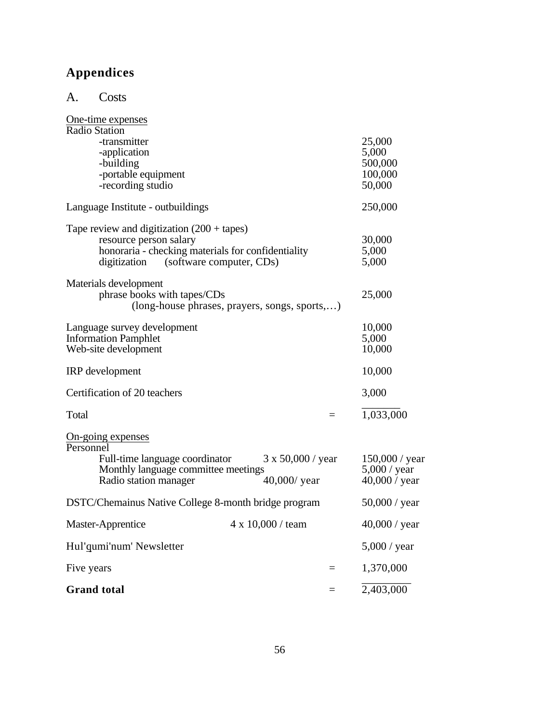# **Appendices**

A. Costs

| One-time expenses<br>Radio Station                                                                                                                                           |                                                 |                                                   |
|------------------------------------------------------------------------------------------------------------------------------------------------------------------------------|-------------------------------------------------|---------------------------------------------------|
| -transmitter<br>-application<br>-building<br>-portable equipment<br>-recording studio                                                                                        | 25,000<br>5,000<br>500,000<br>100,000<br>50,000 |                                                   |
| Language Institute - outbuildings                                                                                                                                            | 250,000                                         |                                                   |
| Tape review and digitization $(200 + \text{tapes})$<br>resource person salary<br>honoraria - checking materials for confidentiality<br>digitization (software computer, CDs) | 30,000<br>5,000<br>5,000                        |                                                   |
| Materials development<br>phrase books with tapes/CDs<br>(long-house phrases, prayers, songs, sports,)                                                                        | 25,000                                          |                                                   |
| Language survey development<br><b>Information Pamphlet</b><br>Web-site development                                                                                           | 10,000<br>5,000<br>10,000                       |                                                   |
| IRP development                                                                                                                                                              | 10,000                                          |                                                   |
| Certification of 20 teachers                                                                                                                                                 | 3,000                                           |                                                   |
| Total                                                                                                                                                                        |                                                 | 1,033,000                                         |
| On-going expenses<br>Personnel<br>Full-time language coordinator<br>Monthly language committee meetings<br>Radio station manager                                             | $3 \times 50,000$ / year<br>$40,000/$ year      | 150,000 / year<br>$5,000$ / year<br>40,000 / year |
| DSTC/Chemainus Native College 8-month bridge program                                                                                                                         | 50,000 / year                                   |                                                   |
| Master-Apprentice                                                                                                                                                            | $4 \times 10,000$ / team                        | 40,000 / year                                     |
| Hul'qumi'num' Newsletter                                                                                                                                                     |                                                 | $5,000$ / year                                    |
| Five years                                                                                                                                                                   | $=$                                             | 1,370,000                                         |
| <b>Grand</b> total                                                                                                                                                           |                                                 | 2,403,000                                         |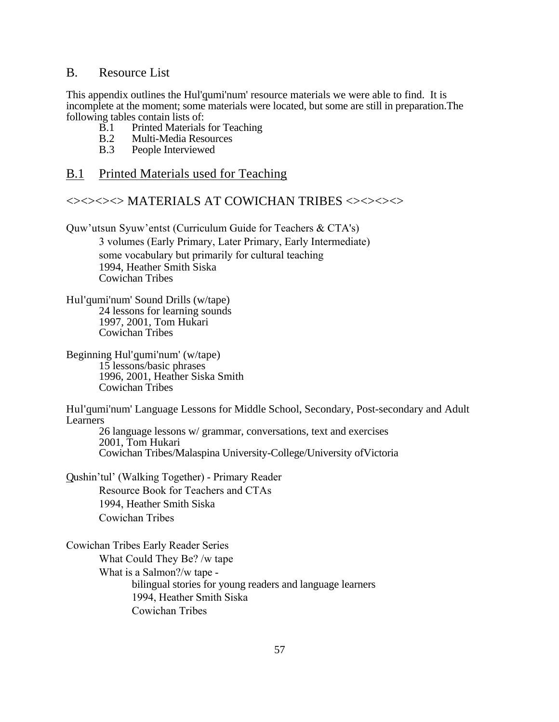## B. Resource List

This appendix outlines the Hul'qumi'num' resource materials we were able to find. It is incomplete at the moment; some materials were located, but some are still in preparation.The following tables contain lists of:

- B.1 Printed Materials for Teaching<br>B.2 Multi-Media Resources
- B.2 Multi-Media Resources<br>B.3 People Interviewed
- People Interviewed

## B.1 Printed Materials used for Teaching

## <><><><> MATERIALS AT COWICHAN TRIBES <><><><>

Quw'utsun Syuw'entst (Curriculum Guide for Teachers & CTA's) 3 volumes (Early Primary, Later Primary, Early Intermediate) some vocabulary but primarily for cultural teaching 1994, Heather Smith Siska Cowichan Tribes

- Hul'qumi'num' Sound Drills (w/tape) 24 lessons for learning sounds 1997, 2001, Tom Hukari Cowichan Tribes
- Beginning Hul'qumi'num' (w/tape) 15 lessons/basic phrases 1996, 2001, Heather Siska Smith Cowichan Tribes

Hul'qumi'num' Language Lessons for Middle School, Secondary, Post-secondary and Adult Learners

26 language lessons w/ grammar, conversations, text and exercises 2001, Tom Hukari Cowichan Tribes/Malaspina University-College/University ofVictoria

Qushin'tul' (Walking Together) - Primary Reader Resource Book for Teachers and CTAs 1994, Heather Smith Siska Cowichan Tribes

Cowichan Tribes Early Reader Series What Could They Be? /w tape What is a Salmon?/w tape bilingual stories for young readers and language learners 1994, Heather Smith Siska Cowichan Tribes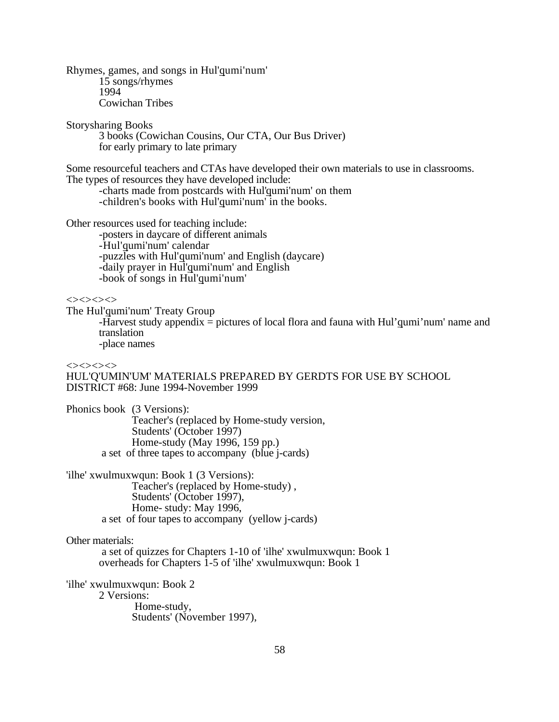Rhymes, games, and songs in Hul'qumi'num' 15 songs/rhymes 1994 Cowichan Tribes

Storysharing Books

3 books (Cowichan Cousins, Our CTA, Our Bus Driver) for early primary to late primary

Some resourceful teachers and CTAs have developed their own materials to use in classrooms. The types of resources they have developed include:

-charts made from postcards with Hul'qumi'num' on them -children's books with Hul'qumi'num' in the books.

Other resources used for teaching include:

-posters in daycare of different animals -Hul'qumi'num' calendar -puzzles with Hul'qumi'num' and English (daycare) -daily prayer in Hul'qumi'num' and English -book of songs in Hul'qumi'num'

 $\Leftrightarrow$ 

The Hul'qumi'num' Treaty Group

-Harvest study appendix = pictures of local flora and fauna with Hul'qumi'num' name and translation

-place names

 $\Leftrightarrow$ 

HUL'Q'UMIN'UM' MATERIALS PREPARED BY GERDTS FOR USE BY SCHOOL DISTRICT #68: June 1994-November 1999

Phonics book (3 Versions): Teacher's (replaced by Home-study version, Students' (October 1997) Home-study (May 1996, 159 pp.) a set of three tapes to accompany (blue j-cards)

'ilhe' xwulmuxwqun: Book 1 (3 Versions): Teacher's (replaced by Home-study) , Students' (October 1997), Home- study: May 1996, a set of four tapes to accompany (yellow j-cards)

Other materials:

 a set of quizzes for Chapters 1-10 of 'ilhe' xwulmuxwqun: Book 1 overheads for Chapters 1-5 of 'ilhe' xwulmuxwqun: Book 1

'ilhe' xwulmuxwqun: Book 2 2 Versions: Home-study,

Students' (November 1997),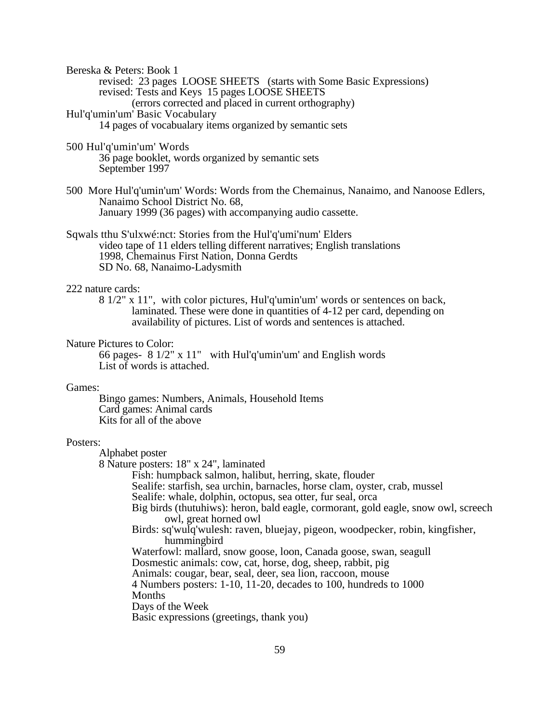Bereska & Peters: Book 1

revised: 23 pages LOOSE SHEETS (starts with Some Basic Expressions) revised: Tests and Keys 15 pages LOOSE SHEETS (errors corrected and placed in current orthography) Hul'q'umin'um' Basic Vocabulary

14 pages of vocabualary items organized by semantic sets

- 500 Hul'q'umin'um' Words 36 page booklet, words organized by semantic sets September 1997
- 500 More Hul'q'umin'um' Words: Words from the Chemainus, Nanaimo, and Nanoose Edlers, Nanaimo School District No. 68, January 1999 (36 pages) with accompanying audio cassette.

Sqwals tthu S'ulxwé:nct: Stories from the Hul'q'umi'num' Elders video tape of 11 elders telling different narratives; English translations 1998, Chemainus First Nation, Donna Gerdts SD No. 68, Nanaimo-Ladysmith

#### 222 nature cards:

8 1/2" x 11", with color pictures, Hul'q'umin'um' words or sentences on back, laminated. These were done in quantities of 4-12 per card, depending on availability of pictures. List of words and sentences is attached.

#### Nature Pictures to Color:

66 pages- 8 1/2" x 11" with Hul'q'umin'um' and English words List of words is attached.

#### Games:

Bingo games: Numbers, Animals, Household Items Card games: Animal cards Kits for all of the above

### Posters:

Alphabet poster

8 Nature posters: 18" x 24", laminated

Fish: humpback salmon, halibut, herring, skate, flouder

Sealife: starfish, sea urchin, barnacles, horse clam, oyster, crab, mussel

Sealife: whale, dolphin, octopus, sea otter, fur seal, orca

Big birds (thutuhiws): heron, bald eagle, cormorant, gold eagle, snow owl, screech owl, great horned owl

Birds: sq'wulq'wulesh: raven, bluejay, pigeon, woodpecker, robin, kingfisher, hummingbird

Waterfowl: mallard, snow goose, loon, Canada goose, swan, seagull

Dosmestic animals: cow, cat, horse, dog, sheep, rabbit, pig

Animals: cougar, bear, seal, deer, sea lion, raccoon, mouse

4 Numbers posters: 1-10, 11-20, decades to 100, hundreds to 1000 Months

Days of the Week

Basic expressions (greetings, thank you)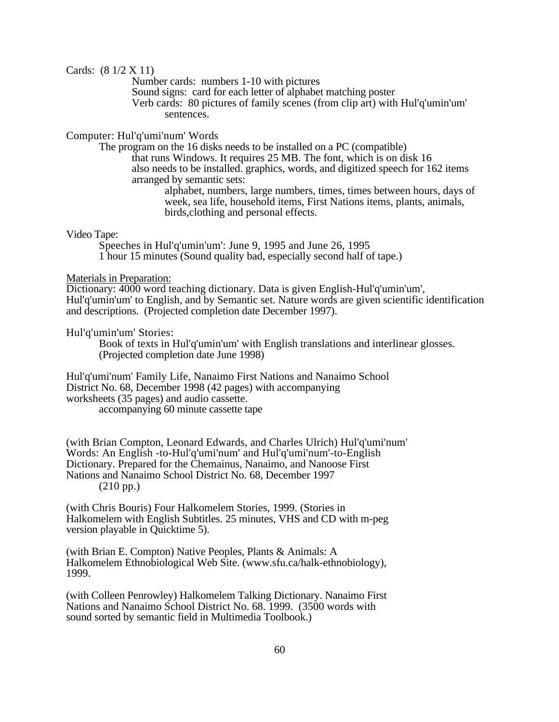Cards: (8 1/2 X 11)

Number cards: numbers 1-10 with pictures

Sound signs: card for each letter of alphabet matching poster

Verb cards: 80 pictures of family scenes (from clip art) with Hul'q'umin'um' sentences.

Computer: Hul'q'umi'num' Words

The program on the 16 disks needs to be installed on a PC (compatible) that runs Windows. It requires 25 MB. The font, which is on disk 16 also needs to be installed. graphics, words, and digitized speech for 162 items arranged by semantic sets:

alphabet, numbers, large numbers, times, times between hours, days of week, sea life, household items, First Nations items, plants, animals, birds,clothing and personal effects.

Video Tape:

Speeches in Hul'q'umin'um': June 9, 1995 and June 26, 1995 1 hour 15 minutes (Sound quality bad, especially second half of tape.)

## Materials in Preparation:

Dictionary: 4000 word teaching dictionary. Data is given English-Hul'q'umin'um', Hul'q'umin'um' to English, and by Semantic set. Nature words are given scientific identification and descriptions. (Projected completion date December 1997).

Hul'q'umin'um' Stories:

Book of texts in Hul'q'umin'um' with English translations and interlinear glosses. (Projected completion date June 1998)

Hul'q'umi'num' Family Life, Nanaimo First Nations and Nanaimo School District No. 68, December 1998 (42 pages) with accompanying worksheets (35 pages) and audio cassette. accompanying 60 minute cassette tape

(with Brian Compton, Leonard Edwards, and Charles Ulrich) Hul'q'umi'num' Words: An English -to-Hul'q'umi'num' and Hul'q'umi'num'-to-English Dictionary. Prepared for the Chemainus, Nanaimo, and Nanoose First Nations and Nanaimo School District No. 68, December 1997 (210 pp.)

(with Chris Bouris) Four Halkomelem Stories, 1999. (Stories in Halkomelem with English Subtitles. 25 minutes, VHS and CD with m-peg version playable in Quicktime 5).

(with Brian E. Compton) Native Peoples, Plants & Animals: A Halkomelem Ethnobiological Web Site. (www.sfu.ca/halk-ethnobiology), 1999.

(with Colleen Penrowley) Halkomelem Talking Dictionary. Nanaimo First Nations and Nanaimo School District No. 68. 1999. (3500 words with sound sorted by semantic field in Multimedia Toolbook.)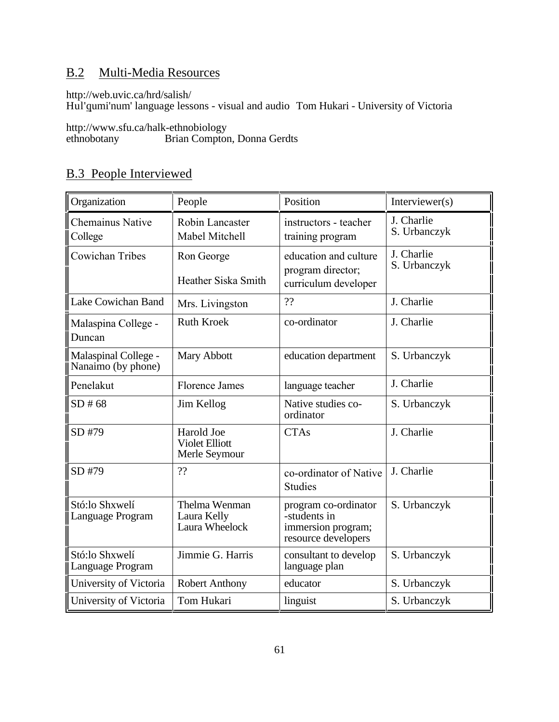## B.2 Multi-Media Resources

http://web.uvic.ca/hrd/salish/

Hul'qumi'num' language lessons - visual and audio Tom Hukari - University of Victoria

http://www.sfu.ca/halk-ethnobiology

ethnobotany Brian Compton, Donna Gerdts

## B.3 People Interviewed

| Organization                               | People                                               | Position                                                                          | Interviewer( $s$ )         |
|--------------------------------------------|------------------------------------------------------|-----------------------------------------------------------------------------------|----------------------------|
| Chemainus Native<br>College                | Robin Lancaster<br>Mabel Mitchell                    | instructors - teacher<br>training program                                         | J. Charlie<br>S. Urbanczyk |
| Cowichan Tribes                            | Ron George<br>Heather Siska Smith                    | education and culture<br>program director;<br>curriculum developer                | J. Charlie<br>S. Urbanczyk |
| Lake Cowichan Band                         | Mrs. Livingston                                      | ??                                                                                | J. Charlie                 |
| Malaspina College -<br>Duncan              | <b>Ruth Kroek</b>                                    | co-ordinator                                                                      | J. Charlie                 |
| Malaspinal College -<br>Nanaimo (by phone) | Mary Abbott                                          | education department                                                              | S. Urbanczyk               |
| Penelakut                                  | <b>Florence James</b>                                | language teacher                                                                  | J. Charlie                 |
| SD#68                                      | Jim Kellog                                           | Native studies co-<br>ordinator                                                   | S. Urbanczyk               |
| SD #79                                     | Harold Joe<br><b>Violet Elliott</b><br>Merle Seymour | <b>CTAs</b>                                                                       | J. Charlie                 |
| SD #79                                     | ??                                                   | co-ordinator of Native<br><b>Studies</b>                                          | J. Charlie                 |
| Stó:lo Shxwelí<br>Language Program         | Thelma Wenman<br>Laura Kelly<br>Laura Wheelock       | program co-ordinator<br>-students in<br>immersion program;<br>resource developers | S. Urbanczyk               |
| Stó:lo Shxwelí<br>Language Program         | Jimmie G. Harris                                     | consultant to develop<br>language plan                                            | S. Urbanczyk               |
| University of Victoria                     | <b>Robert Anthony</b>                                | educator                                                                          | S. Urbanczyk               |
| University of Victoria                     | Tom Hukari                                           | linguist                                                                          | S. Urbanczyk               |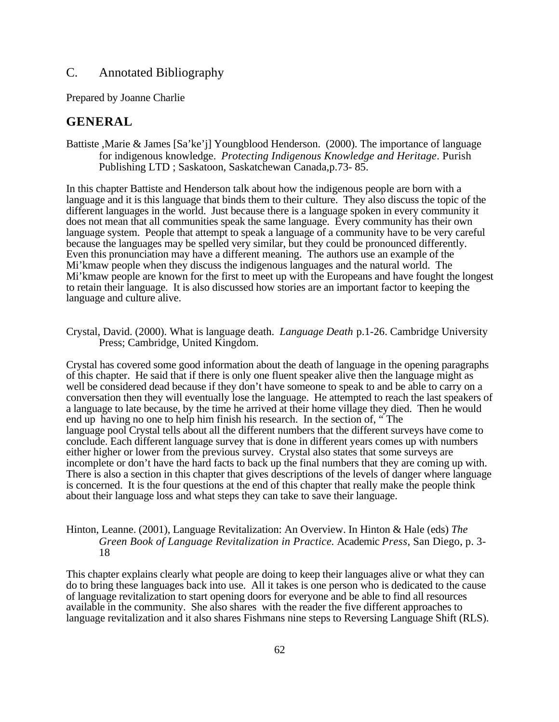## C. Annotated Bibliography

Prepared by Joanne Charlie

## **GENERAL**

Battiste ,Marie & James [Sa'ke'j] Youngblood Henderson. (2000). The importance of language for indigenous knowledge. *Protecting Indigenous Knowledge and Heritage*. Purish Publishing LTD ; Saskatoon, Saskatchewan Canada,p.73- 85.

In this chapter Battiste and Henderson talk about how the indigenous people are born with a language and it is this language that binds them to their culture. They also discuss the topic of the different languages in the world. Just because there is a language spoken in every community it does not mean that all communities speak the same language. Every community has their own language system. People that attempt to speak a language of a community have to be very careful because the languages may be spelled very similar, but they could be pronounced differently. Even this pronunciation may have a different meaning. The authors use an example of the Mi'kmaw people when they discuss the indigenous languages and the natural world. The Mi'kmaw people are known for the first to meet up with the Europeans and have fought the longest to retain their language. It is also discussed how stories are an important factor to keeping the language and culture alive.

Crystal, David. (2000). What is language death. *Language Death* p.1-26. Cambridge University Press; Cambridge, United Kingdom.

Crystal has covered some good information about the death of language in the opening paragraphs of this chapter. He said that if there is only one fluent speaker alive then the language might as well be considered dead because if they don't have someone to speak to and be able to carry on a conversation then they will eventually lose the language. He attempted to reach the last speakers of a language to late because, by the time he arrived at their home village they died. Then he would end up having no one to help him finish his research. In the section of, " The language pool Crystal tells about all the different numbers that the different surveys have come to conclude. Each different language survey that is done in different years comes up with numbers either higher or lower from the previous survey. Crystal also states that some surveys are incomplete or don't have the hard facts to back up the final numbers that they are coming up with. There is also a section in this chapter that gives descriptions of the levels of danger where language is concerned. It is the four questions at the end of this chapter that really make the people think about their language loss and what steps they can take to save their language.

## Hinton, Leanne. (2001), Language Revitalization: An Overview. In Hinton & Hale (eds) *The Green Book of Language Revitalization in Practice.* Academic *Press*, San Diego, p. 3- 18

This chapter explains clearly what people are doing to keep their languages alive or what they can do to bring these languages back into use. All it takes is one person who is dedicated to the cause of language revitalization to start opening doors for everyone and be able to find all resources available in the community. She also shares with the reader the five different approaches to language revitalization and it also shares Fishmans nine steps to Reversing Language Shift (RLS).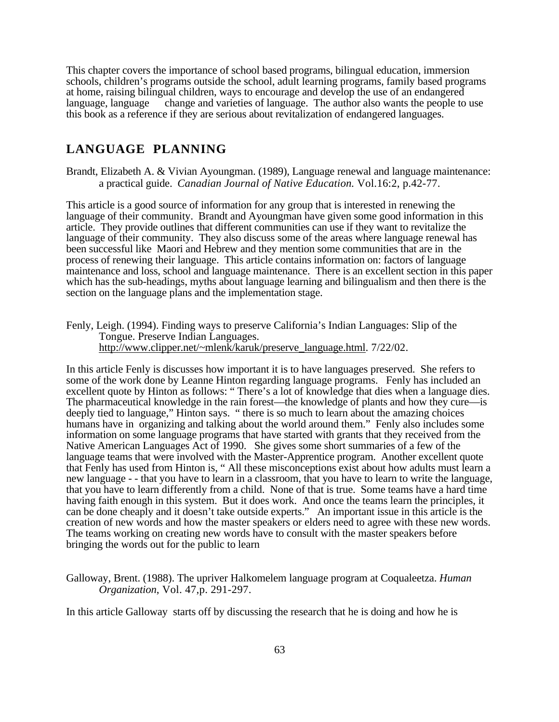This chapter covers the importance of school based programs, bilingual education, immersion schools, children's programs outside the school, adult learning programs, family based programs at home, raising bilingual children, ways to encourage and develop the use of an endangered language, language change and varieties of language. The author also wants the people to use this book as a reference if they are serious about revitalization of endangered languages.

## **LANGUAGE PLANNING**

Brandt, Elizabeth A. & Vivian Ayoungman. (1989), Language renewal and language maintenance: a practical guide. *Canadian Journal of Native Education.* Vol.16:2, p.42-77.

This article is a good source of information for any group that is interested in renewing the language of their community. Brandt and Ayoungman have given some good information in this article. They provide outlines that different communities can use if they want to revitalize the language of their community. They also discuss some of the areas where language renewal has been successful like Maori and Hebrew and they mention some communities that are in the process of renewing their language. This article contains information on: factors of language maintenance and loss, school and language maintenance. There is an excellent section in this paper which has the sub-headings, myths about language learning and bilingualism and then there is the section on the language plans and the implementation stage.

Fenly, Leigh. (1994). Finding ways to preserve California's Indian Languages: Slip of the Tongue. Preserve Indian Languages. http://www.clipper.net/~mlenk/karuk/preserve\_language.html. 7/22/02.

In this article Fenly is discusses how important it is to have languages preserved. She refers to some of the work done by Leanne Hinton regarding language programs. Fenly has included an excellent quote by Hinton as follows: " There's a lot of knowledge that dies when a language dies. The pharmaceutical knowledge in the rain forest—the knowledge of plants and how they cure—is deeply tied to language," Hinton says. " there is so much to learn about the amazing choices humans have in organizing and talking about the world around them." Fenly also includes some information on some language programs that have started with grants that they received from the Native American Languages Act of 1990. She gives some short summaries of a few of the language teams that were involved with the Master-Apprentice program. Another excellent quote that Fenly has used from Hinton is, " All these misconceptions exist about how adults must learn a new language - - that you have to learn in a classroom, that you have to learn to write the language, that you have to learn differently from a child. None of that is true. Some teams have a hard time having faith enough in this system. But it does work. And once the teams learn the principles, it can be done cheaply and it doesn't take outside experts." An important issue in this article is the creation of new words and how the master speakers or elders need to agree with these new words. The teams working on creating new words have to consult with the master speakers before bringing the words out for the public to learn

Galloway, Brent. (1988). The upriver Halkomelem language program at Coqualeetza. *Human Organization*, Vol. 47,p. 291-297.

In this article Galloway starts off by discussing the research that he is doing and how he is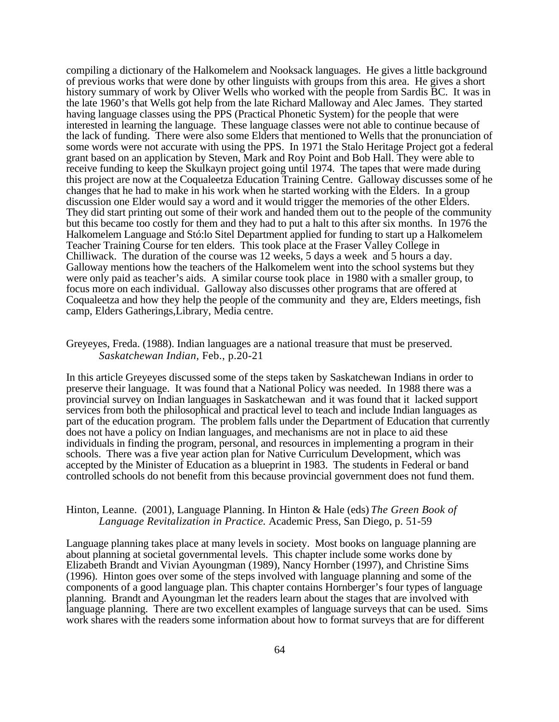compiling a dictionary of the Halkomelem and Nooksack languages. He gives a little background of previous works that were done by other linguists with groups from this area. He gives a short history summary of work by Oliver Wells who worked with the people from Sardis BC. It was in the late 1960's that Wells got help from the late Richard Malloway and Alec James. They started having language classes using the PPS (Practical Phonetic System) for the people that were interested in learning the language. These language classes were not able to continue because of the lack of funding. There were also some Elders that mentioned to Wells that the pronunciation of some words were not accurate with using the PPS. In 1971 the Stalo Heritage Project got a federal grant based on an application by Steven, Mark and Roy Point and Bob Hall. They were able to receive funding to keep the Skulkayn project going until 1974. The tapes that were made during this project are now at the Coqualeetza Education Training Centre. Galloway discusses some of he changes that he had to make in his work when he started working with the Elders. In a group discussion one Elder would say a word and it would trigger the memories of the other Elders. They did start printing out some of their work and handed them out to the people of the community but this became too costly for them and they had to put a halt to this after six months. In 1976 the Halkomelem Language and Stó:lo Sitel Department applied for funding to start up a Halkomelem Teacher Training Course for ten elders. This took place at the Fraser Valley College in Chilliwack. The duration of the course was 12 weeks, 5 days a week and 5 hours a day. Galloway mentions how the teachers of the Halkomelem went into the school systems but they were only paid as teacher's aids. A similar course took place in 1980 with a smaller group, to focus more on each individual. Galloway also discusses other programs that are offered at Coqualeetza and how they help the people of the community and they are, Elders meetings, fish camp, Elders Gatherings,Library, Media centre.

### Greyeyes, Freda. (1988). Indian languages are a national treasure that must be preserved. *Saskatchewan Indian,* Feb., p.20-21

In this article Greyeyes discussed some of the steps taken by Saskatchewan Indians in order to preserve their language. It was found that a National Policy was needed. In 1988 there was a provincial survey on Indian languages in Saskatchewan and it was found that it lacked support services from both the philosophical and practical level to teach and include Indian languages as part of the education program. The problem falls under the Department of Education that currently does not have a policy on Indian languages, and mechanisms are not in place to aid these individuals in finding the program, personal, and resources in implementing a program in their schools. There was a five year action plan for Native Curriculum Development, which was accepted by the Minister of Education as a blueprint in 1983. The students in Federal or band controlled schools do not benefit from this because provincial government does not fund them.

## Hinton, Leanne. (2001), Language Planning. In Hinton & Hale (eds) *The Green Book of Language Revitalization in Practice.* Academic Press, San Diego, p. 51-59

Language planning takes place at many levels in society. Most books on language planning are about planning at societal governmental levels. This chapter include some works done by Elizabeth Brandt and Vivian Ayoungman (1989), Nancy Hornber (1997), and Christine Sims (1996). Hinton goes over some of the steps involved with language planning and some of the components of a good language plan. This chapter contains Hornberger's four types of language planning. Brandt and Ayoungman let the readers learn about the stages that are involved with language planning. There are two excellent examples of language surveys that can be used. Sims work shares with the readers some information about how to format surveys that are for different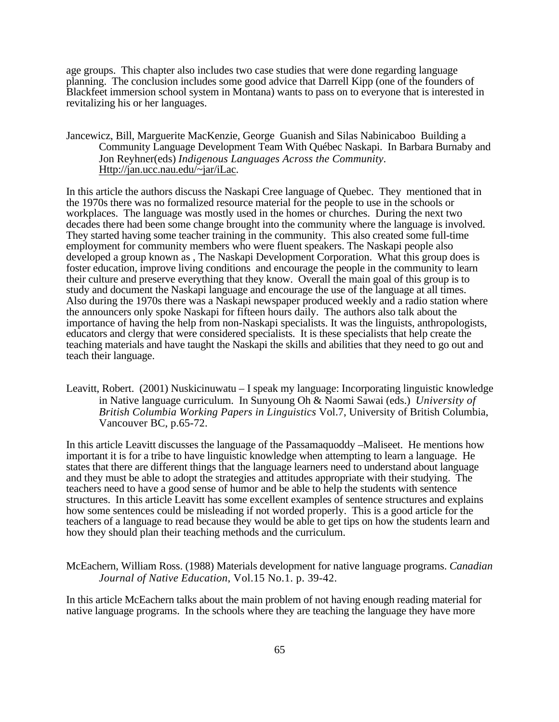age groups. This chapter also includes two case studies that were done regarding language planning. The conclusion includes some good advice that Darrell Kipp (one of the founders of Blackfeet immersion school system in Montana) wants to pass on to everyone that is interested in revitalizing his or her languages.

Jancewicz, Bill, Marguerite MacKenzie, George Guanish and Silas Nabinicaboo Building a Community Language Development Team With Québec Naskapi. In Barbara Burnaby and Jon Reyhner(eds) *Indigenous Languages Across the Community.*  Http://jan.ucc.nau.edu/~jar/iLac.

In this article the authors discuss the Naskapi Cree language of Quebec. They mentioned that in the 1970s there was no formalized resource material for the people to use in the schools or workplaces. The language was mostly used in the homes or churches. During the next two decades there had been some change brought into the community where the language is involved. They started having some teacher training in the community. This also created some full-time employment for community members who were fluent speakers. The Naskapi people also developed a group known as , The Naskapi Development Corporation. What this group does is foster education, improve living conditions and encourage the people in the community to learn their culture and preserve everything that they know. Overall the main goal of this group is to study and document the Naskapi language and encourage the use of the language at all times. Also during the 1970s there was a Naskapi newspaper produced weekly and a radio station where the announcers only spoke Naskapi for fifteen hours daily. The authors also talk about the importance of having the help from non-Naskapi specialists. It was the linguists, anthropologists, educators and clergy that were considered specialists. It is these specialists that help create the teaching materials and have taught the Naskapi the skills and abilities that they need to go out and teach their language.

Leavitt, Robert. (2001) Nuskicinuwatu – I speak my language: Incorporating linguistic knowledge in Native language curriculum. In Sunyoung Oh & Naomi Sawai (eds.) *University of British Columbia Working Papers in Linguistics* Vol.7, University of British Columbia, Vancouver BC, p.65-72.

In this article Leavitt discusses the language of the Passamaquoddy –Maliseet. He mentions how important it is for a tribe to have linguistic knowledge when attempting to learn a language. He states that there are different things that the language learners need to understand about language and they must be able to adopt the strategies and attitudes appropriate with their studying. The teachers need to have a good sense of humor and be able to help the students with sentence structures. In this article Leavitt has some excellent examples of sentence structures and explains how some sentences could be misleading if not worded properly. This is a good article for the teachers of a language to read because they would be able to get tips on how the students learn and how they should plan their teaching methods and the curriculum.

McEachern, William Ross. (1988) Materials development for native language programs. *Canadian Journal of Native Education*, Vol.15 No.1. p. 39-42.

In this article McEachern talks about the main problem of not having enough reading material for native language programs. In the schools where they are teaching the language they have more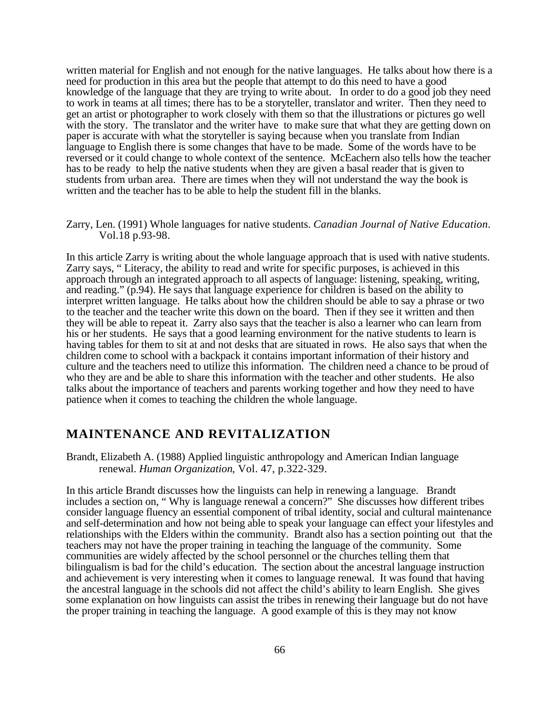written material for English and not enough for the native languages. He talks about how there is a need for production in this area but the people that attempt to do this need to have a good knowledge of the language that they are trying to write about. In order to do a good job they need to work in teams at all times; there has to be a storyteller, translator and writer. Then they need to get an artist or photographer to work closely with them so that the illustrations or pictures go well with the story. The translator and the writer have to make sure that what they are getting down on paper is accurate with what the storyteller is saying because when you translate from Indian language to English there is some changes that have to be made. Some of the words have to be reversed or it could change to whole context of the sentence. McEachern also tells how the teacher has to be ready to help the native students when they are given a basal reader that is given to students from urban area. There are times when they will not understand the way the book is written and the teacher has to be able to help the student fill in the blanks.

Zarry, Len. (1991) Whole languages for native students. *Canadian Journal of Native Education*. Vol.18 p.93-98.

In this article Zarry is writing about the whole language approach that is used with native students. Zarry says, " Literacy, the ability to read and write for specific purposes, is achieved in this approach through an integrated approach to all aspects of language: listening, speaking, writing, and reading." (p.94). He says that language experience for children is based on the ability to interpret written language. He talks about how the children should be able to say a phrase or two to the teacher and the teacher write this down on the board. Then if they see it written and then they will be able to repeat it. Zarry also says that the teacher is also a learner who can learn from his or her students. He says that a good learning environment for the native students to learn is having tables for them to sit at and not desks that are situated in rows. He also says that when the children come to school with a backpack it contains important information of their history and culture and the teachers need to utilize this information. The children need a chance to be proud of who they are and be able to share this information with the teacher and other students. He also talks about the importance of teachers and parents working together and how they need to have patience when it comes to teaching the children the whole language.

## **MAINTENANCE AND REVITALIZATION**

Brandt, Elizabeth A. (1988) Applied linguistic anthropology and American Indian language renewal. *Human Organization*, Vol. 47, p.322-329.

In this article Brandt discusses how the linguists can help in renewing a language. Brandt includes a section on, " Why is language renewal a concern?" She discusses how different tribes consider language fluency an essential component of tribal identity, social and cultural maintenance and self-determination and how not being able to speak your language can effect your lifestyles and relationships with the Elders within the community. Brandt also has a section pointing out that the teachers may not have the proper training in teaching the language of the community. Some communities are widely affected by the school personnel or the churches telling them that bilingualism is bad for the child's education. The section about the ancestral language instruction and achievement is very interesting when it comes to language renewal. It was found that having the ancestral language in the schools did not affect the child's ability to learn English. She gives some explanation on how linguists can assist the tribes in renewing their language but do not have the proper training in teaching the language. A good example of this is they may not know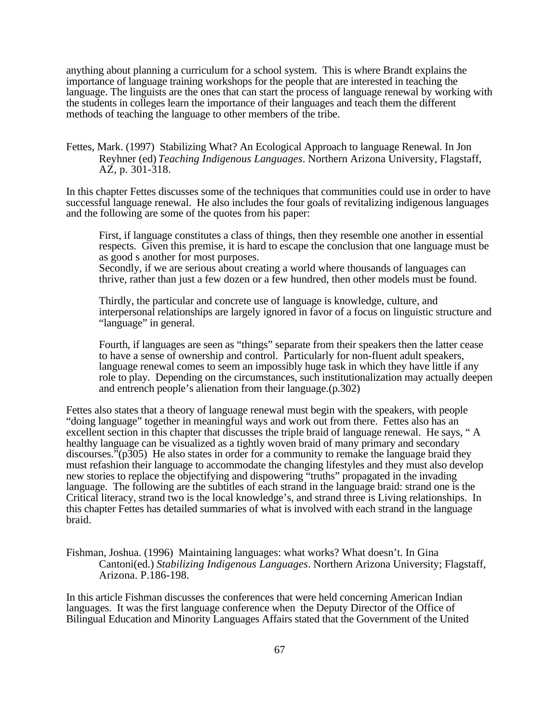anything about planning a curriculum for a school system. This is where Brandt explains the importance of language training workshops for the people that are interested in teaching the language. The linguists are the ones that can start the process of language renewal by working with the students in colleges learn the importance of their languages and teach them the different methods of teaching the language to other members of the tribe.

Fettes, Mark. (1997) Stabilizing What? An Ecological Approach to language Renewal. In Jon Reyhner (ed) *Teaching Indigenous Languages*. Northern Arizona University, Flagstaff, AZ, p. 301-318.

In this chapter Fettes discusses some of the techniques that communities could use in order to have successful language renewal. He also includes the four goals of revitalizing indigenous languages and the following are some of the quotes from his paper:

First, if language constitutes a class of things, then they resemble one another in essential respects. Given this premise, it is hard to escape the conclusion that one language must be as good s another for most purposes.

Secondly, if we are serious about creating a world where thousands of languages can thrive, rather than just a few dozen or a few hundred, then other models must be found.

Thirdly, the particular and concrete use of language is knowledge, culture, and interpersonal relationships are largely ignored in favor of a focus on linguistic structure and "language" in general.

Fourth, if languages are seen as "things" separate from their speakers then the latter cease to have a sense of ownership and control. Particularly for non-fluent adult speakers, language renewal comes to seem an impossibly huge task in which they have little if any role to play. Depending on the circumstances, such institutionalization may actually deepen and entrench people's alienation from their language.(p.302)

Fettes also states that a theory of language renewal must begin with the speakers, with people "doing language" together in meaningful ways and work out from there. Fettes also has an excellent section in this chapter that discusses the triple braid of language renewal. He says, " A healthy language can be visualized as a tightly woven braid of many primary and secondary discourses."(p305) He also states in order for a community to remake the language braid they must refashion their language to accommodate the changing lifestyles and they must also develop new stories to replace the objectifying and dispowering "truths" propagated in the invading language. The following are the subtitles of each strand in the language braid: strand one is the Critical literacy, strand two is the local knowledge's, and strand three is Living relationships. In this chapter Fettes has detailed summaries of what is involved with each strand in the language braid.

Fishman, Joshua. (1996) Maintaining languages: what works? What doesn't. In Gina Cantoni(ed.) *Stabilizing Indigenous Languages*. Northern Arizona University; Flagstaff, Arizona. P.186-198.

In this article Fishman discusses the conferences that were held concerning American Indian languages. It was the first language conference when the Deputy Director of the Office of Bilingual Education and Minority Languages Affairs stated that the Government of the United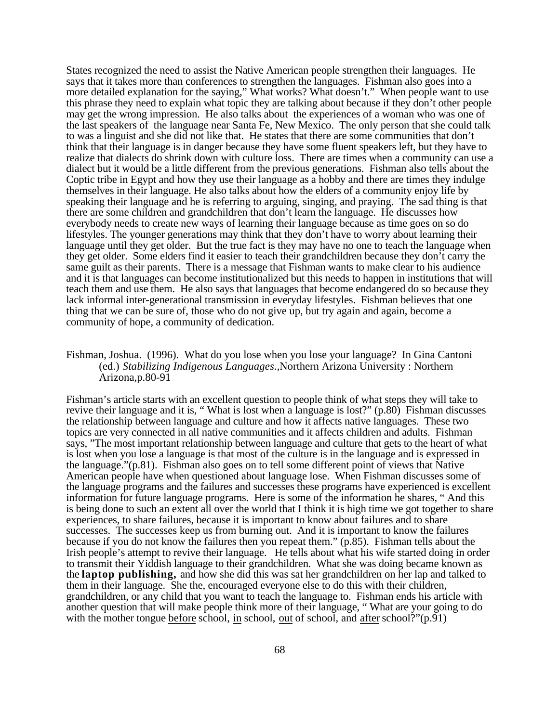States recognized the need to assist the Native American people strengthen their languages. He says that it takes more than conferences to strengthen the languages. Fishman also goes into a more detailed explanation for the saying," What works? What doesn't." When people want to use this phrase they need to explain what topic they are talking about because if they don't other people may get the wrong impression. He also talks about the experiences of a woman who was one of the last speakers of the language near Santa Fe, New Mexico. The only person that she could talk to was a linguist and she did not like that. He states that there are some communities that don't think that their language is in danger because they have some fluent speakers left, but they have to realize that dialects do shrink down with culture loss. There are times when a community can use a dialect but it would be a little different from the previous generations. Fishman also tells about the Coptic tribe in Egypt and how they use their language as a hobby and there are times they indulge themselves in their language. He also talks about how the elders of a community enjoy life by speaking their language and he is referring to arguing, singing, and praying. The sad thing is that there are some children and grandchildren that don't learn the language. He discusses how everybody needs to create new ways of learning their language because as time goes on so do lifestyles. The younger generations may think that they don't have to worry about learning their language until they get older. But the true fact is they may have no one to teach the language when they get older. Some elders find it easier to teach their grandchildren because they don't carry the same guilt as their parents. There is a message that Fishman wants to make clear to his audience and it is that languages can become institutionalized but this needs to happen in institutions that will teach them and use them. He also says that languages that become endangered do so because they lack informal inter-generational transmission in everyday lifestyles. Fishman believes that one thing that we can be sure of, those who do not give up, but try again and again, become a community of hope, a community of dedication.

## Fishman, Joshua. (1996). What do you lose when you lose your language? In Gina Cantoni (ed.) *Stabilizing Indigenous Languages*.,Northern Arizona University : Northern Arizona,p.80-91

Fishman's article starts with an excellent question to people think of what steps they will take to revive their language and it is, " What is lost when a language is lost?" (p.80) Fishman discusses the relationship between language and culture and how it affects native languages. These two topics are very connected in all native communities and it affects children and adults. Fishman says, "The most important relationship between language and culture that gets to the heart of what is lost when you lose a language is that most of the culture is in the language and is expressed in the language."(p.81). Fishman also goes on to tell some different point of views that Native American people have when questioned about language lose. When Fishman discusses some of the language programs and the failures and successes these programs have experienced is excellent information for future language programs. Here is some of the information he shares, " And this is being done to such an extent all over the world that I think it is high time we got together to share experiences, to share failures, because it is important to know about failures and to share successes. The successes keep us from burning out. And it is important to know the failures because if you do not know the failures then you repeat them." (p.85). Fishman tells about the Irish people's attempt to revive their language. He tells about what his wife started doing in order to transmit their Yiddish language to their grandchildren. What she was doing became known as the **laptop publishing,** and how she did this was sat her grandchildren on her lap and talked to them in their language. She the, encouraged everyone else to do this with their children, grandchildren, or any child that you want to teach the language to. Fishman ends his article with another question that will make people think more of their language, " What are your going to do with the mother tongue before school, in school, out of school, and after school?"(p.91)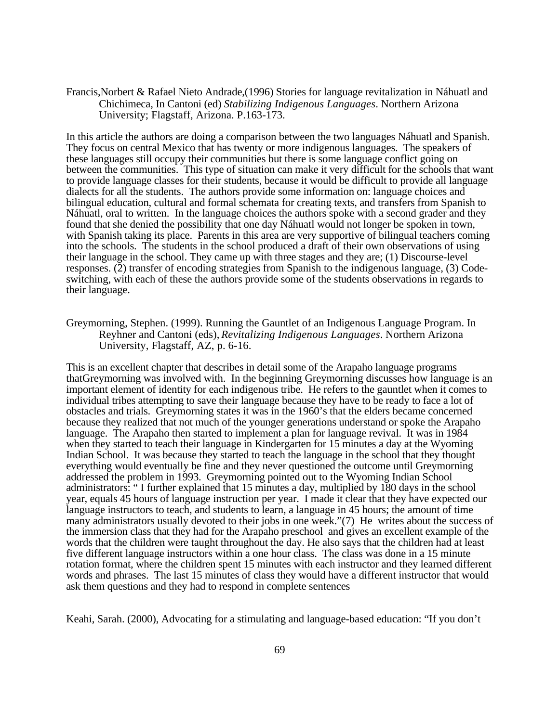Francis,Norbert & Rafael Nieto Andrade,(1996) Stories for language revitalization in Náhuatl and Chichimeca, In Cantoni (ed) *Stabilizing Indigenous Languages*. Northern Arizona University; Flagstaff, Arizona. P.163-173.

In this article the authors are doing a comparison between the two languages Náhuatl and Spanish. They focus on central Mexico that has twenty or more indigenous languages. The speakers of these languages still occupy their communities but there is some language conflict going on between the communities. This type of situation can make it very difficult for the schools that want to provide language classes for their students, because it would be difficult to provide all language dialects for all the students. The authors provide some information on: language choices and bilingual education, cultural and formal schemata for creating texts, and transfers from Spanish to Náhuatl, oral to written. In the language choices the authors spoke with a second grader and they found that she denied the possibility that one day Náhuatl would not longer be spoken in town, with Spanish taking its place. Parents in this area are very supportive of bilingual teachers coming into the schools. The students in the school produced a draft of their own observations of using their language in the school. They came up with three stages and they are; (1) Discourse-level responses. (2) transfer of encoding strategies from Spanish to the indigenous language, (3) Codeswitching, with each of these the authors provide some of the students observations in regards to their language.

## Greymorning, Stephen. (1999). Running the Gauntlet of an Indigenous Language Program. In Reyhner and Cantoni (eds), *Revitalizing Indigenous Languages*. Northern Arizona University, Flagstaff, AZ, p. 6-16.

This is an excellent chapter that describes in detail some of the Arapaho language programs thatGreymorning was involved with. In the beginning Greymorning discusses how language is an important element of identity for each indigenous tribe. He refers to the gauntlet when it comes to individual tribes attempting to save their language because they have to be ready to face a lot of obstacles and trials. Greymorning states it was in the 1960's that the elders became concerned because they realized that not much of the younger generations understand or spoke the Arapaho language. The Arapaho then started to implement a plan for language revival. It was in 1984 when they started to teach their language in Kindergarten for 15 minutes a day at the Wyoming Indian School. It was because they started to teach the language in the school that they thought everything would eventually be fine and they never questioned the outcome until Greymorning addressed the problem in 1993. Greymorning pointed out to the Wyoming Indian School administrators: " I further explained that 15 minutes a day, multiplied by 180 days in the school year, equals 45 hours of language instruction per year. I made it clear that they have expected our language instructors to teach, and students to learn, a language in 45 hours; the amount of time many administrators usually devoted to their jobs in one week."(7) He writes about the success of the immersion class that they had for the Arapaho preschool and gives an excellent example of the words that the children were taught throughout the day. He also says that the children had at least five different language instructors within a one hour class. The class was done in a 15 minute rotation format, where the children spent 15 minutes with each instructor and they learned different words and phrases. The last 15 minutes of class they would have a different instructor that would ask them questions and they had to respond in complete sentences

Keahi, Sarah. (2000), Advocating for a stimulating and language-based education: "If you don't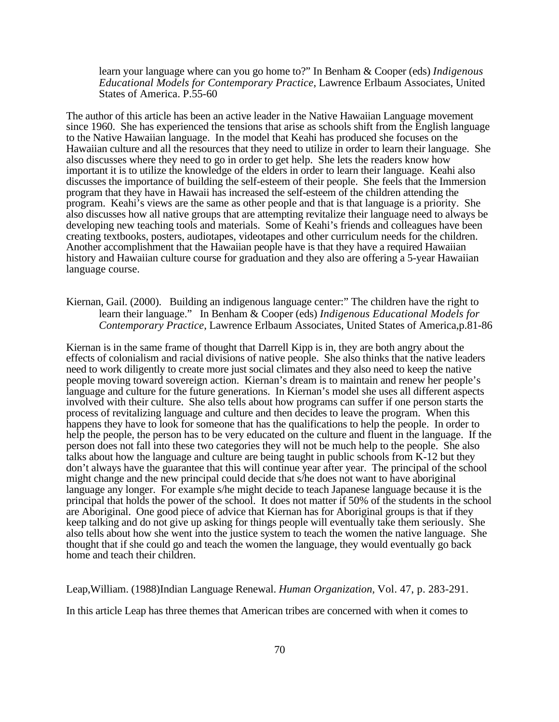learn your language where can you go home to?" In Benham & Cooper (eds) *Indigenous Educational Models for Contemporary Practice*, Lawrence Erlbaum Associates, United States of America. P.55-60

The author of this article has been an active leader in the Native Hawaiian Language movement since 1960. She has experienced the tensions that arise as schools shift from the English language to the Native Hawaiian language. In the model that Keahi has produced she focuses on the Hawaiian culture and all the resources that they need to utilize in order to learn their language. She also discusses where they need to go in order to get help. She lets the readers know how important it is to utilize the knowledge of the elders in order to learn their language. Keahi also discusses the importance of building the self-esteem of their people. She feels that the Immersion program that they have in Hawaii has increased the self-esteem of the children attending the program. Keahi's views are the same as other people and that is that language is a priority. She also discusses how all native groups that are attempting revitalize their language need to always be developing new teaching tools and materials. Some of Keahi's friends and colleagues have been creating textbooks, posters, audiotapes, videotapes and other curriculum needs for the children. Another accomplishment that the Hawaiian people have is that they have a required Hawaiian history and Hawaiian culture course for graduation and they also are offering a 5-year Hawaiian language course.

Kiernan, Gail. (2000). Building an indigenous language center:" The children have the right to learn their language." In Benham & Cooper (eds) *Indigenous Educational Models for Contemporary Practice*, Lawrence Erlbaum Associates, United States of America,p.81-86

Kiernan is in the same frame of thought that Darrell Kipp is in, they are both angry about the effects of colonialism and racial divisions of native people. She also thinks that the native leaders need to work diligently to create more just social climates and they also need to keep the native people moving toward sovereign action. Kiernan's dream is to maintain and renew her people's language and culture for the future generations. In Kiernan's model she uses all different aspects involved with their culture. She also tells about how programs can suffer if one person starts the process of revitalizing language and culture and then decides to leave the program. When this happens they have to look for someone that has the qualifications to help the people. In order to help the people, the person has to be very educated on the culture and fluent in the language. If the person does not fall into these two categories they will not be much help to the people. She also talks about how the language and culture are being taught in public schools from K-12 but they don't always have the guarantee that this will continue year after year. The principal of the school might change and the new principal could decide that s/he does not want to have aboriginal language any longer. For example s/he might decide to teach Japanese language because it is the principal that holds the power of the school. It does not matter if 50% of the students in the school are Aboriginal. One good piece of advice that Kiernan has for Aboriginal groups is that if they keep talking and do not give up asking for things people will eventually take them seriously. She also tells about how she went into the justice system to teach the women the native language. She thought that if she could go and teach the women the language, they would eventually go back home and teach their children.

Leap,William. (1988)Indian Language Renewal. *Human Organization,* Vol. 47, p. 283-291.

In this article Leap has three themes that American tribes are concerned with when it comes to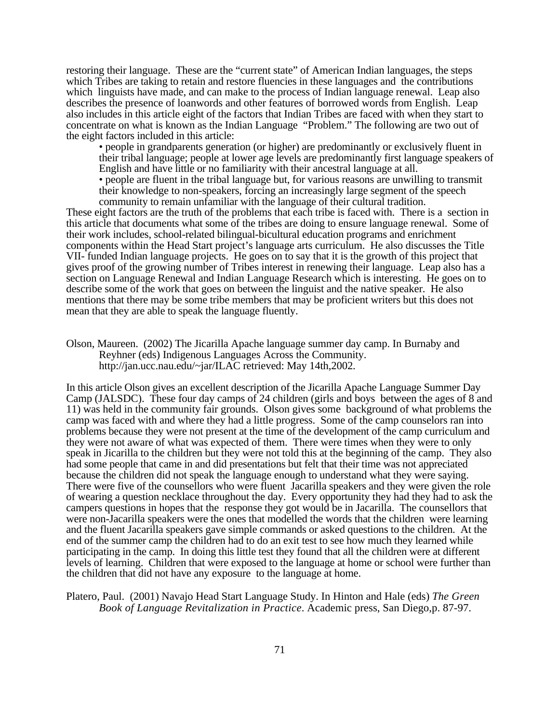restoring their language. These are the "current state" of American Indian languages, the steps which Tribes are taking to retain and restore fluencies in these languages and the contributions which linguists have made, and can make to the process of Indian language renewal. Leap also describes the presence of loanwords and other features of borrowed words from English. Leap also includes in this article eight of the factors that Indian Tribes are faced with when they start to concentrate on what is known as the Indian Language "Problem." The following are two out of the eight factors included in this article:

• people in grandparents generation (or higher) are predominantly or exclusively fluent in their tribal language; people at lower age levels are predominantly first language speakers of English and have little or no familiarity with their ancestral language at all.

• people are fluent in the tribal language but, for various reasons are unwilling to transmit their knowledge to non-speakers, forcing an increasingly large segment of the speech community to remain unfamiliar with the language of their cultural tradition.

These eight factors are the truth of the problems that each tribe is faced with. There is a section in this article that documents what some of the tribes are doing to ensure language renewal. Some of their work includes, school-related bilingual-bicultural education programs and enrichment components within the Head Start project's language arts curriculum. He also discusses the Title VII- funded Indian language projects. He goes on to say that it is the growth of this project that gives proof of the growing number of Tribes interest in renewing their language. Leap also has a section on Language Renewal and Indian Language Research which is interesting. He goes on to describe some of the work that goes on between the linguist and the native speaker. He also mentions that there may be some tribe members that may be proficient writers but this does not mean that they are able to speak the language fluently.

Olson, Maureen. (2002) The Jicarilla Apache language summer day camp. In Burnaby and Reyhner (eds) Indigenous Languages Across the Community. http://jan.ucc.nau.edu/~jar/ILAC retrieved: May 14th,2002.

In this article Olson gives an excellent description of the Jicarilla Apache Language Summer Day Camp (JALSDC). These four day camps of 24 children (girls and boys between the ages of 8 and 11) was held in the community fair grounds. Olson gives some background of what problems the camp was faced with and where they had a little progress. Some of the camp counselors ran into problems because they were not present at the time of the development of the camp curriculum and they were not aware of what was expected of them. There were times when they were to only speak in Jicarilla to the children but they were not told this at the beginning of the camp. They also had some people that came in and did presentations but felt that their time was not appreciated because the children did not speak the language enough to understand what they were saying. There were five of the counsellors who were fluent Jacarilla speakers and they were given the role of wearing a question necklace throughout the day. Every opportunity they had they had to ask the campers questions in hopes that the response they got would be in Jacarilla. The counsellors that were non-Jacarilla speakers were the ones that modelled the words that the children were learning and the fluent Jacarilla speakers gave simple commands or asked questions to the children. At the end of the summer camp the children had to do an exit test to see how much they learned while participating in the camp. In doing this little test they found that all the children were at different levels of learning. Children that were exposed to the language at home or school were further than the children that did not have any exposure to the language at home.

Platero, Paul. (2001) Navajo Head Start Language Study. In Hinton and Hale (eds) *The Green Book of Language Revitalization in Practice*. Academic press, San Diego,p. 87-97.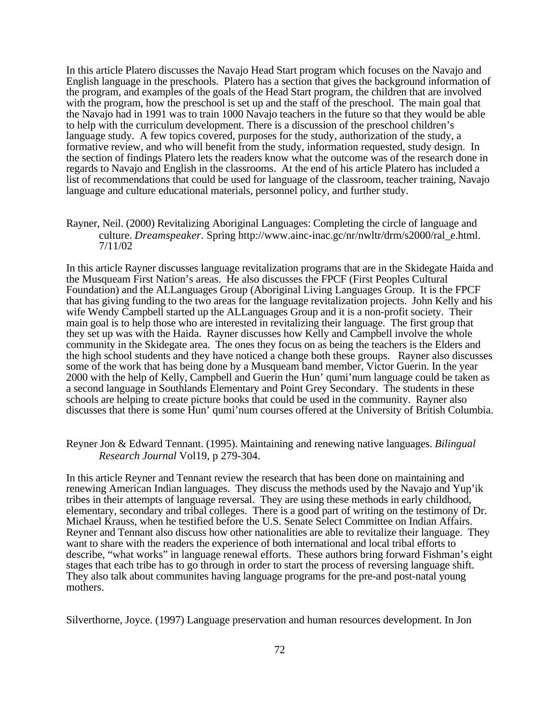In this article Platero discusses the Navajo Head Start program which focuses on the Navajo and English language in the preschools. Platero has a section that gives the background information of the program, and examples of the goals of the Head Start program, the children that are involved with the program, how the preschool is set up and the staff of the preschool. The main goal that the Navajo had in 1991 was to train 1000 Navajo teachers in the future so that they would be able to help with the curriculum development. There is a discussion of the preschool children's language study. A few topics covered, purposes for the study, authorization of the study, a formative review, and who will benefit from the study, information requested, study design. In the section of findings Platero lets the readers know what the outcome was of the research done in regards to Navajo and English in the classrooms. At the end of his article Platero has included a list of recommendations that could be used for language of the classroom, teacher training, Navajo language and culture educational materials, personnel policy, and further study.

Rayner, Neil. (2000) Revitalizing Aboriginal Languages: Completing the circle of language and culture. *Dreamspeaker.* Spring http://www.ainc-inac.gc/nr/nwltr/drm/s2000/ral\_e.html. 7/11/02

In this article Rayner discusses language revitalization programs that are in the Skidegate Haida and the Musqueam First Nation's areas. He also discusses the FPCF (First Peoples Cultural Foundation) and the ALLanguages Group (Aboriginal Living Languages Group. It is the FPCF that has giving funding to the two areas for the language revitalization projects. John Kelly and his wife Wendy Campbell started up the ALLanguages Group and it is a non-profit society. Their main goal is to help those who are interested in revitalizing their language. The first group that they set up was with the Haida. Rayner discusses how Kelly and Campbell involve the whole community in the Skidegate area. The ones they focus on as being the teachers is the Elders and the high school students and they have noticed a change both these groups. Rayner also discusses some of the work that has being done by a Musqueam band member, Victor Guerin. In the year 2000 with the help of Kelly, Campbell and Guerin the Hun' qumi'num language could be taken as a second language in Southlands Elementary and Point Grey Secondary. The students in these schools are helping to create picture books that could be used in the community. Rayner also discusses that there is some Hun' qumi'num courses offered at the University of British Columbia.

### Reyner Jon & Edward Tennant. (1995). Maintaining and renewing native languages. *Bilingual Research Journal* Vol19, p 279-304.

In this article Reyner and Tennant review the research that has been done on maintaining and renewing American Indian languages. They discuss the methods used by the Navajo and Yup'ik tribes in their attempts of language reversal. They are using these methods in early childhood, elementary, secondary and tribal colleges. There is a good part of writing on the testimony of Dr. Michael Krauss, when he testified before the U.S. Senate Select Committee on Indian Affairs. Reyner and Tennant also discuss how other nationalities are able to revitalize their language. They want to share with the readers the experience of both international and local tribal efforts to describe, "what works" in language renewal efforts. These authors bring forward Fishman's eight stages that each tribe has to go through in order to start the process of reversing language shift. They also talk about communites having language programs for the pre-and post-natal young mothers.

Silverthorne, Joyce. (1997) Language preservation and human resources development. In Jon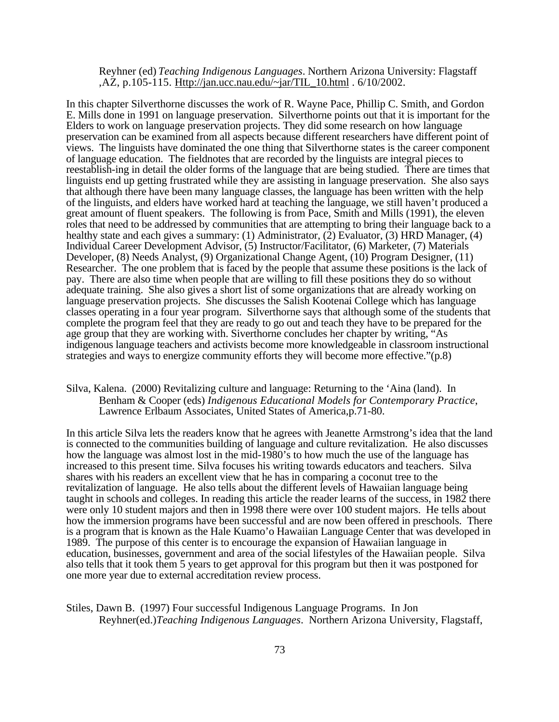Reyhner (ed) *Teaching Indigenous Languages*. Northern Arizona University: Flagstaff ,AZ, p.105-115. Http://jan.ucc.nau.edu/~jar/TIL\_10.html . 6/10/2002.

In this chapter Silverthorne discusses the work of R. Wayne Pace, Phillip C. Smith, and Gordon E. Mills done in 1991 on language preservation. Silverthorne points out that it is important for the Elders to work on language preservation projects. They did some research on how language preservation can be examined from all aspects because different researchers have different point of views. The linguists have dominated the one thing that Silverthorne states is the career component of language education. The fieldnotes that are recorded by the linguists are integral pieces to reestablish-ing in detail the older forms of the language that are being studied. There are times that linguists end up getting frustrated while they are assisting in language preservation. She also says that although there have been many language classes, the language has been written with the help of the linguists, and elders have worked hard at teaching the language, we still haven't produced a great amount of fluent speakers. The following is from Pace, Smith and Mills (1991), the eleven roles that need to be addressed by communities that are attempting to bring their language back to a healthy state and each gives a summary: (1) Administrator, (2) Evaluator, (3) HRD Manager, (4) Individual Career Development Advisor, (5) Instructor/Facilitator, (6) Marketer, (7) Materials Developer, (8) Needs Analyst, (9) Organizational Change Agent, (10) Program Designer, (11) Researcher. The one problem that is faced by the people that assume these positions is the lack of pay. There are also time when people that are willing to fill these positions they do so without adequate training. She also gives a short list of some organizations that are already working on language preservation projects. She discusses the Salish Kootenai College which has language classes operating in a four year program. Silverthorne says that although some of the students that complete the program feel that they are ready to go out and teach they have to be prepared for the age group that they are working with. Siverthorne concludes her chapter by writing, "As indigenous language teachers and activists become more knowledgeable in classroom instructional strategies and ways to energize community efforts they will become more effective."(p.8)

## Silva, Kalena. (2000) Revitalizing culture and language: Returning to the 'Aina (land). In Benham & Cooper (eds) *Indigenous Educational Models for Contemporary Practice*, Lawrence Erlbaum Associates, United States of America,p.71-80.

In this article Silva lets the readers know that he agrees with Jeanette Armstrong's idea that the land is connected to the communities building of language and culture revitalization. He also discusses how the language was almost lost in the mid-1980's to how much the use of the language has increased to this present time. Silva focuses his writing towards educators and teachers. Silva shares with his readers an excellent view that he has in comparing a coconut tree to the revitalization of language. He also tells about the different levels of Hawaiian language being taught in schools and colleges. In reading this article the reader learns of the success, in 1982 there were only 10 student majors and then in 1998 there were over 100 student majors. He tells about how the immersion programs have been successful and are now been offered in preschools. There is a program that is known as the Hale Kuamo'o Hawaiian Language Center that was developed in 1989. The purpose of this center is to encourage the expansion of Hawaiian language in education, businesses, government and area of the social lifestyles of the Hawaiian people. Silva also tells that it took them 5 years to get approval for this program but then it was postponed for one more year due to external accreditation review process.

Stiles, Dawn B. (1997) Four successful Indigenous Language Programs. In Jon Reyhner(ed.)*Teaching Indigenous Languages*. Northern Arizona University, Flagstaff,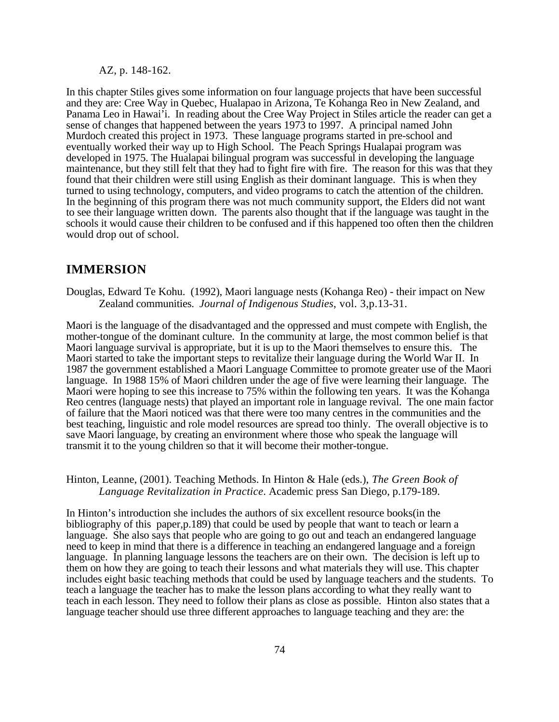AZ, p. 148-162.

In this chapter Stiles gives some information on four language projects that have been successful and they are: Cree Way in Quebec, Hualapao in Arizona, Te Kohanga Reo in New Zealand, and Panama Leo in Hawai'i. In reading about the Cree Way Project in Stiles article the reader can get a sense of changes that happened between the years 1973 to 1997. A principal named John Murdoch created this project in 1973. These language programs started in pre-school and eventually worked their way up to High School. The Peach Springs Hualapai program was developed in 1975. The Hualapai bilingual program was successful in developing the language maintenance, but they still felt that they had to fight fire with fire. The reason for this was that they found that their children were still using English as their dominant language. This is when they turned to using technology, computers, and video programs to catch the attention of the children. In the beginning of this program there was not much community support, the Elders did not want to see their language written down. The parents also thought that if the language was taught in the schools it would cause their children to be confused and if this happened too often then the children would drop out of school.

## **IMMERSION**

Douglas, Edward Te Kohu. (1992), Maori language nests (Kohanga Reo) - their impact on New Zealand communities. *Journal of Indigenous Studies*, vol. 3,p.13-31.

Maori is the language of the disadvantaged and the oppressed and must compete with English, the mother-tongue of the dominant culture. In the community at large, the most common belief is that Maori language survival is appropriate, but it is up to the Maori themselves to ensure this. The Maori started to take the important steps to revitalize their language during the World War II. In 1987 the government established a Maori Language Committee to promote greater use of the Maori language. In 1988 15% of Maori children under the age of five were learning their language. The Maori were hoping to see this increase to 75% within the following ten years. It was the Kohanga Reo centres (language nests) that played an important role in language revival. The one main factor of failure that the Maori noticed was that there were too many centres in the communities and the best teaching, linguistic and role model resources are spread too thinly. The overall objective is to save Maori language, by creating an environment where those who speak the language will transmit it to the young children so that it will become their mother-tongue.

### Hinton, Leanne, (2001). Teaching Methods. In Hinton & Hale (eds.), *The Green Book of Language Revitalization in Practice*. Academic press San Diego, p.179-189.

In Hinton's introduction she includes the authors of six excellent resource books(in the bibliography of this paper,p.189) that could be used by people that want to teach or learn a language. She also says that people who are going to go out and teach an endangered language need to keep in mind that there is a difference in teaching an endangered language and a foreign language. In planning language lessons the teachers are on their own. The decision is left up to them on how they are going to teach their lessons and what materials they will use. This chapter includes eight basic teaching methods that could be used by language teachers and the students. To teach a language the teacher has to make the lesson plans according to what they really want to teach in each lesson. They need to follow their plans as close as possible. Hinton also states that a language teacher should use three different approaches to language teaching and they are: the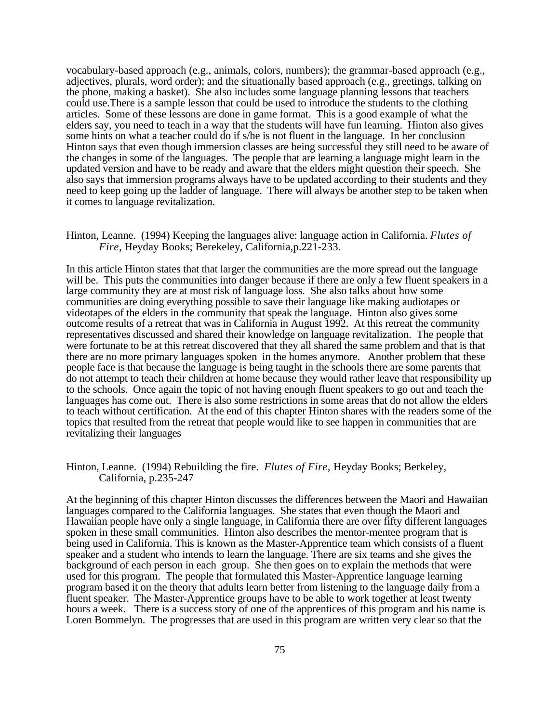vocabulary-based approach (e.g., animals, colors, numbers); the grammar-based approach (e.g., adjectives, plurals, word order); and the situationally based approach (e.g., greetings, talking on the phone, making a basket). She also includes some language planning lessons that teachers could use.There is a sample lesson that could be used to introduce the students to the clothing articles. Some of these lessons are done in game format. This is a good example of what the elders say, you need to teach in a way that the students will have fun learning. Hinton also gives some hints on what a teacher could do if s/he is not fluent in the language. In her conclusion Hinton says that even though immersion classes are being successful they still need to be aware of the changes in some of the languages. The people that are learning a language might learn in the updated version and have to be ready and aware that the elders might question their speech. She also says that immersion programs always have to be updated according to their students and they need to keep going up the ladder of language. There will always be another step to be taken when it comes to language revitalization.

## Hinton, Leanne. (1994) Keeping the languages alive: language action in California. *Flutes of Fire*, Heyday Books; Berekeley, California,p.221-233.

In this article Hinton states that that larger the communities are the more spread out the language will be. This puts the communities into danger because if there are only a few fluent speakers in a large community they are at most risk of language loss. She also talks about how some communities are doing everything possible to save their language like making audiotapes or videotapes of the elders in the community that speak the language. Hinton also gives some outcome results of a retreat that was in California in August 1992. At this retreat the community representatives discussed and shared their knowledge on language revitalization. The people that were fortunate to be at this retreat discovered that they all shared the same problem and that is that there are no more primary languages spoken in the homes anymore. Another problem that these people face is that because the language is being taught in the schools there are some parents that do not attempt to teach their children at home because they would rather leave that responsibility up to the schools. Once again the topic of not having enough fluent speakers to go out and teach the languages has come out. There is also some restrictions in some areas that do not allow the elders to teach without certification. At the end of this chapter Hinton shares with the readers some of the topics that resulted from the retreat that people would like to see happen in communities that are revitalizing their languages

### Hinton, Leanne. (1994) Rebuilding the fire. *Flutes of Fire,* Heyday Books; Berkeley, California, p.235-247

At the beginning of this chapter Hinton discusses the differences between the Maori and Hawaiian languages compared to the California languages. She states that even though the Maori and Hawaiian people have only a single language, in California there are over fifty different languages spoken in these small communities. Hinton also describes the mentor-mentee program that is being used in California. This is known as the Master-Apprentice team which consists of a fluent speaker and a student who intends to learn the language. There are six teams and she gives the background of each person in each group. She then goes on to explain the methods that were used for this program. The people that formulated this Master-Apprentice language learning program based it on the theory that adults learn better from listening to the language daily from a fluent speaker. The Master-Apprentice groups have to be able to work together at least twenty hours a week. There is a success story of one of the apprentices of this program and his name is Loren Bommelyn. The progresses that are used in this program are written very clear so that the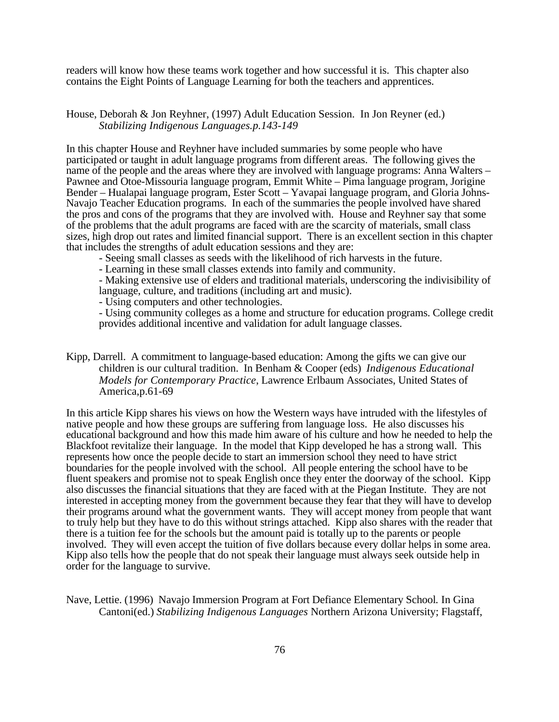readers will know how these teams work together and how successful it is. This chapter also contains the Eight Points of Language Learning for both the teachers and apprentices.

### House, Deborah & Jon Reyhner, (1997) Adult Education Session. In Jon Reyner (ed.) *Stabilizing Indigenous Languages.p.143-149*

In this chapter House and Reyhner have included summaries by some people who have participated or taught in adult language programs from different areas. The following gives the name of the people and the areas where they are involved with language programs: Anna Walters – Pawnee and Otoe-Missouria language program, Emmit White – Pima language program, Jorigine Bender – Hualapai language program, Ester Scott – Yavapai language program, and Gloria Johns-Navajo Teacher Education programs. In each of the summaries the people involved have shared the pros and cons of the programs that they are involved with. House and Reyhner say that some of the problems that the adult programs are faced with are the scarcity of materials, small class sizes, high drop out rates and limited financial support. There is an excellent section in this chapter that includes the strengths of adult education sessions and they are:

- Seeing small classes as seeds with the likelihood of rich harvests in the future.

- Learning in these small classes extends into family and community.

- Making extensive use of elders and traditional materials, underscoring the indivisibility of language, culture, and traditions (including art and music).

- Using computers and other technologies.

- Using community colleges as a home and structure for education programs. College credit provides additional incentive and validation for adult language classes.

Kipp, Darrell. A commitment to language-based education: Among the gifts we can give our children is our cultural tradition. In Benham & Cooper (eds) *Indigenous Educational Models for Contemporary Practice*, Lawrence Erlbaum Associates, United States of America,p.61-69

In this article Kipp shares his views on how the Western ways have intruded with the lifestyles of native people and how these groups are suffering from language loss. He also discusses his educational background and how this made him aware of his culture and how he needed to help the Blackfoot revitalize their language. In the model that Kipp developed he has a strong wall. This represents how once the people decide to start an immersion school they need to have strict boundaries for the people involved with the school. All people entering the school have to be fluent speakers and promise not to speak English once they enter the doorway of the school. Kipp also discusses the financial situations that they are faced with at the Piegan Institute. They are not interested in accepting money from the government because they fear that they will have to develop their programs around what the government wants. They will accept money from people that want to truly help but they have to do this without strings attached. Kipp also shares with the reader that there is a tuition fee for the schools but the amount paid is totally up to the parents or people involved. They will even accept the tuition of five dollars because every dollar helps in some area. Kipp also tells how the people that do not speak their language must always seek outside help in order for the language to survive.

Nave, Lettie. (1996) Navajo Immersion Program at Fort Defiance Elementary School*.* In Gina Cantoni(ed.) *Stabilizing Indigenous Languages* Northern Arizona University; Flagstaff,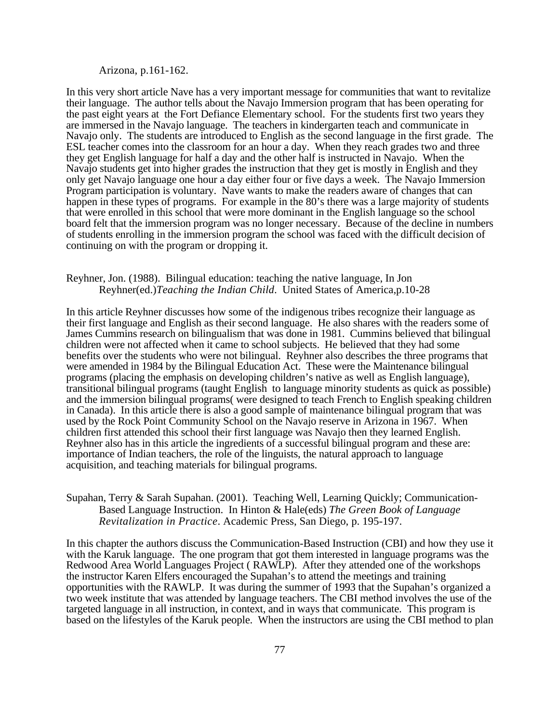## Arizona, p.161-162.

In this very short article Nave has a very important message for communities that want to revitalize their language. The author tells about the Navajo Immersion program that has been operating for the past eight years at the Fort Defiance Elementary school. For the students first two years they are immersed in the Navajo language. The teachers in kindergarten teach and communicate in Navajo only. The students are introduced to English as the second language in the first grade. The ESL teacher comes into the classroom for an hour a day. When they reach grades two and three they get English language for half a day and the other half is instructed in Navajo. When the Navajo students get into higher grades the instruction that they get is mostly in English and they only get Navajo language one hour a day either four or five days a week. The Navajo Immersion Program participation is voluntary. Nave wants to make the readers aware of changes that can happen in these types of programs. For example in the 80's there was a large majority of students that were enrolled in this school that were more dominant in the English language so the school board felt that the immersion program was no longer necessary. Because of the decline in numbers of students enrolling in the immersion program the school was faced with the difficult decision of continuing on with the program or dropping it.

### Reyhner, Jon. (1988). Bilingual education: teaching the native language, In Jon Reyhner(ed.)*Teaching the Indian Child*. United States of America,p.10-28

In this article Reyhner discusses how some of the indigenous tribes recognize their language as their first language and English as their second language. He also shares with the readers some of James Cummins research on bilingualism that was done in 1981. Cummins believed that bilingual children were not affected when it came to school subjects. He believed that they had some benefits over the students who were not bilingual. Reyhner also describes the three programs that were amended in 1984 by the Bilingual Education Act. These were the Maintenance bilingual programs (placing the emphasis on developing children's native as well as English language), transitional bilingual programs (taught English to language minority students as quick as possible) and the immersion bilingual programs( were designed to teach French to English speaking children in Canada). In this article there is also a good sample of maintenance bilingual program that was used by the Rock Point Community School on the Navajo reserve in Arizona in 1967. When children first attended this school their first language was Navajo then they learned English. Reyhner also has in this article the ingredients of a successful bilingual program and these are: importance of Indian teachers, the role of the linguists, the natural approach to language acquisition, and teaching materials for bilingual programs.

## Supahan, Terry & Sarah Supahan. (2001). Teaching Well, Learning Quickly; Communication-Based Language Instruction. In Hinton & Hale(eds) *The Green Book of Language Revitalization in Practice*. Academic Press, San Diego, p. 195-197.

In this chapter the authors discuss the Communication-Based Instruction (CBI) and how they use it with the Karuk language. The one program that got them interested in language programs was the Redwood Area World Languages Project ( RAWLP). After they attended one of the workshops the instructor Karen Elfers encouraged the Supahan's to attend the meetings and training opportunities with the RAWLP. It was during the summer of 1993 that the Supahan's organized a two week institute that was attended by language teachers. The CBI method involves the use of the targeted language in all instruction, in context, and in ways that communicate. This program is based on the lifestyles of the Karuk people. When the instructors are using the CBI method to plan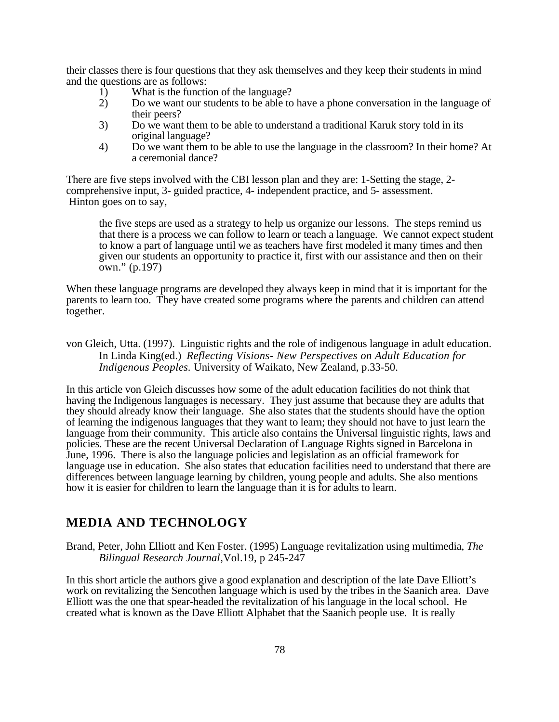their classes there is four questions that they ask themselves and they keep their students in mind and the questions are as follows:

- 1) What is the function of the language?
- 2) Do we want our students to be able to have a phone conversation in the language of their peers?
- 3) Do we want them to be able to understand a traditional Karuk story told in its original language?
- 4) Do we want them to be able to use the language in the classroom? In their home? At a ceremonial dance?

There are five steps involved with the CBI lesson plan and they are: 1-Setting the stage, 2 comprehensive input, 3- guided practice, 4- independent practice, and 5- assessment. Hinton goes on to say,

the five steps are used as a strategy to help us organize our lessons. The steps remind us that there is a process we can follow to learn or teach a language. We cannot expect student to know a part of language until we as teachers have first modeled it many times and then given our students an opportunity to practice it, first with our assistance and then on their own." (p.197)

When these language programs are developed they always keep in mind that it is important for the parents to learn too. They have created some programs where the parents and children can attend together.

von Gleich, Utta. (1997). Linguistic rights and the role of indigenous language in adult education. In Linda King(ed.) *Reflecting Visions- New Perspectives on Adult Education for Indigenous Peoples.* University of Waikato, New Zealand, p.33-50.

In this article von Gleich discusses how some of the adult education facilities do not think that having the Indigenous languages is necessary. They just assume that because they are adults that they should already know their language. She also states that the students should have the option of learning the indigenous languages that they want to learn; they should not have to just learn the language from their community. This article also contains the Universal linguistic rights, laws and policies. These are the recent Universal Declaration of Language Rights signed in Barcelona in June, 1996. There is also the language policies and legislation as an official framework for language use in education. She also states that education facilities need to understand that there are differences between language learning by children, young people and adults. She also mentions how it is easier for children to learn the language than it is for adults to learn.

# **MEDIA AND TECHNOLOGY**

Brand, Peter, John Elliott and Ken Foster. (1995) Language revitalization using multimedia, *The Bilingual Research Journal*,Vol.19, p 245-247

In this short article the authors give a good explanation and description of the late Dave Elliott's work on revitalizing the Sencothen language which is used by the tribes in the Saanich area. Dave Elliott was the one that spear-headed the revitalization of his language in the local school. He created what is known as the Dave Elliott Alphabet that the Saanich people use. It is really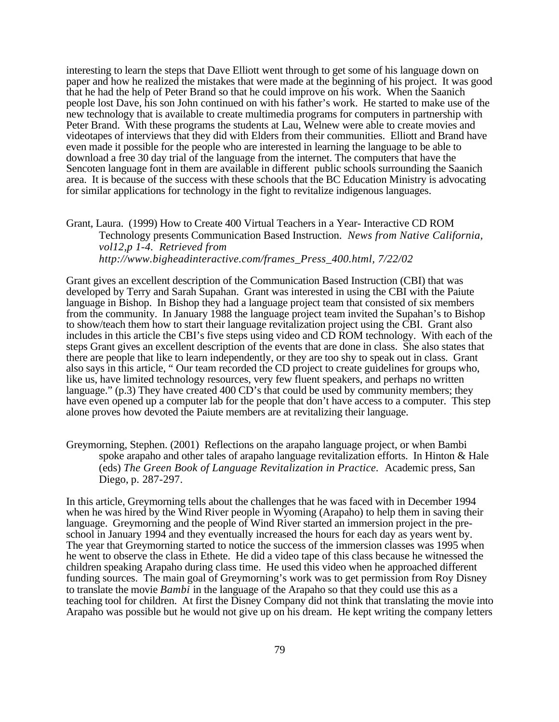interesting to learn the steps that Dave Elliott went through to get some of his language down on paper and how he realized the mistakes that were made at the beginning of his project. It was good that he had the help of Peter Brand so that he could improve on his work. When the Saanich people lost Dave, his son John continued on with his father's work. He started to make use of the new technology that is available to create multimedia programs for computers in partnership with Peter Brand. With these programs the students at Lau, Welnew were able to create movies and videotapes of interviews that they did with Elders from their communities. Elliott and Brand have even made it possible for the people who are interested in learning the language to be able to download a free 30 day trial of the language from the internet. The computers that have the Sencoten language font in them are available in different public schools surrounding the Saanich area. It is because of the success with these schools that the BC Education Ministry is advocating for similar applications for technology in the fight to revitalize indigenous languages.

Grant, Laura. (1999) How to Create 400 Virtual Teachers in a Year- Interactive CD ROM Technology presents Communication Based Instruction. *News from Native California, vol12,p 1-4. Retrieved from http://www.bigheadinteractive.com/frames\_Press\_400.html, 7/22/02*

Grant gives an excellent description of the Communication Based Instruction (CBI) that was developed by Terry and Sarah Supahan. Grant was interested in using the CBI with the Paiute language in Bishop. In Bishop they had a language project team that consisted of six members from the community. In January 1988 the language project team invited the Supahan's to Bishop to show/teach them how to start their language revitalization project using the CBI. Grant also includes in this article the CBI's five steps using video and CD ROM technology. With each of the steps Grant gives an excellent description of the events that are done in class. She also states that there are people that like to learn independently, or they are too shy to speak out in class. Grant also says in this article, " Our team recorded the CD project to create guidelines for groups who, like us, have limited technology resources, very few fluent speakers, and perhaps no written language." (p.3) They have created 400 CD's that could be used by community members; they have even opened up a computer lab for the people that don't have access to a computer. This step alone proves how devoted the Paiute members are at revitalizing their language.

Greymorning, Stephen. (2001) Reflections on the arapaho language project, or when Bambi spoke arapaho and other tales of arapaho language revitalization efforts. In Hinton & Hale (eds) *The Green Book of Language Revitalization in Practice.* Academic press, San Diego, p. 287-297.

In this article, Greymorning tells about the challenges that he was faced with in December 1994 when he was hired by the Wind River people in Wyoming (Arapaho) to help them in saving their language. Greymorning and the people of Wind River started an immersion project in the preschool in January 1994 and they eventually increased the hours for each day as years went by. The year that Greymorning started to notice the success of the immersion classes was 1995 when he went to observe the class in Ethete. He did a video tape of this class because he witnessed the children speaking Arapaho during class time. He used this video when he approached different funding sources. The main goal of Greymorning's work was to get permission from Roy Disney to translate the movie *Bambi* in the language of the Arapaho so that they could use this as a teaching tool for children. At first the Disney Company did not think that translating the movie into Arapaho was possible but he would not give up on his dream. He kept writing the company letters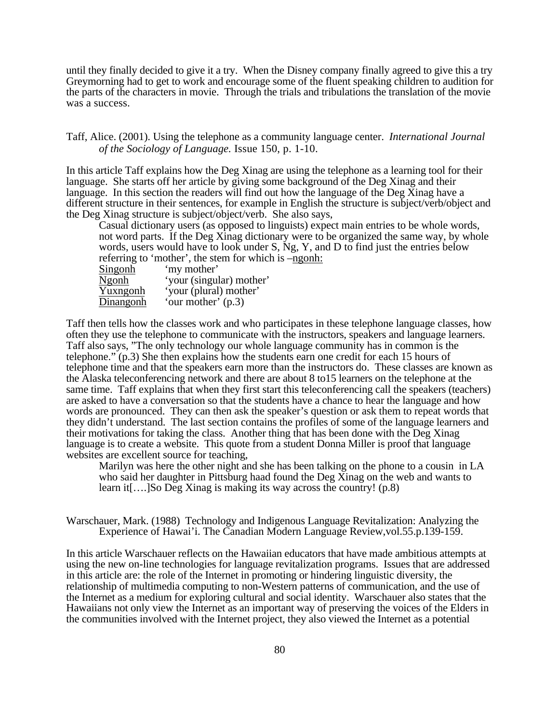until they finally decided to give it a try. When the Disney company finally agreed to give this a try Greymorning had to get to work and encourage some of the fluent speaking children to audition for the parts of the characters in movie. Through the trials and tribulations the translation of the movie was a success.

Taff, Alice. (2001). Using the telephone as a community language center. *International Journal of the Sociology of Language.* Issue 150, p. 1-10.

In this article Taff explains how the Deg Xinag are using the telephone as a learning tool for their language. She starts off her article by giving some background of the Deg Xinag and their language. In this section the readers will find out how the language of the Deg Xinag have a different structure in their sentences, for example in English the structure is subject/verb/object and the Deg Xinag structure is subject/object/verb. She also says,

Casual dictionary users (as opposed to linguists) expect main entries to be whole words, not word parts. If the Deg Xinag dictionary were to be organized the same way, by whole words, users would have to look under S, Ng, Y, and D to find just the entries below referring to 'mother', the stem for which is –ngonh: Singonh 'my mother'

| <b>Ngonh</b> | 'your (singular) mother' |
|--------------|--------------------------|
| Yuxngonh     | 'your (plural) mother'   |
| Dinangonh    | 'our mother' $(p.3)$     |

Taff then tells how the classes work and who participates in these telephone language classes, how often they use the telephone to communicate with the instructors, speakers and language learners. Taff also says, "The only technology our whole language community has in common is the telephone." (p.3) She then explains how the students earn one credit for each 15 hours of telephone time and that the speakers earn more than the instructors do. These classes are known as the Alaska teleconferencing network and there are about 8 to15 learners on the telephone at the same time. Taff explains that when they first start this teleconferencing call the speakers (teachers) are asked to have a conversation so that the students have a chance to hear the language and how words are pronounced. They can then ask the speaker's question or ask them to repeat words that they didn't understand. The last section contains the profiles of some of the language learners and their motivations for taking the class. Another thing that has been done with the Deg Xinag language is to create a website. This quote from a student Donna Miller is proof that language websites are excellent source for teaching,

Marilyn was here the other night and she has been talking on the phone to a cousin in LA who said her daughter in Pittsburg haad found the Deg Xinag on the web and wants to learn it[….]So Deg Xinag is making its way across the country! (p.8)

Warschauer, Mark. (1988) Technology and Indigenous Language Revitalization: Analyzing the Experience of Hawai'i. The Canadian Modern Language Review,vol.55.p.139-159.

In this article Warschauer reflects on the Hawaiian educators that have made ambitious attempts at using the new on-line technologies for language revitalization programs. Issues that are addressed in this article are: the role of the Internet in promoting or hindering linguistic diversity, the relationship of multimedia computing to non-Western patterns of communication, and the use of the Internet as a medium for exploring cultural and social identity. Warschauer also states that the Hawaiians not only view the Internet as an important way of preserving the voices of the Elders in the communities involved with the Internet project, they also viewed the Internet as a potential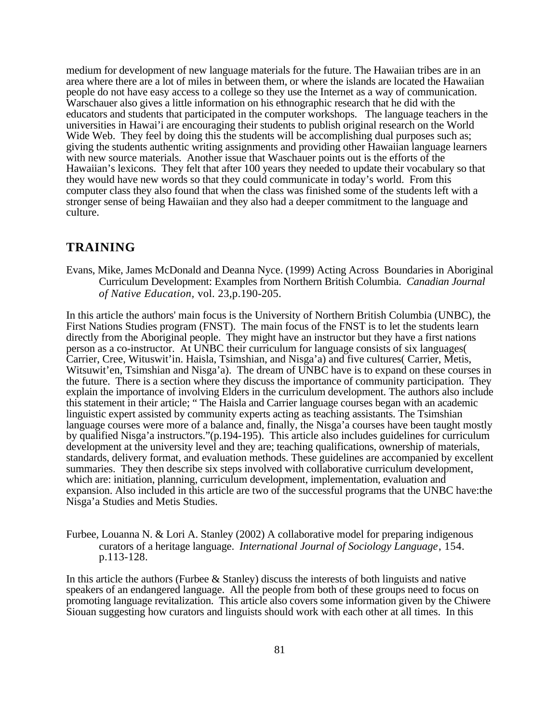medium for development of new language materials for the future. The Hawaiian tribes are in an area where there are a lot of miles in between them, or where the islands are located the Hawaiian people do not have easy access to a college so they use the Internet as a way of communication. Warschauer also gives a little information on his ethnographic research that he did with the educators and students that participated in the computer workshops. The language teachers in the universities in Hawai'i are encouraging their students to publish original research on the World Wide Web. They feel by doing this the students will be accomplishing dual purposes such as; giving the students authentic writing assignments and providing other Hawaiian language learners with new source materials. Another issue that Waschauer points out is the efforts of the Hawaiian's lexicons. They felt that after 100 years they needed to update their vocabulary so that they would have new words so that they could communicate in today's world. From this computer class they also found that when the class was finished some of the students left with a stronger sense of being Hawaiian and they also had a deeper commitment to the language and culture.

## **TRAINING**

Evans, Mike, James McDonald and Deanna Nyce. (1999) Acting Across Boundaries in Aboriginal Curriculum Development: Examples from Northern British Columbia. *Canadian Journal of Native Education,* vol. 23,p.190-205.

In this article the authors' main focus is the University of Northern British Columbia (UNBC), the First Nations Studies program (FNST). The main focus of the FNST is to let the students learn directly from the Aboriginal people. They might have an instructor but they have a first nations person as a co-instructor. At UNBC their curriculum for language consists of six languages( Carrier, Cree, Wituswit'in. Haisla, Tsimshian, and Nisga'a) and five cultures( Carrier, Metis, Witsuwit'en, Tsimshian and Nisga'a). The dream of UNBC have is to expand on these courses in the future. There is a section where they discuss the importance of community participation. They explain the importance of involving Elders in the curriculum development. The authors also include this statement in their article; " The Haisla and Carrier language courses began with an academic linguistic expert assisted by community experts acting as teaching assistants. The Tsimshian language courses were more of a balance and, finally, the Nisga'a courses have been taught mostly by qualified Nisga'a instructors."(p.194-195). This article also includes guidelines for curriculum development at the university level and they are; teaching qualifications, ownership of materials, standards, delivery format, and evaluation methods. These guidelines are accompanied by excellent summaries. They then describe six steps involved with collaborative curriculum development, which are: initiation, planning, curriculum development, implementation, evaluation and expansion. Also included in this article are two of the successful programs that the UNBC have:the Nisga'a Studies and Metis Studies.

Furbee, Louanna N. & Lori A. Stanley (2002) A collaborative model for preparing indigenous curators of a heritage language. *International Journal of Sociology Language*, 154. p.113-128.

In this article the authors (Furbee & Stanley) discuss the interests of both linguists and native speakers of an endangered language. All the people from both of these groups need to focus on promoting language revitalization. This article also covers some information given by the Chiwere Siouan suggesting how curators and linguists should work with each other at all times. In this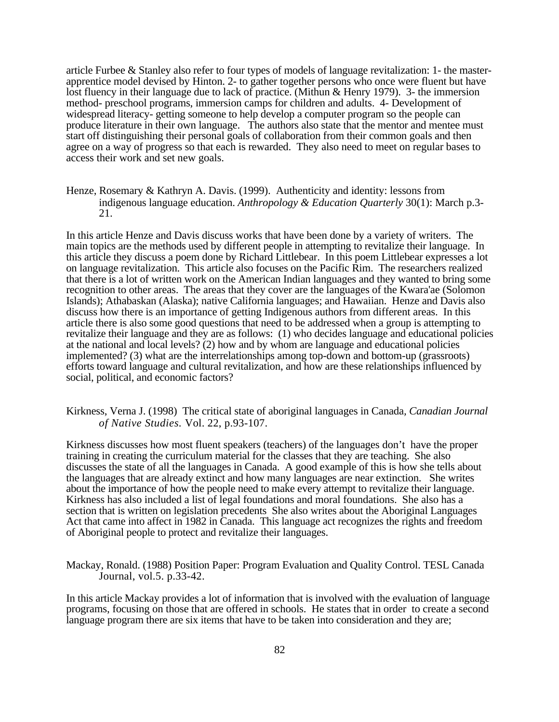article Furbee & Stanley also refer to four types of models of language revitalization: 1- the masterapprentice model devised by Hinton. 2- to gather together persons who once were fluent but have lost fluency in their language due to lack of practice. (Mithun & Henry 1979). 3- the immersion method- preschool programs, immersion camps for children and adults. 4- Development of widespread literacy- getting someone to help develop a computer program so the people can produce literature in their own language. The authors also state that the mentor and mentee must start off distinguishing their personal goals of collaboration from their common goals and then agree on a way of progress so that each is rewarded. They also need to meet on regular bases to access their work and set new goals.

Henze, Rosemary & Kathryn A. Davis. (1999). Authenticity and identity: lessons from indigenous language education. *Anthropology & Education Quarterly* 30(1): March p.3- 21.

In this article Henze and Davis discuss works that have been done by a variety of writers. The main topics are the methods used by different people in attempting to revitalize their language. In this article they discuss a poem done by Richard Littlebear. In this poem Littlebear expresses a lot on language revitalization. This article also focuses on the Pacific Rim. The researchers realized that there is a lot of written work on the American Indian languages and they wanted to bring some recognition to other areas. The areas that they cover are the languages of the Kwara'ae (Solomon Islands); Athabaskan (Alaska); native California languages; and Hawaiian. Henze and Davis also discuss how there is an importance of getting Indigenous authors from different areas. In this article there is also some good questions that need to be addressed when a group is attempting to revitalize their language and they are as follows: (1) who decides language and educational policies at the national and local levels? (2) how and by whom are language and educational policies implemented? (3) what are the interrelationships among top-down and bottom-up (grassroots) efforts toward language and cultural revitalization, and how are these relationships influenced by social, political, and economic factors?

Kirkness, Verna J. (1998) The critical state of aboriginal languages in Canada*, Canadian Journal of Native Studies.* Vol. 22, p.93-107.

Kirkness discusses how most fluent speakers (teachers) of the languages don't have the proper training in creating the curriculum material for the classes that they are teaching. She also discusses the state of all the languages in Canada. A good example of this is how she tells about the languages that are already extinct and how many languages are near extinction. She writes about the importance of how the people need to make every attempt to revitalize their language. Kirkness has also included a list of legal foundations and moral foundations. She also has a section that is written on legislation precedents She also writes about the Aboriginal Languages Act that came into affect in 1982 in Canada. This language act recognizes the rights and freedom of Aboriginal people to protect and revitalize their languages.

Mackay, Ronald. (1988) Position Paper: Program Evaluation and Quality Control. TESL Canada Journal, vol.5. p.33-42.

In this article Mackay provides a lot of information that is involved with the evaluation of language programs, focusing on those that are offered in schools. He states that in order to create a second language program there are six items that have to be taken into consideration and they are;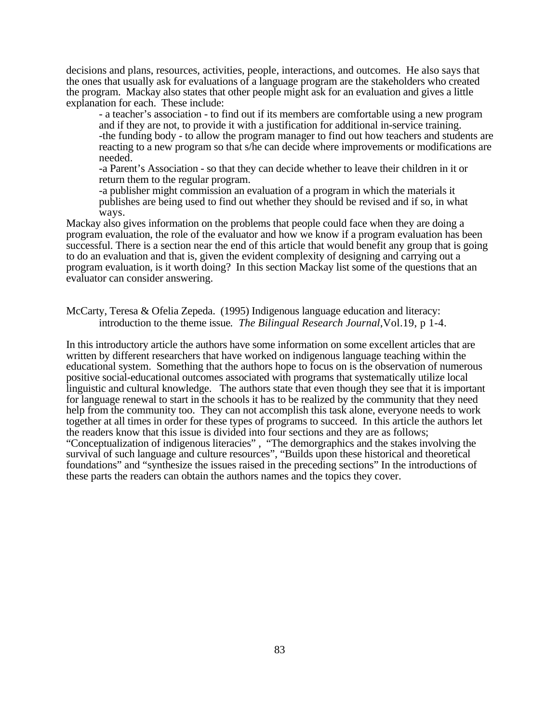decisions and plans, resources, activities, people, interactions, and outcomes. He also says that the ones that usually ask for evaluations of a language program are the stakeholders who created the program. Mackay also states that other people might ask for an evaluation and gives a little explanation for each. These include:

- a teacher's association - to find out if its members are comfortable using a new program and if they are not, to provide it with a justification for additional in-service training. -the funding body - to allow the program manager to find out how teachers and students are reacting to a new program so that s/he can decide where improvements or modifications are needed.

-a Parent's Association - so that they can decide whether to leave their children in it or return them to the regular program.

-a publisher might commission an evaluation of a program in which the materials it publishes are being used to find out whether they should be revised and if so, in what ways.

Mackay also gives information on the problems that people could face when they are doing a program evaluation, the role of the evaluator and how we know if a program evaluation has been successful. There is a section near the end of this article that would benefit any group that is going to do an evaluation and that is, given the evident complexity of designing and carrying out a program evaluation, is it worth doing? In this section Mackay list some of the questions that an evaluator can consider answering.

McCarty, Teresa & Ofelia Zepeda. (1995) Indigenous language education and literacy: introduction to the theme issue*. The Bilingual Research Journal*,Vol.19, p 1-4.

In this introductory article the authors have some information on some excellent articles that are written by different researchers that have worked on indigenous language teaching within the educational system. Something that the authors hope to focus on is the observation of numerous positive social-educational outcomes associated with programs that systematically utilize local linguistic and cultural knowledge. The authors state that even though they see that it is important for language renewal to start in the schools it has to be realized by the community that they need help from the community too. They can not accomplish this task alone, everyone needs to work together at all times in order for these types of programs to succeed. In this article the authors let the readers know that this issue is divided into four sections and they are as follows; "Conceptualization of indigenous literacies", "The demorgraphics and the stakes involving the survival of such language and culture resources", "Builds upon these historical and theoretical foundations" and "synthesize the issues raised in the preceding sections" In the introductions of these parts the readers can obtain the authors names and the topics they cover.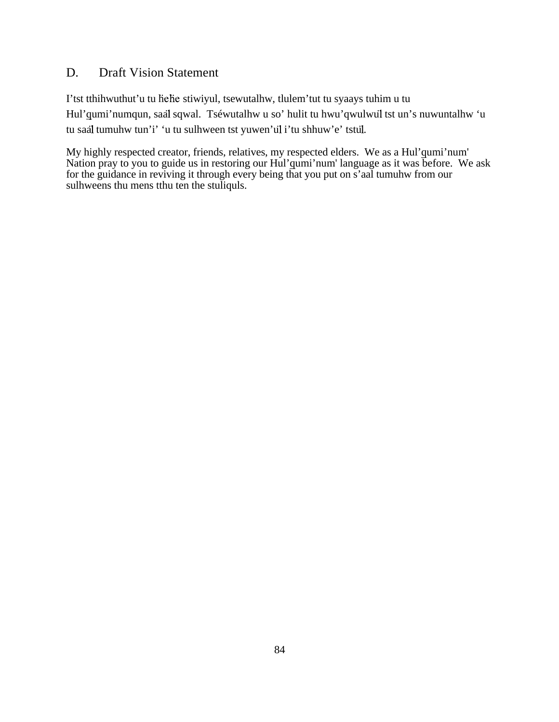# D. Draft Vision Statement

I'tst tthihwuthut'u tu helie stiwiyul, tsewutalhw, tlulem'tut tu syaays tuhim u tu Hul'qumi'numqun, saal sqwal. Tséwutalhw u so' hulit tu hwu'qwulwul tst un's nuwuntalhw 'u tu saal tumuhw tun'i' 'u tu sulhween tst yuwen'ul i'tu shhuw'e' tstul.

My highly respected creator, friends, relatives, my respected elders. We as a Hul'qumi'num' Nation pray to you to guide us in restoring our Hul'qumi'num' language as it was before. We ask for the guidance in reviving it through every being that you put on s'aal tumuhw from our sulhweens thu mens tthu ten the stuliquls.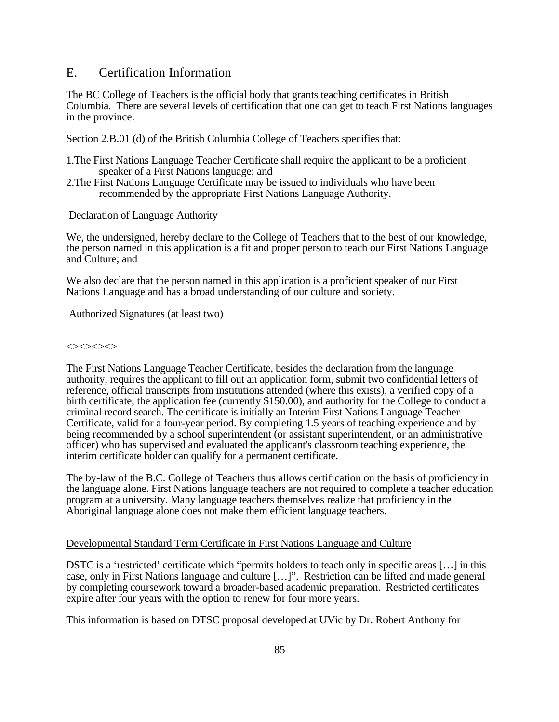## E. Certification Information

The BC College of Teachers is the official body that grants teaching certificates in British Columbia. There are several levels of certification that one can get to teach First Nations languages in the province.

Section 2.B.01 (d) of the British Columbia College of Teachers specifies that:

- 1.The First Nations Language Teacher Certificate shall require the applicant to be a proficient speaker of a First Nations language; and
- 2.The First Nations Language Certificate may be issued to individuals who have been recommended by the appropriate First Nations Language Authority.

Declaration of Language Authority

We, the undersigned, hereby declare to the College of Teachers that to the best of our knowledge, the person named in this application is a fit and proper person to teach our First Nations Language and Culture; and

We also declare that the person named in this application is a proficient speaker of our First Nations Language and has a broad understanding of our culture and society.

Authorized Signatures (at least two)

### $\Leftrightarrow$

The First Nations Language Teacher Certificate, besides the declaration from the language authority, requires the applicant to fill out an application form, submit two confidential letters of reference, official transcripts from institutions attended (where this exists), a verified copy of a birth certificate, the application fee (currently \$150.00), and authority for the College to conduct a criminal record search. The certificate is initially an Interim First Nations Language Teacher Certificate, valid for a four-year period. By completing 1.5 years of teaching experience and by being recommended by a school superintendent (or assistant superintendent, or an administrative officer) who has supervised and evaluated the applicant's classroom teaching experience, the interim certificate holder can qualify for a permanent certificate.

The by-law of the B.C. College of Teachers thus allows certification on the basis of proficiency in the language alone. First Nations language teachers are not required to complete a teacher education program at a university. Many language teachers themselves realize that proficiency in the Aboriginal language alone does not make them efficient language teachers.

### Developmental Standard Term Certificate in First Nations Language and Culture

DSTC is a 'restricted' certificate which "permits holders to teach only in specific areas […] in this case, only in First Nations language and culture […]". Restriction can be lifted and made general by completing coursework toward a broader-based academic preparation. Restricted certificates expire after four years with the option to renew for four more years.

This information is based on DTSC proposal developed at UVic by Dr. Robert Anthony for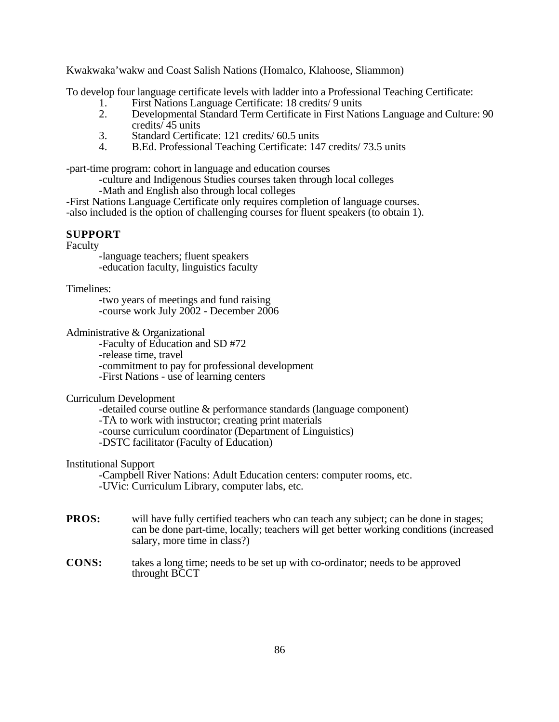Kwakwaka'wakw and Coast Salish Nations (Homalco, Klahoose, Sliammon)

To develop four language certificate levels with ladder into a Professional Teaching Certificate:

- 1. First Nations Language Certificate: 18 credits/ 9 units<br>2. Developmental Standard Term Certificate in First Nati
- 2. Developmental Standard Term Certificate in First Nations Language and Culture: 90 credits/ 45 units
- 3. Standard Certificate: 121 credits/ 60.5 units
- 4. B.Ed. Professional Teaching Certificate: 147 credits/ 73.5 units

-part-time program: cohort in language and education courses

-culture and Indigenous Studies courses taken through local colleges

-Math and English also through local colleges

-First Nations Language Certificate only requires completion of language courses. -also included is the option of challenging courses for fluent speakers (to obtain 1).

### **SUPPORT**

### Faculty

-language teachers; fluent speakers -education faculty, linguistics faculty

### Timelines:

-two years of meetings and fund raising -course work July 2002 - December 2006

Administrative & Organizational

-Faculty of Education and SD #72 -release time, travel -commitment to pay for professional development -First Nations - use of learning centers

### Curriculum Development

-detailed course outline & performance standards (language component) -TA to work with instructor; creating print materials -course curriculum coordinator (Department of Linguistics) -DSTC facilitator (Faculty of Education)

### Institutional Support

-Campbell River Nations: Adult Education centers: computer rooms, etc. -UVic: Curriculum Library, computer labs, etc.

- **PROS:** will have fully certified teachers who can teach any subject; can be done in stages; can be done part-time, locally; teachers will get better working conditions (increased salary, more time in class?)
- **CONS:** takes a long time; needs to be set up with co-ordinator; needs to be approved throught BCCT